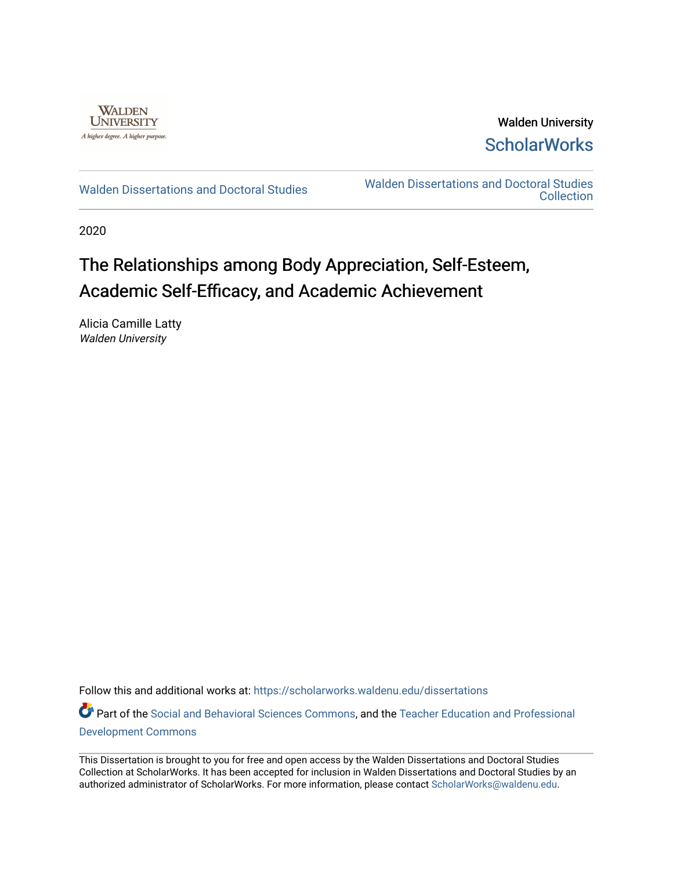

Walden University **ScholarWorks** 

[Walden Dissertations and Doctoral Studies](https://scholarworks.waldenu.edu/dissertations) Walden Dissertations and Doctoral Studies **Collection** 

2020

# The Relationships among Body Appreciation, Self-Esteem, Academic Self-Efficacy, and Academic Achievement

Alicia Camille Latty Walden University

Follow this and additional works at: [https://scholarworks.waldenu.edu/dissertations](https://scholarworks.waldenu.edu/dissertations?utm_source=scholarworks.waldenu.edu%2Fdissertations%2F8624&utm_medium=PDF&utm_campaign=PDFCoverPages)

Part of the [Social and Behavioral Sciences Commons,](http://network.bepress.com/hgg/discipline/316?utm_source=scholarworks.waldenu.edu%2Fdissertations%2F8624&utm_medium=PDF&utm_campaign=PDFCoverPages) and the [Teacher Education and Professional](http://network.bepress.com/hgg/discipline/803?utm_source=scholarworks.waldenu.edu%2Fdissertations%2F8624&utm_medium=PDF&utm_campaign=PDFCoverPages) [Development Commons](http://network.bepress.com/hgg/discipline/803?utm_source=scholarworks.waldenu.edu%2Fdissertations%2F8624&utm_medium=PDF&utm_campaign=PDFCoverPages) 

This Dissertation is brought to you for free and open access by the Walden Dissertations and Doctoral Studies Collection at ScholarWorks. It has been accepted for inclusion in Walden Dissertations and Doctoral Studies by an authorized administrator of ScholarWorks. For more information, please contact [ScholarWorks@waldenu.edu](mailto:ScholarWorks@waldenu.edu).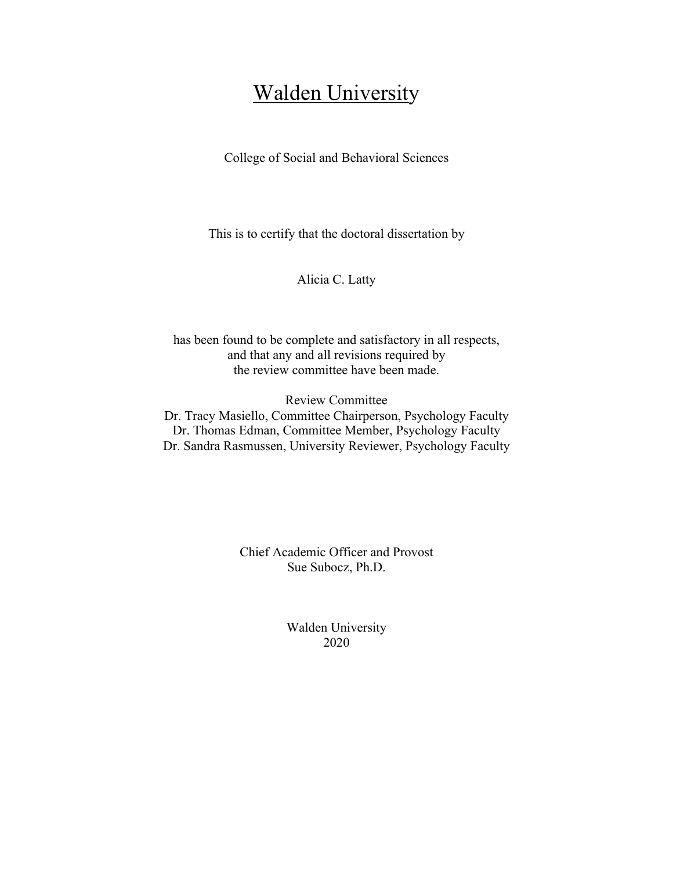## Walden University

College of Social and Behavioral Sciences

This is to certify that the doctoral dissertation by

Alicia C. Latty

has been found to be complete and satisfactory in all respects, and that any and all revisions required by the review committee have been made.

Review Committee

Dr. Tracy Masiello, Committee Chairperson, Psychology Faculty Dr. Thomas Edman, Committee Member, Psychology Faculty Dr. Sandra Rasmussen, University Reviewer, Psychology Faculty

> Chief Academic Officer and Provost Sue Subocz, Ph.D.

> > Walden University 2020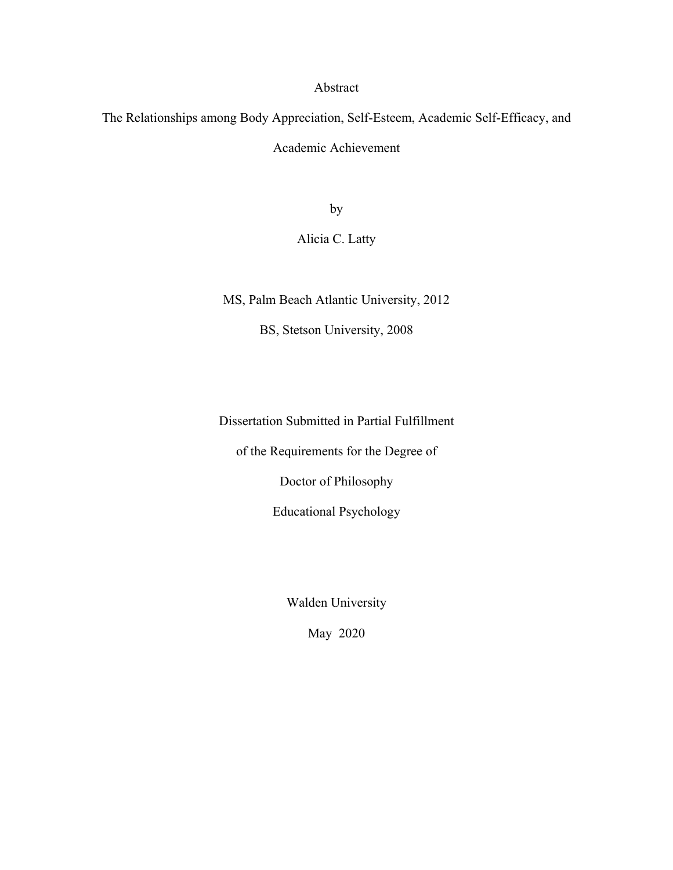#### Abstract

The Relationships among Body Appreciation, Self-Esteem, Academic Self-Efficacy, and

Academic Achievement

by

### Alicia C. Latty

MS, Palm Beach Atlantic University, 2012

BS, Stetson University, 2008

Dissertation Submitted in Partial Fulfillment

of the Requirements for the Degree of

Doctor of Philosophy

Educational Psychology

Walden University

May 2020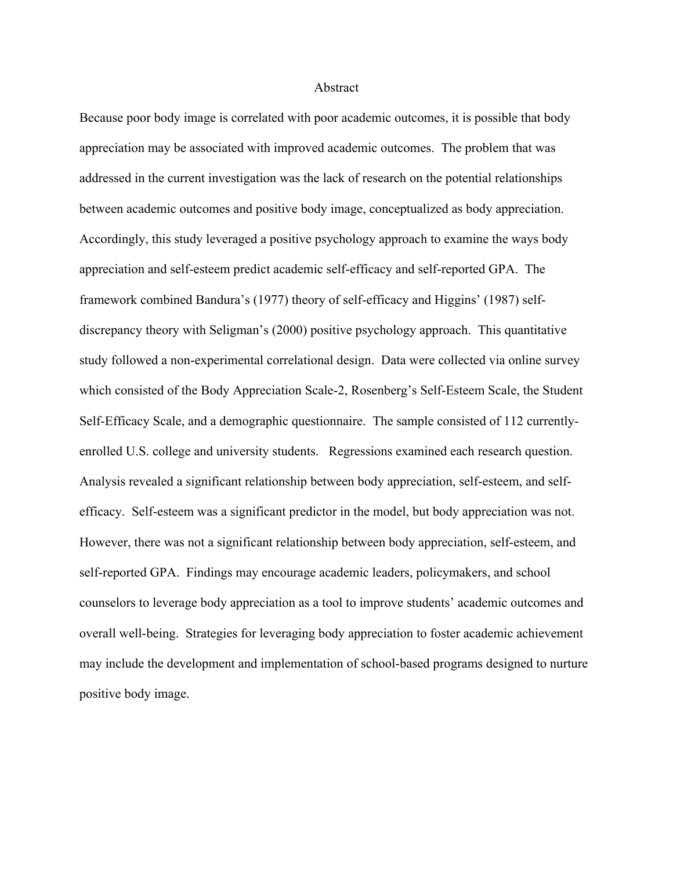#### Abstract

Because poor body image is correlated with poor academic outcomes, it is possible that body appreciation may be associated with improved academic outcomes. The problem that was addressed in the current investigation was the lack of research on the potential relationships between academic outcomes and positive body image, conceptualized as body appreciation. Accordingly, this study leveraged a positive psychology approach to examine the ways body appreciation and self-esteem predict academic self-efficacy and self-reported GPA. The framework combined Bandura's (1977) theory of self-efficacy and Higgins' (1987) selfdiscrepancy theory with Seligman's (2000) positive psychology approach. This quantitative study followed a non-experimental correlational design. Data were collected via online survey which consisted of the Body Appreciation Scale-2, Rosenberg's Self-Esteem Scale, the Student Self-Efficacy Scale, and a demographic questionnaire. The sample consisted of 112 currentlyenrolled U.S. college and university students. Regressions examined each research question. Analysis revealed a significant relationship between body appreciation, self-esteem, and selfefficacy. Self-esteem was a significant predictor in the model, but body appreciation was not. However, there was not a significant relationship between body appreciation, self-esteem, and self-reported GPA. Findings may encourage academic leaders, policymakers, and school counselors to leverage body appreciation as a tool to improve students' academic outcomes and overall well-being. Strategies for leveraging body appreciation to foster academic achievement may include the development and implementation of school-based programs designed to nurture positive body image.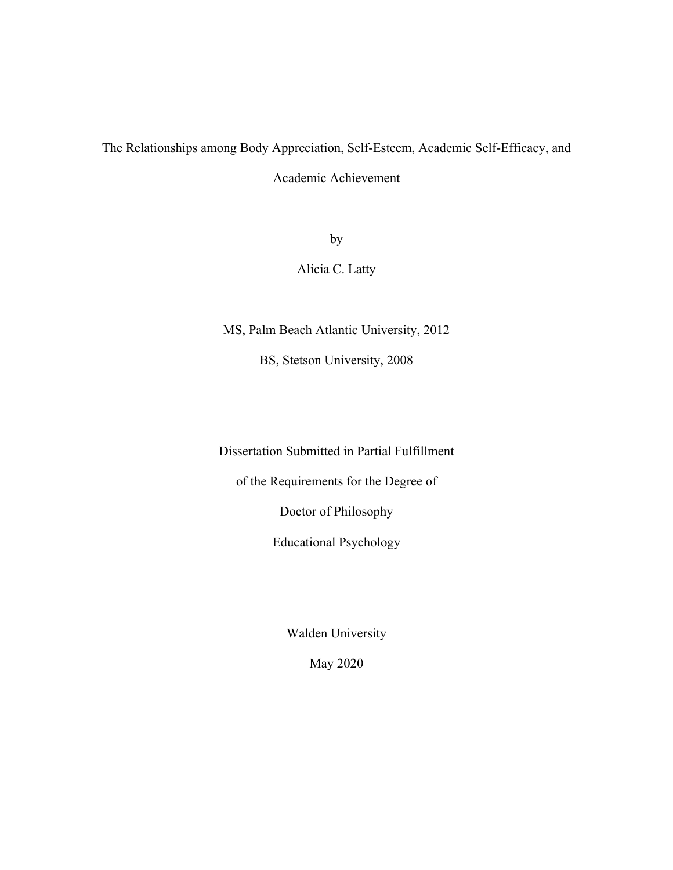# The Relationships among Body Appreciation, Self-Esteem, Academic Self-Efficacy, and

Academic Achievement

by

Alicia C. Latty

MS, Palm Beach Atlantic University, 2012

BS, Stetson University, 2008

Dissertation Submitted in Partial Fulfillment

of the Requirements for the Degree of

Doctor of Philosophy

Educational Psychology

Walden University

May 2020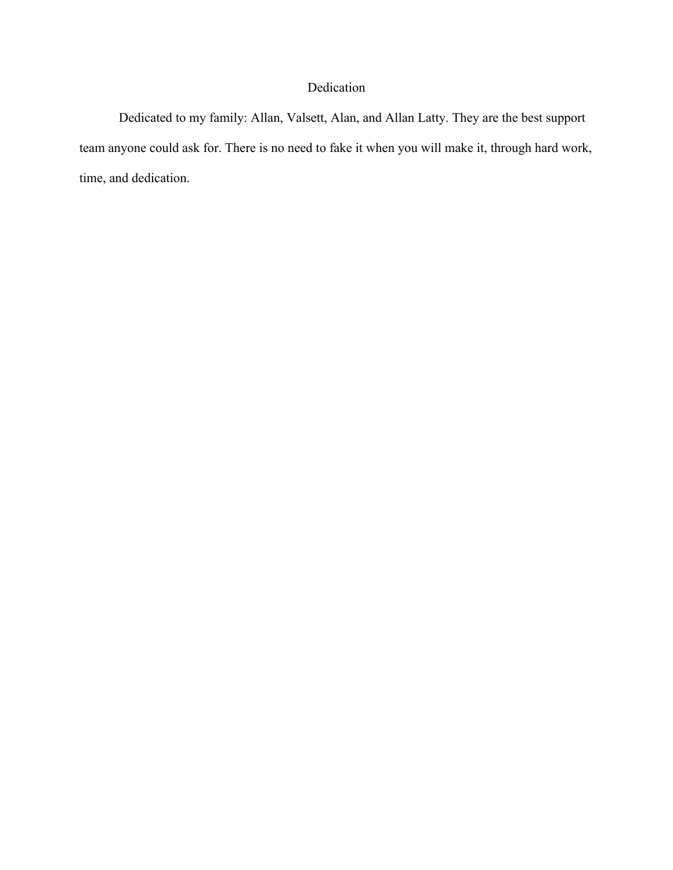## Dedication

Dedicated to my family: Allan, Valsett, Alan, and Allan Latty. They are the best support team anyone could ask for. There is no need to fake it when you will make it, through hard work, time, and dedication.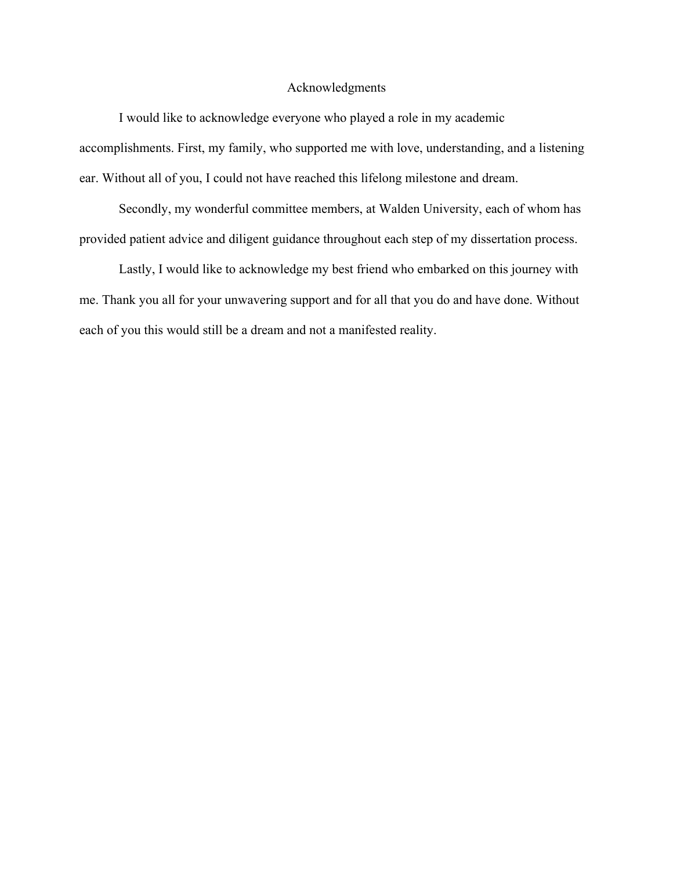#### Acknowledgments

I would like to acknowledge everyone who played a role in my academic accomplishments. First, my family, who supported me with love, understanding, and a listening ear. Without all of you, I could not have reached this lifelong milestone and dream.

Secondly, my wonderful committee members, at Walden University, each of whom has provided patient advice and diligent guidance throughout each step of my dissertation process.

Lastly, I would like to acknowledge my best friend who embarked on this journey with me. Thank you all for your unwavering support and for all that you do and have done. Without each of you this would still be a dream and not a manifested reality.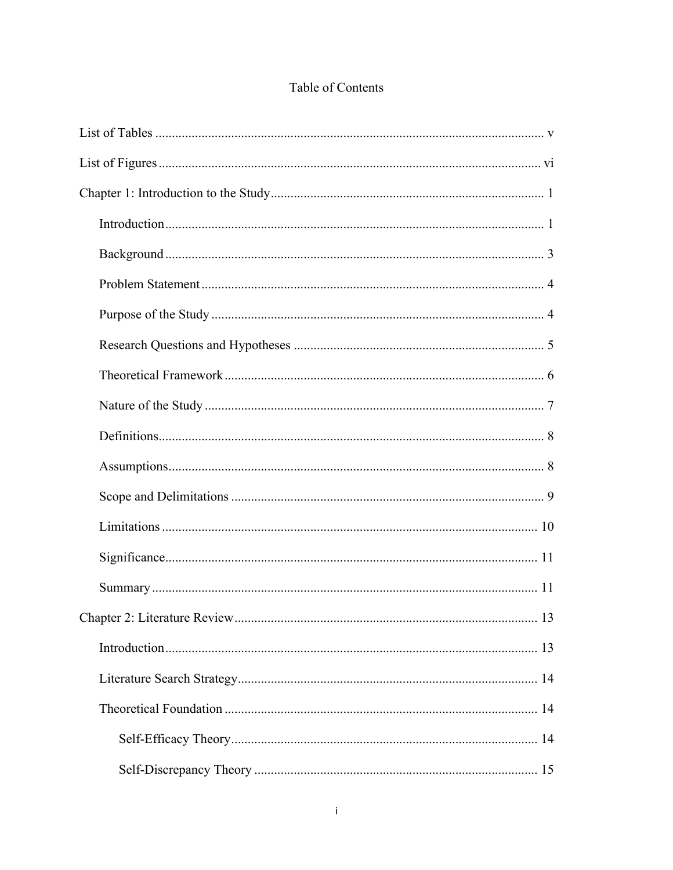## Table of Contents

| $\therefore$ 13 |
|-----------------|
|                 |
|                 |
|                 |
|                 |
|                 |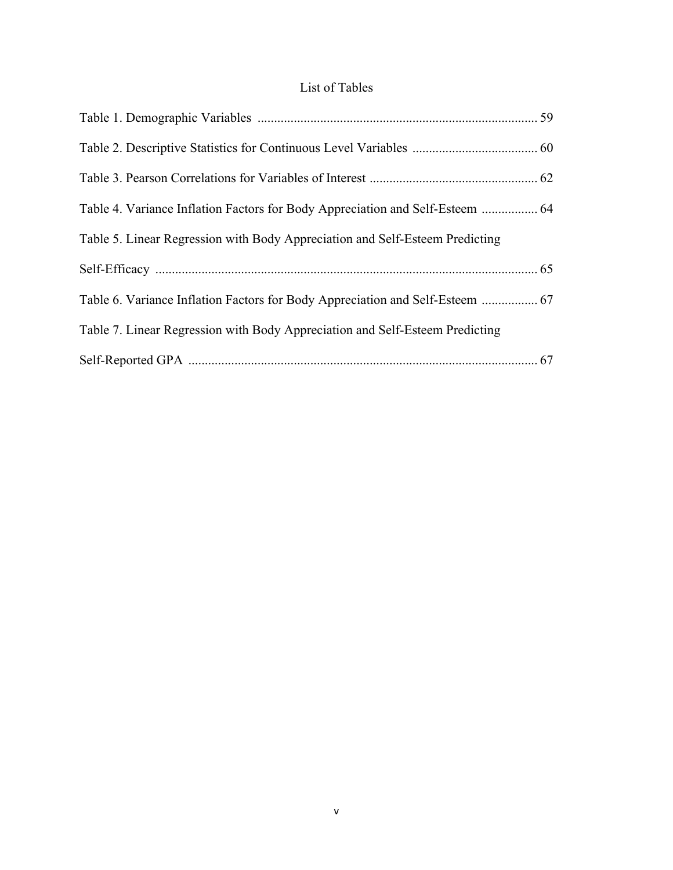### List of Tables

| Table 4. Variance Inflation Factors for Body Appreciation and Self-Esteem  64 |  |
|-------------------------------------------------------------------------------|--|
| Table 5. Linear Regression with Body Appreciation and Self-Esteem Predicting  |  |
|                                                                               |  |
| Table 6. Variance Inflation Factors for Body Appreciation and Self-Esteem  67 |  |
| Table 7. Linear Regression with Body Appreciation and Self-Esteem Predicting  |  |
|                                                                               |  |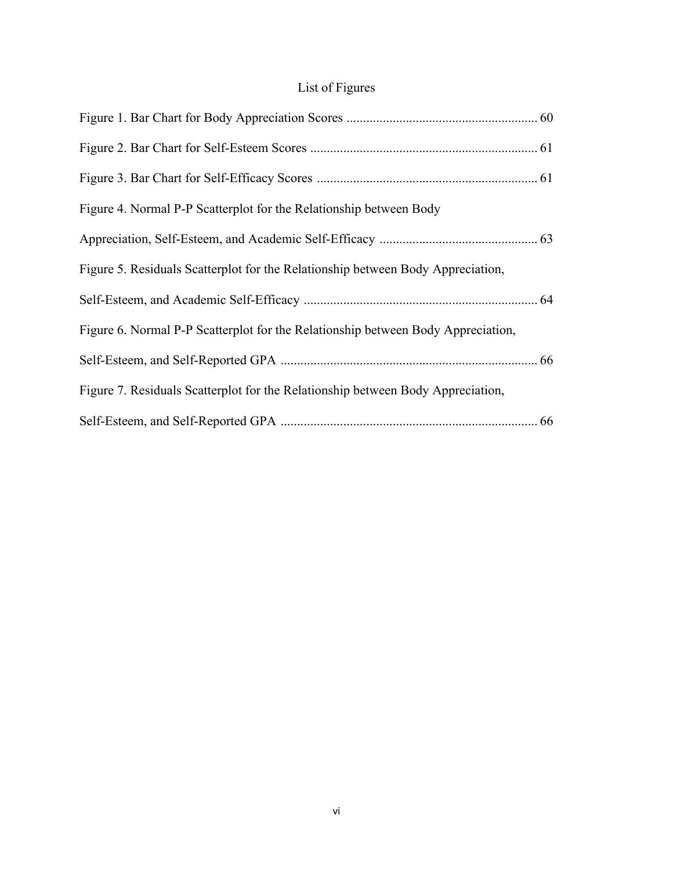## List of Figures

| Figure 4. Normal P-P Scatterplot for the Relationship between Body               |
|----------------------------------------------------------------------------------|
|                                                                                  |
| Figure 5. Residuals Scatterplot for the Relationship between Body Appreciation,  |
|                                                                                  |
| Figure 6. Normal P-P Scatterplot for the Relationship between Body Appreciation, |
|                                                                                  |
| Figure 7. Residuals Scatterplot for the Relationship between Body Appreciation,  |
|                                                                                  |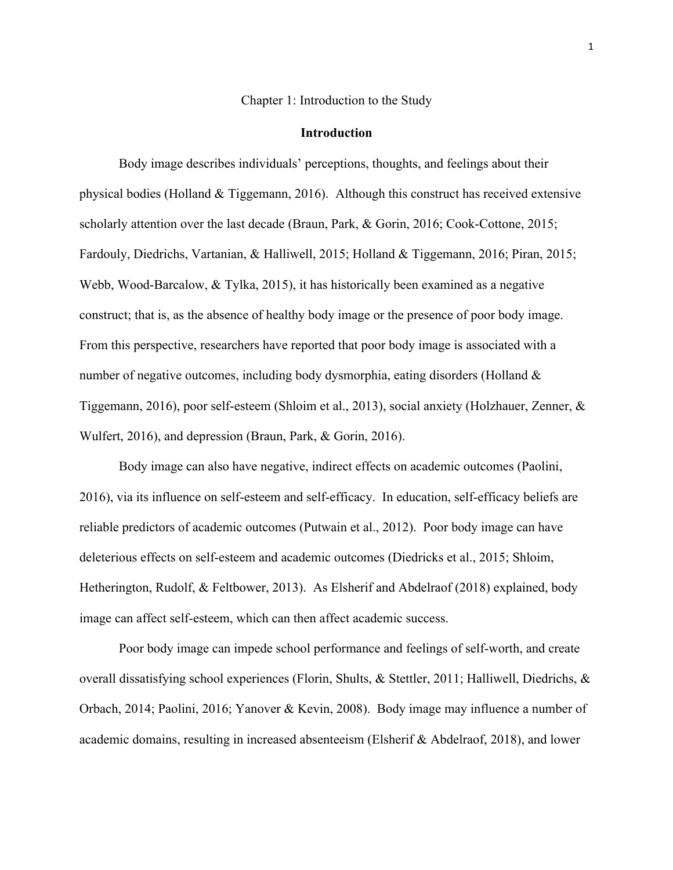Chapter 1: Introduction to the Study

#### **Introduction**

Body image describes individuals' perceptions, thoughts, and feelings about their physical bodies (Holland & Tiggemann, 2016). Although this construct has received extensive scholarly attention over the last decade (Braun, Park, & Gorin, 2016; Cook-Cottone, 2015; Fardouly, Diedrichs, Vartanian, & Halliwell, 2015; Holland & Tiggemann, 2016; Piran, 2015; Webb, Wood-Barcalow, & Tylka, 2015), it has historically been examined as a negative construct; that is, as the absence of healthy body image or the presence of poor body image. From this perspective, researchers have reported that poor body image is associated with a number of negative outcomes, including body dysmorphia, eating disorders (Holland & Tiggemann, 2016), poor self-esteem (Shloim et al., 2013), social anxiety (Holzhauer, Zenner, & Wulfert, 2016), and depression (Braun, Park, & Gorin, 2016).

Body image can also have negative, indirect effects on academic outcomes (Paolini, 2016), via its influence on self-esteem and self-efficacy. In education, self-efficacy beliefs are reliable predictors of academic outcomes (Putwain et al., 2012). Poor body image can have deleterious effects on self-esteem and academic outcomes (Diedricks et al., 2015; Shloim, Hetherington, Rudolf, & Feltbower, 2013). As Elsherif and Abdelraof (2018) explained, body image can affect self-esteem, which can then affect academic success.

Poor body image can impede school performance and feelings of self-worth, and create overall dissatisfying school experiences (Florin, Shults, & Stettler, 2011; Halliwell, Diedrichs, & Orbach, 2014; Paolini, 2016; Yanover & Kevin, 2008). Body image may influence a number of academic domains, resulting in increased absenteeism (Elsherif & Abdelraof, 2018), and lower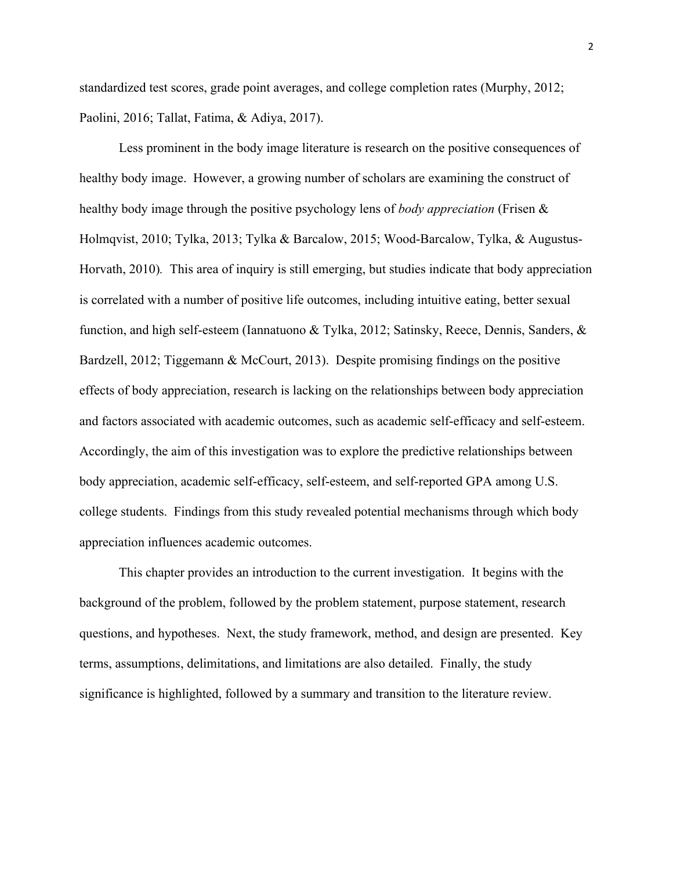standardized test scores, grade point averages, and college completion rates (Murphy, 2012; Paolini, 2016; Tallat, Fatima, & Adiya, 2017).

Less prominent in the body image literature is research on the positive consequences of healthy body image. However, a growing number of scholars are examining the construct of healthy body image through the positive psychology lens of *body appreciation* (Frisen & Holmqvist, 2010; Tylka, 2013; Tylka & Barcalow, 2015; Wood-Barcalow, Tylka, & Augustus-Horvath, 2010)*.* This area of inquiry is still emerging, but studies indicate that body appreciation is correlated with a number of positive life outcomes, including intuitive eating, better sexual function, and high self-esteem (Iannatuono & Tylka, 2012; Satinsky, Reece, Dennis, Sanders, & Bardzell, 2012; Tiggemann & McCourt, 2013). Despite promising findings on the positive effects of body appreciation, research is lacking on the relationships between body appreciation and factors associated with academic outcomes, such as academic self-efficacy and self-esteem. Accordingly, the aim of this investigation was to explore the predictive relationships between body appreciation, academic self-efficacy, self-esteem, and self-reported GPA among U.S. college students. Findings from this study revealed potential mechanisms through which body appreciation influences academic outcomes.

This chapter provides an introduction to the current investigation. It begins with the background of the problem, followed by the problem statement, purpose statement, research questions, and hypotheses. Next, the study framework, method, and design are presented. Key terms, assumptions, delimitations, and limitations are also detailed. Finally, the study significance is highlighted, followed by a summary and transition to the literature review.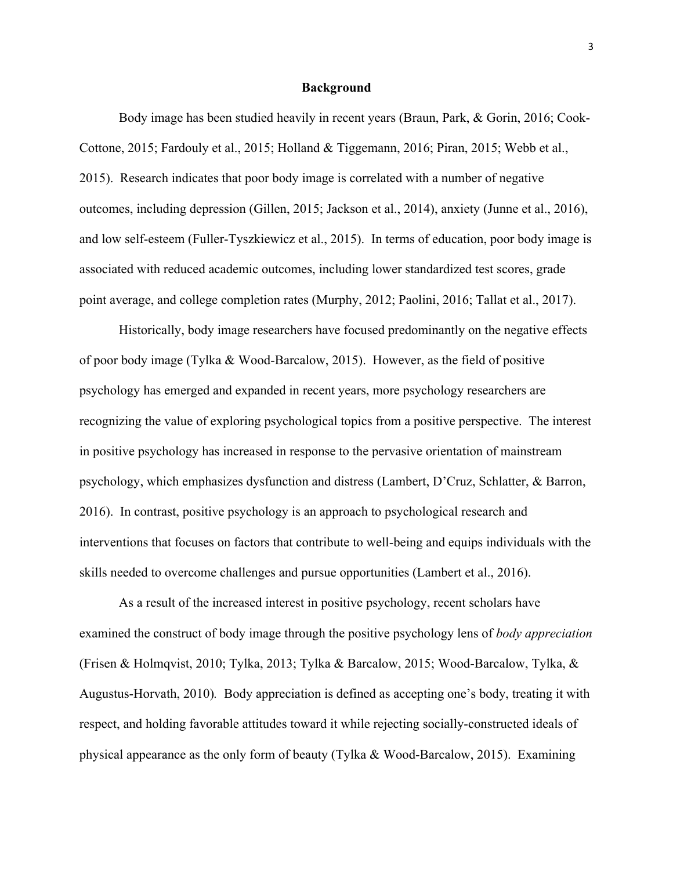#### **Background**

Body image has been studied heavily in recent years (Braun, Park, & Gorin, 2016; Cook-Cottone, 2015; Fardouly et al., 2015; Holland & Tiggemann, 2016; Piran, 2015; Webb et al., 2015). Research indicates that poor body image is correlated with a number of negative outcomes, including depression (Gillen, 2015; Jackson et al., 2014), anxiety (Junne et al., 2016), and low self-esteem (Fuller-Tyszkiewicz et al., 2015). In terms of education, poor body image is associated with reduced academic outcomes, including lower standardized test scores, grade point average, and college completion rates (Murphy, 2012; Paolini, 2016; Tallat et al., 2017).

Historically, body image researchers have focused predominantly on the negative effects of poor body image (Tylka & Wood-Barcalow, 2015). However, as the field of positive psychology has emerged and expanded in recent years, more psychology researchers are recognizing the value of exploring psychological topics from a positive perspective. The interest in positive psychology has increased in response to the pervasive orientation of mainstream psychology, which emphasizes dysfunction and distress (Lambert, D'Cruz, Schlatter, & Barron, 2016). In contrast, positive psychology is an approach to psychological research and interventions that focuses on factors that contribute to well-being and equips individuals with the skills needed to overcome challenges and pursue opportunities (Lambert et al., 2016).

As a result of the increased interest in positive psychology, recent scholars have examined the construct of body image through the positive psychology lens of *body appreciation* (Frisen & Holmqvist, 2010; Tylka, 2013; Tylka & Barcalow, 2015; Wood-Barcalow, Tylka, & Augustus-Horvath, 2010)*.* Body appreciation is defined as accepting one's body, treating it with respect, and holding favorable attitudes toward it while rejecting socially-constructed ideals of physical appearance as the only form of beauty (Tylka & Wood-Barcalow, 2015). Examining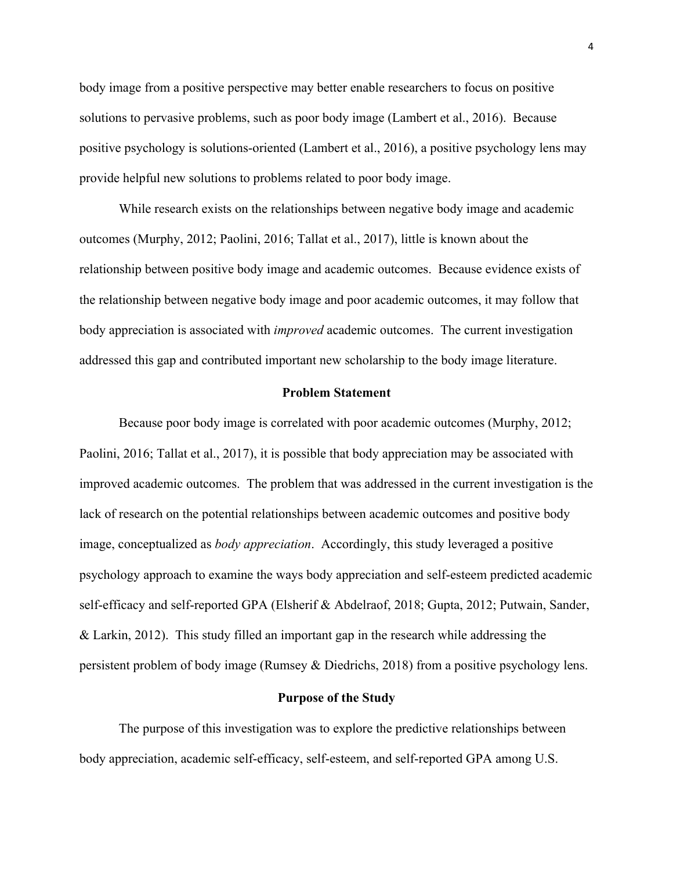body image from a positive perspective may better enable researchers to focus on positive solutions to pervasive problems, such as poor body image (Lambert et al., 2016). Because positive psychology is solutions-oriented (Lambert et al., 2016), a positive psychology lens may provide helpful new solutions to problems related to poor body image.

While research exists on the relationships between negative body image and academic outcomes (Murphy, 2012; Paolini, 2016; Tallat et al., 2017), little is known about the relationship between positive body image and academic outcomes. Because evidence exists of the relationship between negative body image and poor academic outcomes, it may follow that body appreciation is associated with *improved* academic outcomes. The current investigation addressed this gap and contributed important new scholarship to the body image literature.

#### **Problem Statement**

Because poor body image is correlated with poor academic outcomes (Murphy, 2012; Paolini, 2016; Tallat et al., 2017), it is possible that body appreciation may be associated with improved academic outcomes. The problem that was addressed in the current investigation is the lack of research on the potential relationships between academic outcomes and positive body image, conceptualized as *body appreciation*. Accordingly, this study leveraged a positive psychology approach to examine the ways body appreciation and self-esteem predicted academic self-efficacy and self-reported GPA (Elsherif & Abdelraof, 2018; Gupta, 2012; Putwain, Sander, & Larkin, 2012). This study filled an important gap in the research while addressing the persistent problem of body image (Rumsey & Diedrichs, 2018) from a positive psychology lens.

#### **Purpose of the Study**

The purpose of this investigation was to explore the predictive relationships between body appreciation, academic self-efficacy, self-esteem, and self-reported GPA among U.S.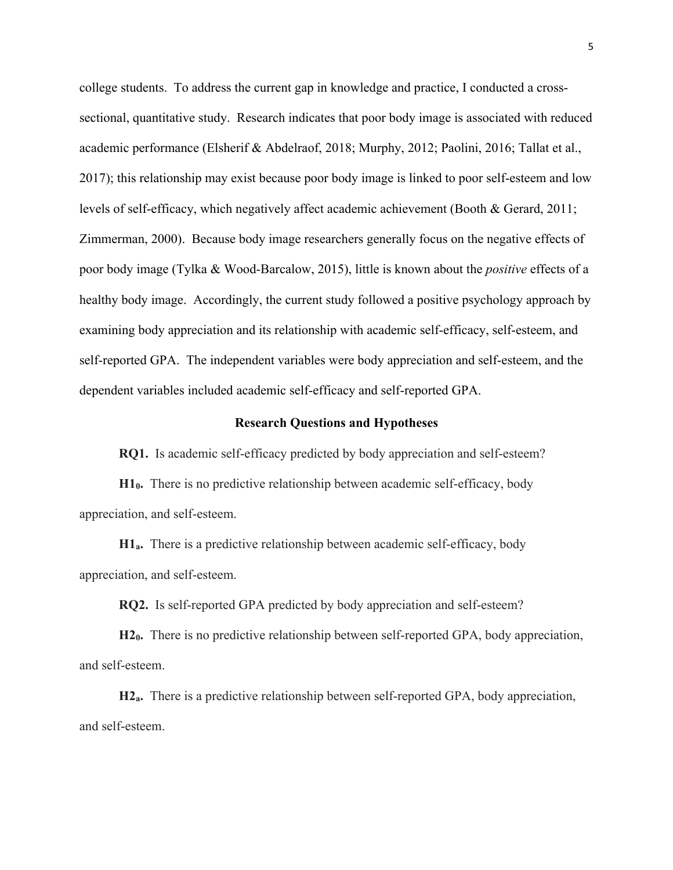college students. To address the current gap in knowledge and practice, I conducted a crosssectional, quantitative study. Research indicates that poor body image is associated with reduced academic performance (Elsherif & Abdelraof, 2018; Murphy, 2012; Paolini, 2016; Tallat et al., 2017); this relationship may exist because poor body image is linked to poor self-esteem and low levels of self-efficacy, which negatively affect academic achievement (Booth & Gerard, 2011; Zimmerman, 2000). Because body image researchers generally focus on the negative effects of poor body image (Tylka & Wood-Barcalow, 2015), little is known about the *positive* effects of a healthy body image. Accordingly, the current study followed a positive psychology approach by examining body appreciation and its relationship with academic self-efficacy, self-esteem, and self-reported GPA. The independent variables were body appreciation and self-esteem, and the dependent variables included academic self-efficacy and self-reported GPA.

#### **Research Questions and Hypotheses**

**RQ1.** Is academic self-efficacy predicted by body appreciation and self-esteem?

**H10.** There is no predictive relationship between academic self-efficacy, body appreciation, and self-esteem.

**H1a.** There is a predictive relationship between academic self-efficacy, body appreciation, and self-esteem.

**RQ2.** Is self-reported GPA predicted by body appreciation and self-esteem?

**H20.** There is no predictive relationship between self-reported GPA, body appreciation, and self-esteem.

**H2a.** There is a predictive relationship between self-reported GPA, body appreciation, and self-esteem.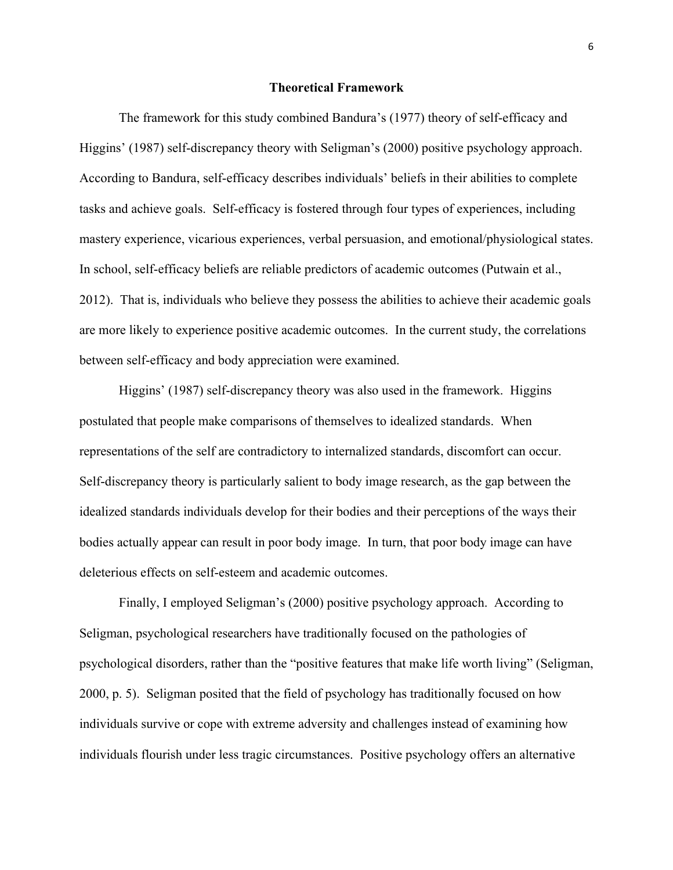#### **Theoretical Framework**

The framework for this study combined Bandura's (1977) theory of self-efficacy and Higgins' (1987) self-discrepancy theory with Seligman's (2000) positive psychology approach. According to Bandura, self-efficacy describes individuals' beliefs in their abilities to complete tasks and achieve goals. Self-efficacy is fostered through four types of experiences, including mastery experience, vicarious experiences, verbal persuasion, and emotional/physiological states. In school, self-efficacy beliefs are reliable predictors of academic outcomes (Putwain et al., 2012). That is, individuals who believe they possess the abilities to achieve their academic goals are more likely to experience positive academic outcomes. In the current study, the correlations between self-efficacy and body appreciation were examined.

Higgins' (1987) self-discrepancy theory was also used in the framework. Higgins postulated that people make comparisons of themselves to idealized standards. When representations of the self are contradictory to internalized standards, discomfort can occur. Self-discrepancy theory is particularly salient to body image research, as the gap between the idealized standards individuals develop for their bodies and their perceptions of the ways their bodies actually appear can result in poor body image. In turn, that poor body image can have deleterious effects on self-esteem and academic outcomes.

Finally, I employed Seligman's (2000) positive psychology approach. According to Seligman, psychological researchers have traditionally focused on the pathologies of psychological disorders, rather than the "positive features that make life worth living" (Seligman, 2000, p. 5). Seligman posited that the field of psychology has traditionally focused on how individuals survive or cope with extreme adversity and challenges instead of examining how individuals flourish under less tragic circumstances. Positive psychology offers an alternative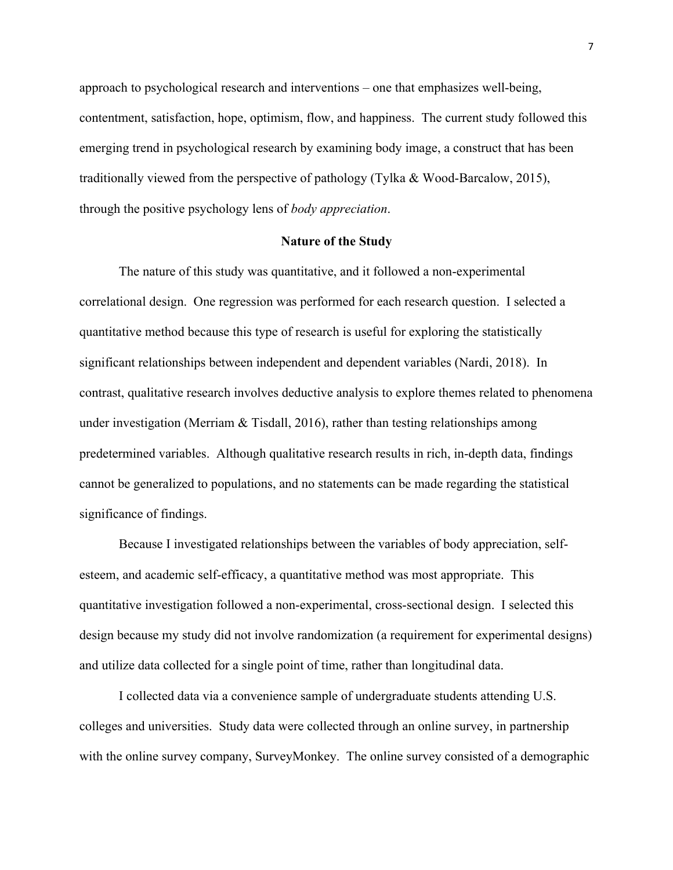approach to psychological research and interventions – one that emphasizes well-being, contentment, satisfaction, hope, optimism, flow, and happiness. The current study followed this emerging trend in psychological research by examining body image, a construct that has been traditionally viewed from the perspective of pathology (Tylka & Wood-Barcalow, 2015), through the positive psychology lens of *body appreciation*.

#### **Nature of the Study**

The nature of this study was quantitative, and it followed a non-experimental correlational design. One regression was performed for each research question. I selected a quantitative method because this type of research is useful for exploring the statistically significant relationships between independent and dependent variables (Nardi, 2018). In contrast, qualitative research involves deductive analysis to explore themes related to phenomena under investigation (Merriam  $\&$  Tisdall, 2016), rather than testing relationships among predetermined variables. Although qualitative research results in rich, in-depth data, findings cannot be generalized to populations, and no statements can be made regarding the statistical significance of findings.

Because I investigated relationships between the variables of body appreciation, selfesteem, and academic self-efficacy, a quantitative method was most appropriate. This quantitative investigation followed a non-experimental, cross-sectional design. I selected this design because my study did not involve randomization (a requirement for experimental designs) and utilize data collected for a single point of time, rather than longitudinal data.

I collected data via a convenience sample of undergraduate students attending U.S. colleges and universities. Study data were collected through an online survey, in partnership with the online survey company, SurveyMonkey. The online survey consisted of a demographic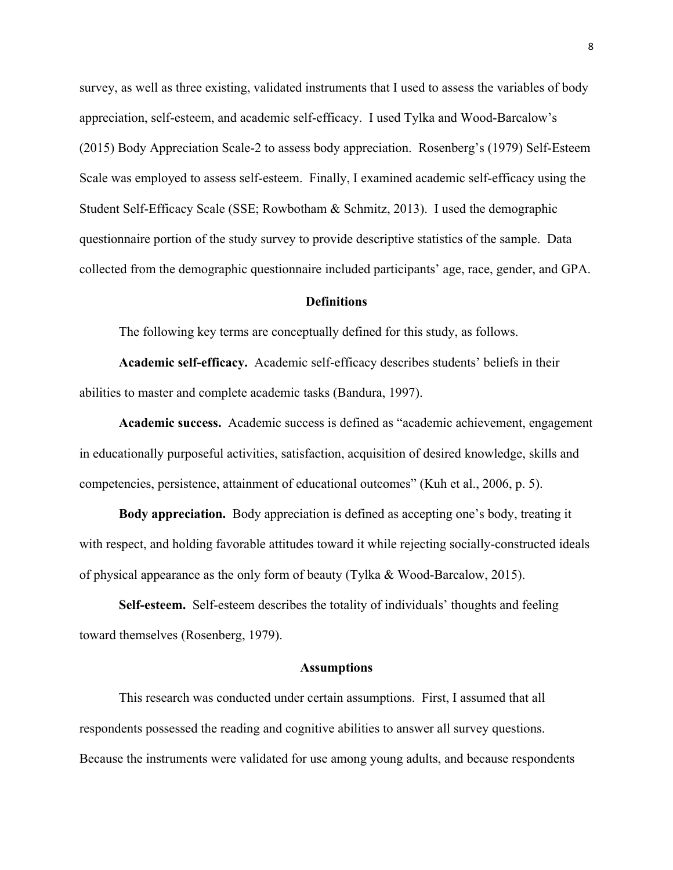survey, as well as three existing, validated instruments that I used to assess the variables of body appreciation, self-esteem, and academic self-efficacy. I used Tylka and Wood-Barcalow's (2015) Body Appreciation Scale-2 to assess body appreciation. Rosenberg's (1979) Self-Esteem Scale was employed to assess self-esteem. Finally, I examined academic self-efficacy using the Student Self-Efficacy Scale (SSE; Rowbotham & Schmitz, 2013). I used the demographic questionnaire portion of the study survey to provide descriptive statistics of the sample. Data collected from the demographic questionnaire included participants' age, race, gender, and GPA.

#### **Definitions**

The following key terms are conceptually defined for this study, as follows.

**Academic self-efficacy.** Academic self-efficacy describes students' beliefs in their abilities to master and complete academic tasks (Bandura, 1997).

**Academic success.** Academic success is defined as "academic achievement, engagement in educationally purposeful activities, satisfaction, acquisition of desired knowledge, skills and competencies, persistence, attainment of educational outcomes" (Kuh et al., 2006, p. 5).

**Body appreciation.** Body appreciation is defined as accepting one's body, treating it with respect, and holding favorable attitudes toward it while rejecting socially-constructed ideals of physical appearance as the only form of beauty (Tylka & Wood-Barcalow, 2015).

**Self-esteem.** Self-esteem describes the totality of individuals' thoughts and feeling toward themselves (Rosenberg, 1979).

#### **Assumptions**

This research was conducted under certain assumptions. First, I assumed that all respondents possessed the reading and cognitive abilities to answer all survey questions. Because the instruments were validated for use among young adults, and because respondents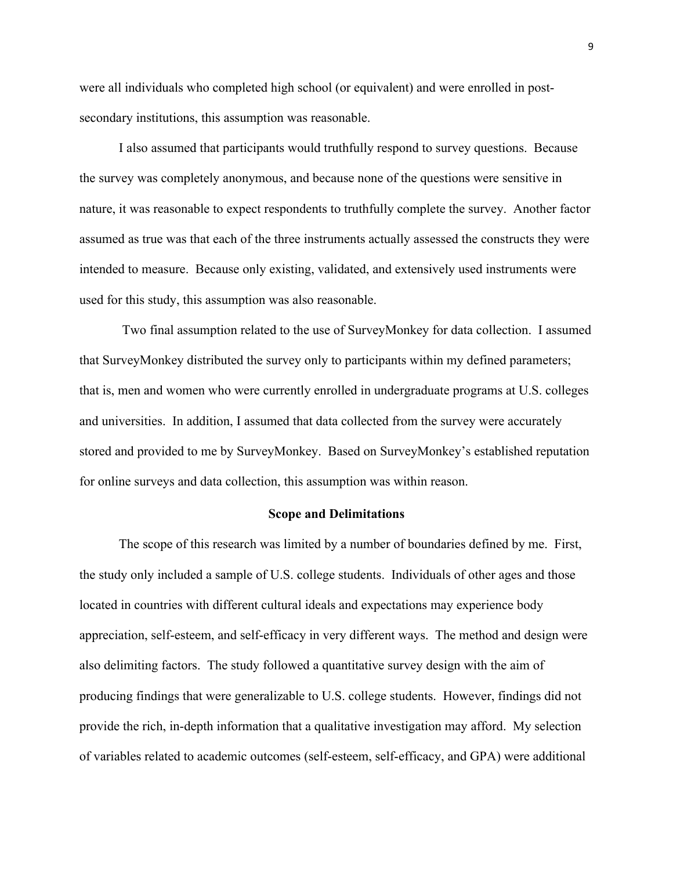were all individuals who completed high school (or equivalent) and were enrolled in postsecondary institutions, this assumption was reasonable.

I also assumed that participants would truthfully respond to survey questions. Because the survey was completely anonymous, and because none of the questions were sensitive in nature, it was reasonable to expect respondents to truthfully complete the survey. Another factor assumed as true was that each of the three instruments actually assessed the constructs they were intended to measure. Because only existing, validated, and extensively used instruments were used for this study, this assumption was also reasonable.

Two final assumption related to the use of SurveyMonkey for data collection. I assumed that SurveyMonkey distributed the survey only to participants within my defined parameters; that is, men and women who were currently enrolled in undergraduate programs at U.S. colleges and universities. In addition, I assumed that data collected from the survey were accurately stored and provided to me by SurveyMonkey. Based on SurveyMonkey's established reputation for online surveys and data collection, this assumption was within reason.

#### **Scope and Delimitations**

The scope of this research was limited by a number of boundaries defined by me. First, the study only included a sample of U.S. college students. Individuals of other ages and those located in countries with different cultural ideals and expectations may experience body appreciation, self-esteem, and self-efficacy in very different ways. The method and design were also delimiting factors. The study followed a quantitative survey design with the aim of producing findings that were generalizable to U.S. college students. However, findings did not provide the rich, in-depth information that a qualitative investigation may afford. My selection of variables related to academic outcomes (self-esteem, self-efficacy, and GPA) were additional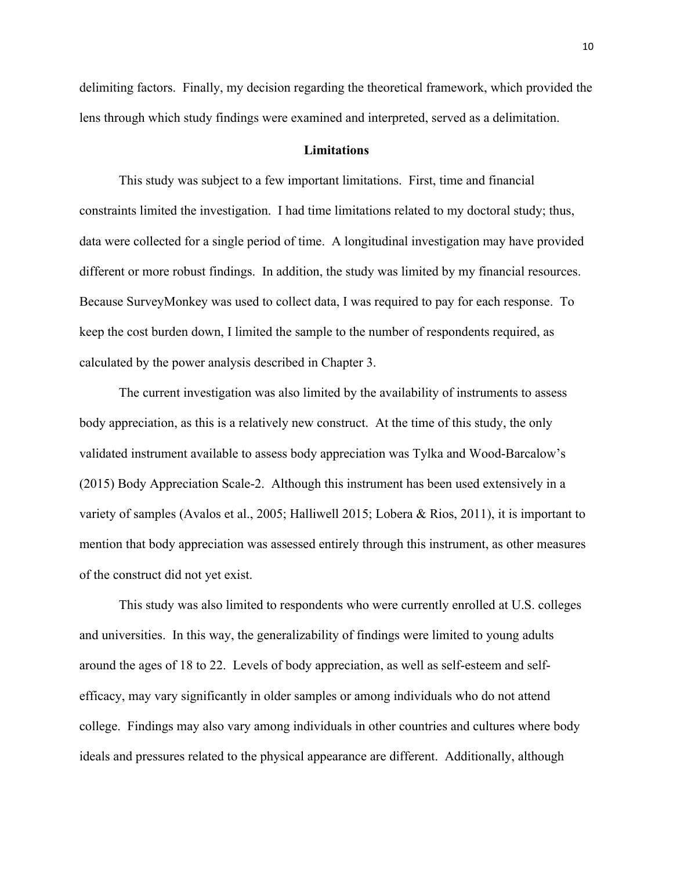delimiting factors. Finally, my decision regarding the theoretical framework, which provided the lens through which study findings were examined and interpreted, served as a delimitation.

#### **Limitations**

This study was subject to a few important limitations. First, time and financial constraints limited the investigation. I had time limitations related to my doctoral study; thus, data were collected for a single period of time. A longitudinal investigation may have provided different or more robust findings. In addition, the study was limited by my financial resources. Because SurveyMonkey was used to collect data, I was required to pay for each response. To keep the cost burden down, I limited the sample to the number of respondents required, as calculated by the power analysis described in Chapter 3.

The current investigation was also limited by the availability of instruments to assess body appreciation, as this is a relatively new construct. At the time of this study, the only validated instrument available to assess body appreciation was Tylka and Wood-Barcalow's (2015) Body Appreciation Scale-2. Although this instrument has been used extensively in a variety of samples (Avalos et al., 2005; Halliwell 2015; Lobera & Rios, 2011), it is important to mention that body appreciation was assessed entirely through this instrument, as other measures of the construct did not yet exist.

This study was also limited to respondents who were currently enrolled at U.S. colleges and universities. In this way, the generalizability of findings were limited to young adults around the ages of 18 to 22. Levels of body appreciation, as well as self-esteem and selfefficacy, may vary significantly in older samples or among individuals who do not attend college. Findings may also vary among individuals in other countries and cultures where body ideals and pressures related to the physical appearance are different. Additionally, although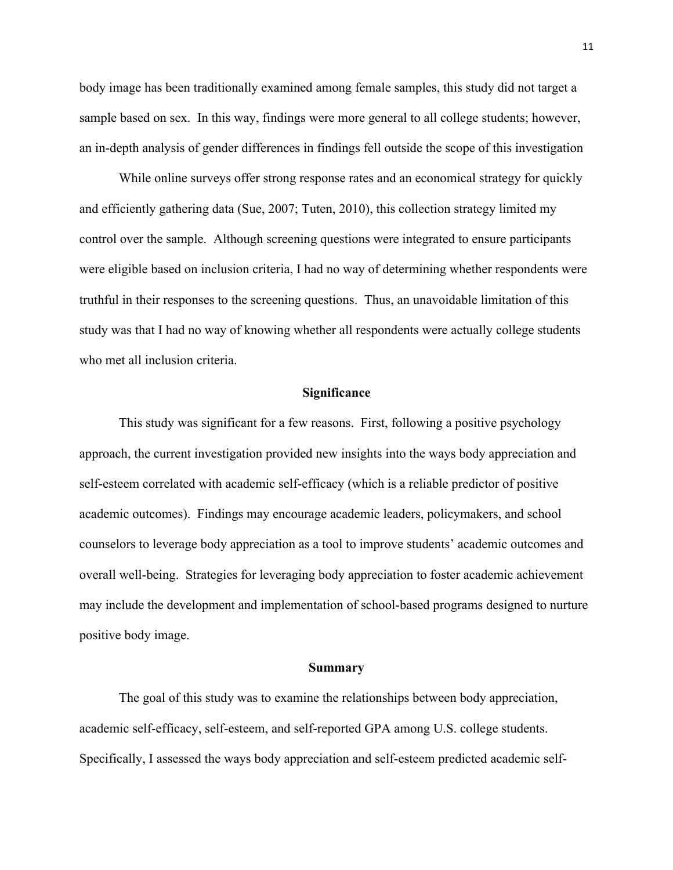body image has been traditionally examined among female samples, this study did not target a sample based on sex. In this way, findings were more general to all college students; however, an in-depth analysis of gender differences in findings fell outside the scope of this investigation

While online surveys offer strong response rates and an economical strategy for quickly and efficiently gathering data (Sue, 2007; Tuten, 2010), this collection strategy limited my control over the sample. Although screening questions were integrated to ensure participants were eligible based on inclusion criteria, I had no way of determining whether respondents were truthful in their responses to the screening questions. Thus, an unavoidable limitation of this study was that I had no way of knowing whether all respondents were actually college students who met all inclusion criteria.

#### **Significance**

This study was significant for a few reasons. First, following a positive psychology approach, the current investigation provided new insights into the ways body appreciation and self-esteem correlated with academic self-efficacy (which is a reliable predictor of positive academic outcomes). Findings may encourage academic leaders, policymakers, and school counselors to leverage body appreciation as a tool to improve students' academic outcomes and overall well-being. Strategies for leveraging body appreciation to foster academic achievement may include the development and implementation of school-based programs designed to nurture positive body image.

#### **Summary**

The goal of this study was to examine the relationships between body appreciation, academic self-efficacy, self-esteem, and self-reported GPA among U.S. college students. Specifically, I assessed the ways body appreciation and self-esteem predicted academic self-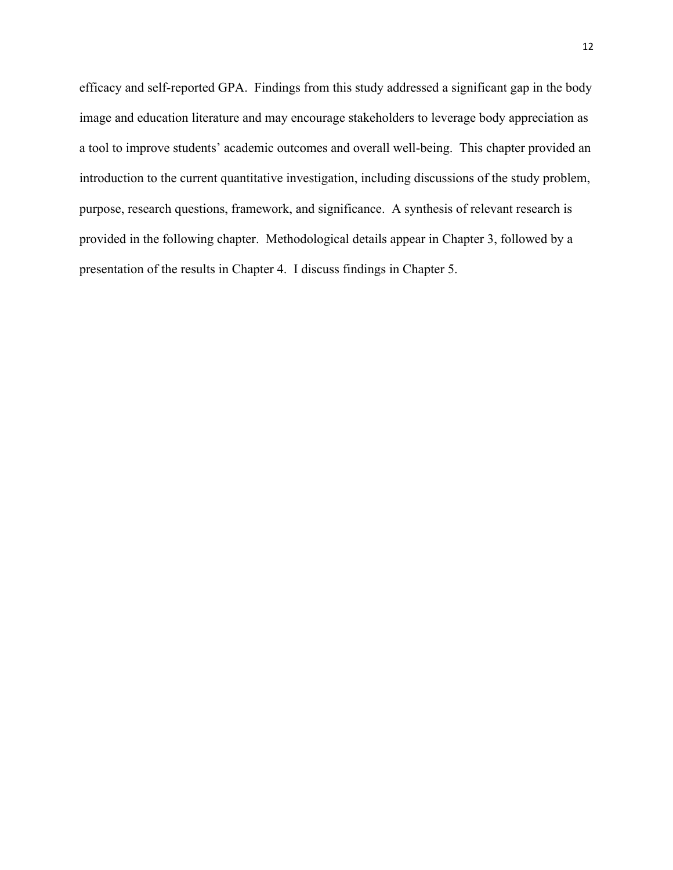efficacy and self-reported GPA. Findings from this study addressed a significant gap in the body image and education literature and may encourage stakeholders to leverage body appreciation as a tool to improve students' academic outcomes and overall well-being. This chapter provided an introduction to the current quantitative investigation, including discussions of the study problem, purpose, research questions, framework, and significance. A synthesis of relevant research is provided in the following chapter. Methodological details appear in Chapter 3, followed by a presentation of the results in Chapter 4. I discuss findings in Chapter 5.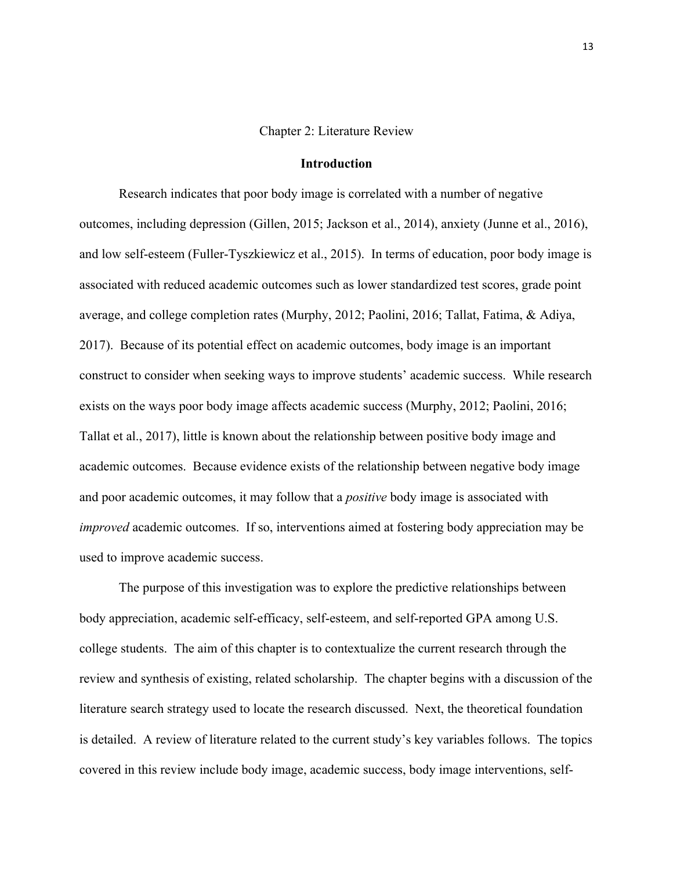#### Chapter 2: Literature Review

#### **Introduction**

Research indicates that poor body image is correlated with a number of negative outcomes, including depression (Gillen, 2015; Jackson et al., 2014), anxiety (Junne et al., 2016), and low self-esteem (Fuller-Tyszkiewicz et al., 2015). In terms of education, poor body image is associated with reduced academic outcomes such as lower standardized test scores, grade point average, and college completion rates (Murphy, 2012; Paolini, 2016; Tallat, Fatima, & Adiya, 2017). Because of its potential effect on academic outcomes, body image is an important construct to consider when seeking ways to improve students' academic success. While research exists on the ways poor body image affects academic success (Murphy, 2012; Paolini, 2016; Tallat et al., 2017), little is known about the relationship between positive body image and academic outcomes. Because evidence exists of the relationship between negative body image and poor academic outcomes, it may follow that a *positive* body image is associated with *improved* academic outcomes. If so, interventions aimed at fostering body appreciation may be used to improve academic success.

The purpose of this investigation was to explore the predictive relationships between body appreciation, academic self-efficacy, self-esteem, and self-reported GPA among U.S. college students. The aim of this chapter is to contextualize the current research through the review and synthesis of existing, related scholarship. The chapter begins with a discussion of the literature search strategy used to locate the research discussed. Next, the theoretical foundation is detailed. A review of literature related to the current study's key variables follows. The topics covered in this review include body image, academic success, body image interventions, self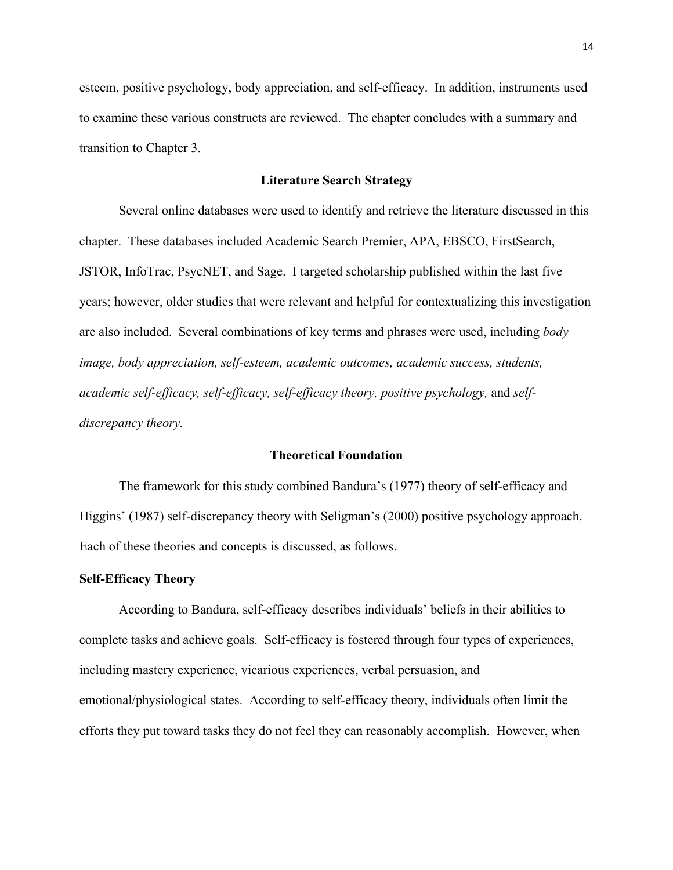esteem, positive psychology, body appreciation, and self-efficacy. In addition, instruments used to examine these various constructs are reviewed. The chapter concludes with a summary and transition to Chapter 3.

#### **Literature Search Strategy**

Several online databases were used to identify and retrieve the literature discussed in this chapter. These databases included Academic Search Premier, APA, EBSCO, FirstSearch, JSTOR, InfoTrac, PsycNET, and Sage. I targeted scholarship published within the last five years; however, older studies that were relevant and helpful for contextualizing this investigation are also included. Several combinations of key terms and phrases were used, including *body image, body appreciation, self-esteem, academic outcomes, academic success, students,*  academic self-efficacy, self-efficacy, self-efficacy theory, positive psychology, and self*discrepancy theory.* 

#### **Theoretical Foundation**

The framework for this study combined Bandura's (1977) theory of self-efficacy and Higgins' (1987) self-discrepancy theory with Seligman's (2000) positive psychology approach. Each of these theories and concepts is discussed, as follows.

#### **Self-Efficacy Theory**

According to Bandura, self-efficacy describes individuals' beliefs in their abilities to complete tasks and achieve goals. Self-efficacy is fostered through four types of experiences, including mastery experience, vicarious experiences, verbal persuasion, and emotional/physiological states. According to self-efficacy theory, individuals often limit the efforts they put toward tasks they do not feel they can reasonably accomplish. However, when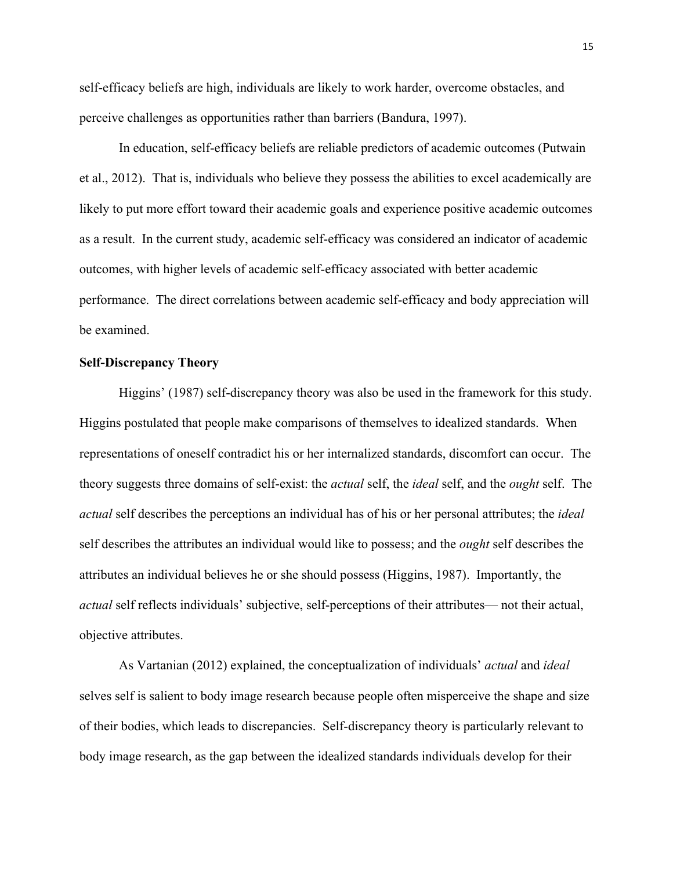self-efficacy beliefs are high, individuals are likely to work harder, overcome obstacles, and perceive challenges as opportunities rather than barriers (Bandura, 1997).

In education, self-efficacy beliefs are reliable predictors of academic outcomes (Putwain et al., 2012). That is, individuals who believe they possess the abilities to excel academically are likely to put more effort toward their academic goals and experience positive academic outcomes as a result. In the current study, academic self-efficacy was considered an indicator of academic outcomes, with higher levels of academic self-efficacy associated with better academic performance. The direct correlations between academic self-efficacy and body appreciation will be examined.

#### **Self-Discrepancy Theory**

Higgins' (1987) self-discrepancy theory was also be used in the framework for this study. Higgins postulated that people make comparisons of themselves to idealized standards. When representations of oneself contradict his or her internalized standards, discomfort can occur. The theory suggests three domains of self-exist: the *actual* self, the *ideal* self, and the *ought* self. The *actual* self describes the perceptions an individual has of his or her personal attributes; the *ideal* self describes the attributes an individual would like to possess; and the *ought* self describes the attributes an individual believes he or she should possess (Higgins, 1987). Importantly, the *actual* self reflects individuals' subjective, self-perceptions of their attributes— not their actual, objective attributes.

As Vartanian (2012) explained, the conceptualization of individuals' *actual* and *ideal*  selves self is salient to body image research because people often misperceive the shape and size of their bodies, which leads to discrepancies. Self-discrepancy theory is particularly relevant to body image research, as the gap between the idealized standards individuals develop for their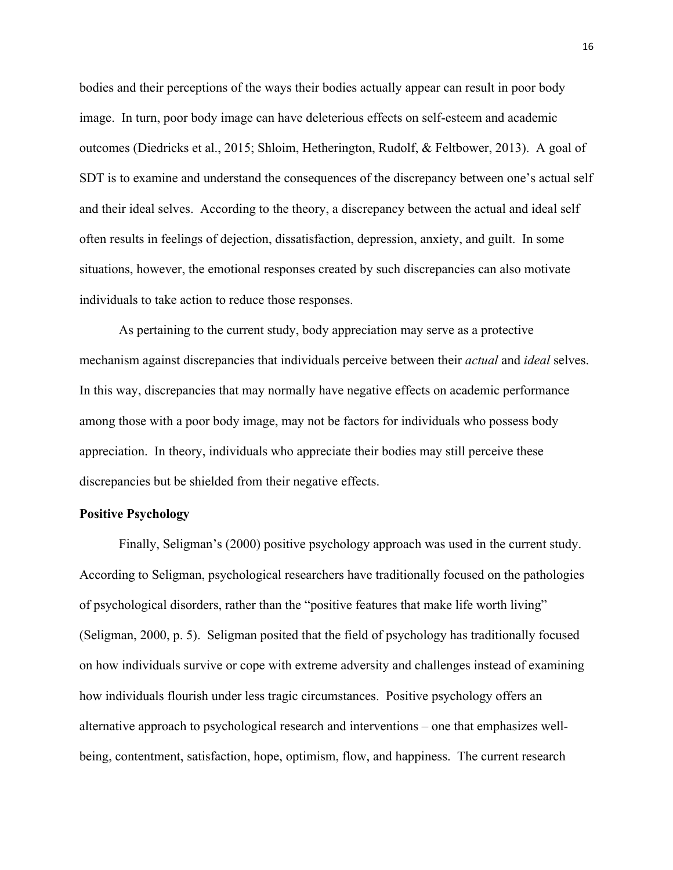bodies and their perceptions of the ways their bodies actually appear can result in poor body image. In turn, poor body image can have deleterious effects on self-esteem and academic outcomes (Diedricks et al., 2015; Shloim, Hetherington, Rudolf, & Feltbower, 2013). A goal of SDT is to examine and understand the consequences of the discrepancy between one's actual self and their ideal selves. According to the theory, a discrepancy between the actual and ideal self often results in feelings of dejection, dissatisfaction, depression, anxiety, and guilt. In some situations, however, the emotional responses created by such discrepancies can also motivate individuals to take action to reduce those responses.

As pertaining to the current study, body appreciation may serve as a protective mechanism against discrepancies that individuals perceive between their *actual* and *ideal* selves. In this way, discrepancies that may normally have negative effects on academic performance among those with a poor body image, may not be factors for individuals who possess body appreciation. In theory, individuals who appreciate their bodies may still perceive these discrepancies but be shielded from their negative effects.

#### **Positive Psychology**

Finally, Seligman's (2000) positive psychology approach was used in the current study. According to Seligman, psychological researchers have traditionally focused on the pathologies of psychological disorders, rather than the "positive features that make life worth living" (Seligman, 2000, p. 5). Seligman posited that the field of psychology has traditionally focused on how individuals survive or cope with extreme adversity and challenges instead of examining how individuals flourish under less tragic circumstances. Positive psychology offers an alternative approach to psychological research and interventions – one that emphasizes wellbeing, contentment, satisfaction, hope, optimism, flow, and happiness. The current research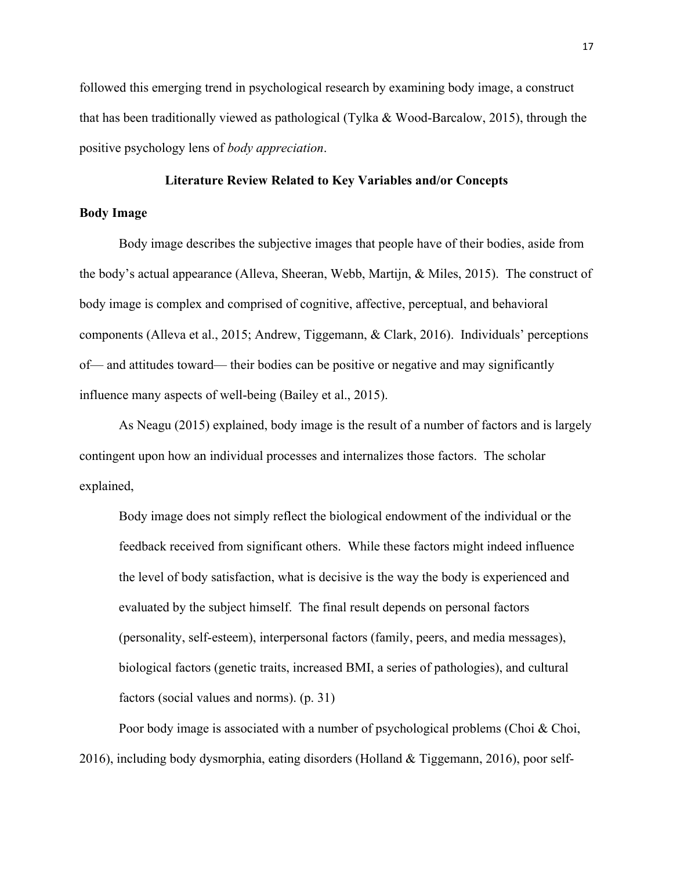followed this emerging trend in psychological research by examining body image, a construct that has been traditionally viewed as pathological (Tylka & Wood-Barcalow, 2015), through the positive psychology lens of *body appreciation*.

#### **Literature Review Related to Key Variables and/or Concepts**

#### **Body Image**

Body image describes the subjective images that people have of their bodies, aside from the body's actual appearance (Alleva, Sheeran, Webb, Martijn, & Miles, 2015). The construct of body image is complex and comprised of cognitive, affective, perceptual, and behavioral components (Alleva et al., 2015; Andrew, Tiggemann, & Clark, 2016). Individuals' perceptions of— and attitudes toward— their bodies can be positive or negative and may significantly influence many aspects of well-being (Bailey et al., 2015).

As Neagu (2015) explained, body image is the result of a number of factors and is largely contingent upon how an individual processes and internalizes those factors. The scholar explained,

Body image does not simply reflect the biological endowment of the individual or the feedback received from significant others. While these factors might indeed influence the level of body satisfaction, what is decisive is the way the body is experienced and evaluated by the subject himself. The final result depends on personal factors (personality, self-esteem), interpersonal factors (family, peers, and media messages), biological factors (genetic traits, increased BMI, a series of pathologies), and cultural factors (social values and norms). (p. 31)

Poor body image is associated with a number of psychological problems (Choi & Choi, 2016), including body dysmorphia, eating disorders (Holland & Tiggemann, 2016), poor self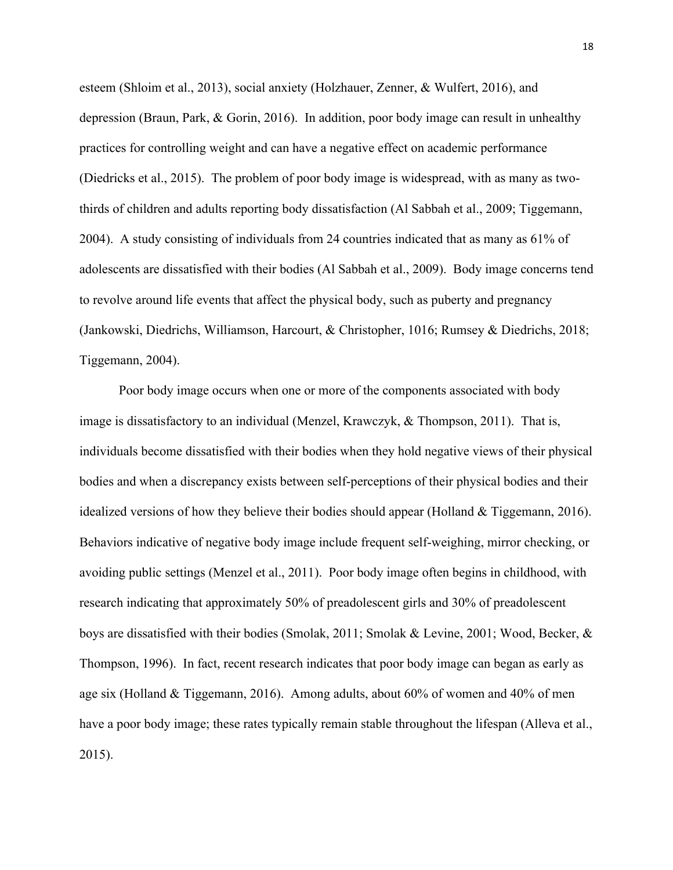esteem (Shloim et al., 2013), social anxiety (Holzhauer, Zenner, & Wulfert, 2016), and depression (Braun, Park, & Gorin, 2016). In addition, poor body image can result in unhealthy practices for controlling weight and can have a negative effect on academic performance (Diedricks et al., 2015). The problem of poor body image is widespread, with as many as twothirds of children and adults reporting body dissatisfaction (Al Sabbah et al., 2009; Tiggemann, 2004). A study consisting of individuals from 24 countries indicated that as many as 61% of adolescents are dissatisfied with their bodies (Al Sabbah et al., 2009). Body image concerns tend to revolve around life events that affect the physical body, such as puberty and pregnancy (Jankowski, Diedrichs, Williamson, Harcourt, & Christopher, 1016; Rumsey & Diedrichs, 2018; Tiggemann, 2004).

Poor body image occurs when one or more of the components associated with body image is dissatisfactory to an individual (Menzel, Krawczyk, & Thompson, 2011). That is, individuals become dissatisfied with their bodies when they hold negative views of their physical bodies and when a discrepancy exists between self-perceptions of their physical bodies and their idealized versions of how they believe their bodies should appear (Holland & Tiggemann, 2016). Behaviors indicative of negative body image include frequent self-weighing, mirror checking, or avoiding public settings (Menzel et al., 2011). Poor body image often begins in childhood, with research indicating that approximately 50% of preadolescent girls and 30% of preadolescent boys are dissatisfied with their bodies (Smolak, 2011; Smolak & Levine, 2001; Wood, Becker, & Thompson, 1996). In fact, recent research indicates that poor body image can began as early as age six (Holland & Tiggemann, 2016). Among adults, about 60% of women and 40% of men have a poor body image; these rates typically remain stable throughout the lifespan (Alleva et al., 2015).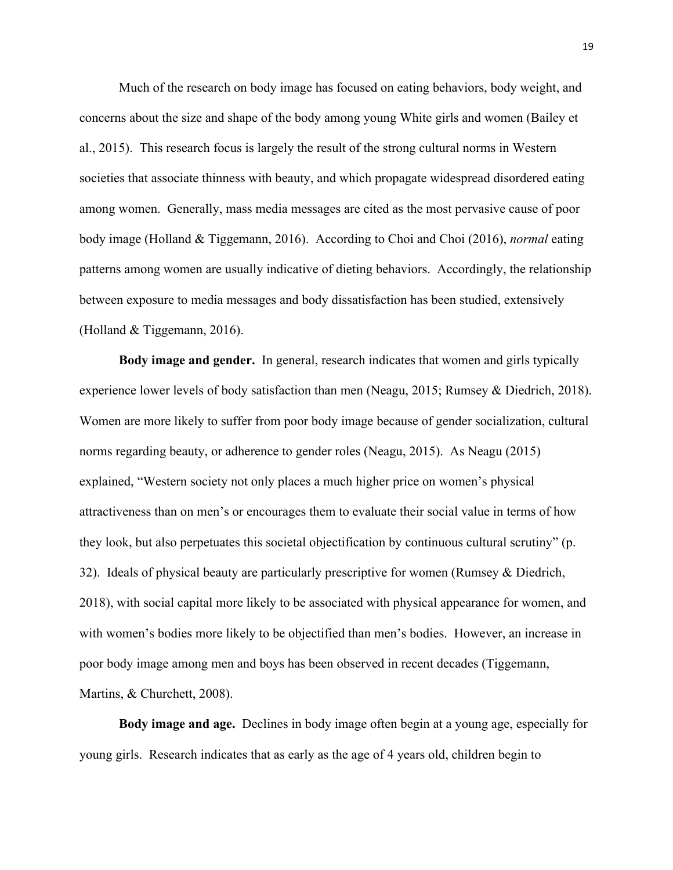Much of the research on body image has focused on eating behaviors, body weight, and concerns about the size and shape of the body among young White girls and women (Bailey et al., 2015). This research focus is largely the result of the strong cultural norms in Western societies that associate thinness with beauty, and which propagate widespread disordered eating among women. Generally, mass media messages are cited as the most pervasive cause of poor body image (Holland & Tiggemann, 2016). According to Choi and Choi (2016), *normal* eating patterns among women are usually indicative of dieting behaviors. Accordingly, the relationship between exposure to media messages and body dissatisfaction has been studied, extensively (Holland & Tiggemann, 2016).

**Body image and gender.** In general, research indicates that women and girls typically experience lower levels of body satisfaction than men (Neagu, 2015; Rumsey & Diedrich, 2018). Women are more likely to suffer from poor body image because of gender socialization, cultural norms regarding beauty, or adherence to gender roles (Neagu, 2015). As Neagu (2015) explained, "Western society not only places a much higher price on women's physical attractiveness than on men's or encourages them to evaluate their social value in terms of how they look, but also perpetuates this societal objectification by continuous cultural scrutiny" (p. 32). Ideals of physical beauty are particularly prescriptive for women (Rumsey  $\&$  Diedrich, 2018), with social capital more likely to be associated with physical appearance for women, and with women's bodies more likely to be objectified than men's bodies. However, an increase in poor body image among men and boys has been observed in recent decades (Tiggemann, Martins, & Churchett, 2008).

**Body image and age.** Declines in body image often begin at a young age, especially for young girls. Research indicates that as early as the age of 4 years old, children begin to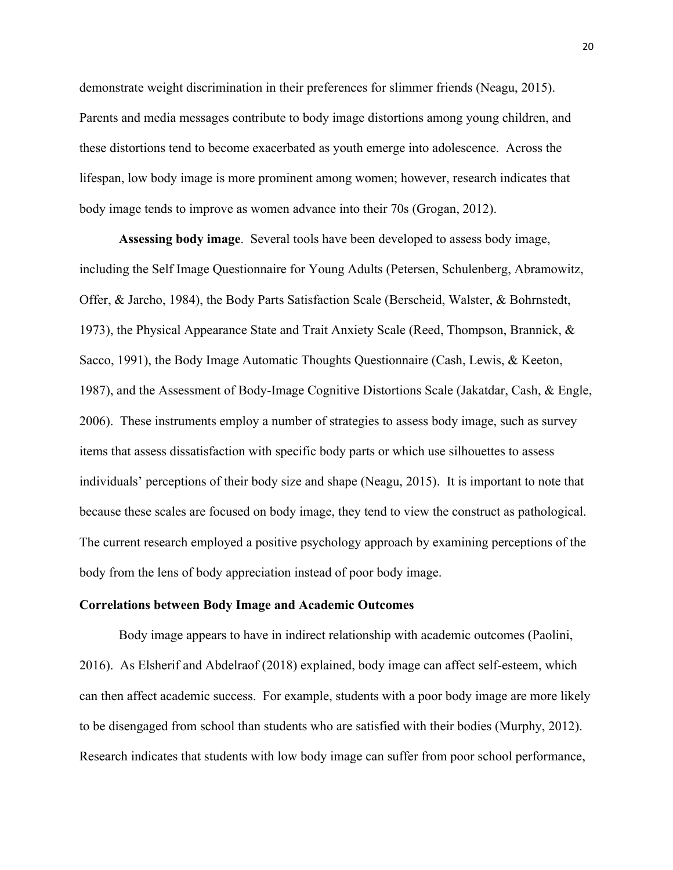demonstrate weight discrimination in their preferences for slimmer friends (Neagu, 2015). Parents and media messages contribute to body image distortions among young children, and these distortions tend to become exacerbated as youth emerge into adolescence. Across the lifespan, low body image is more prominent among women; however, research indicates that body image tends to improve as women advance into their 70s (Grogan, 2012).

**Assessing body image**. Several tools have been developed to assess body image, including the Self Image Questionnaire for Young Adults (Petersen, Schulenberg, Abramowitz, Offer, & Jarcho, 1984), the Body Parts Satisfaction Scale (Berscheid, Walster, & Bohrnstedt, 1973), the Physical Appearance State and Trait Anxiety Scale (Reed, Thompson, Brannick, & Sacco, 1991), the Body Image Automatic Thoughts Questionnaire (Cash, Lewis, & Keeton, 1987), and the Assessment of Body-Image Cognitive Distortions Scale (Jakatdar, Cash, & Engle, 2006). These instruments employ a number of strategies to assess body image, such as survey items that assess dissatisfaction with specific body parts or which use silhouettes to assess individuals' perceptions of their body size and shape (Neagu, 2015). It is important to note that because these scales are focused on body image, they tend to view the construct as pathological. The current research employed a positive psychology approach by examining perceptions of the body from the lens of body appreciation instead of poor body image.

#### **Correlations between Body Image and Academic Outcomes**

Body image appears to have in indirect relationship with academic outcomes (Paolini, 2016). As Elsherif and Abdelraof (2018) explained, body image can affect self-esteem, which can then affect academic success. For example, students with a poor body image are more likely to be disengaged from school than students who are satisfied with their bodies (Murphy, 2012). Research indicates that students with low body image can suffer from poor school performance,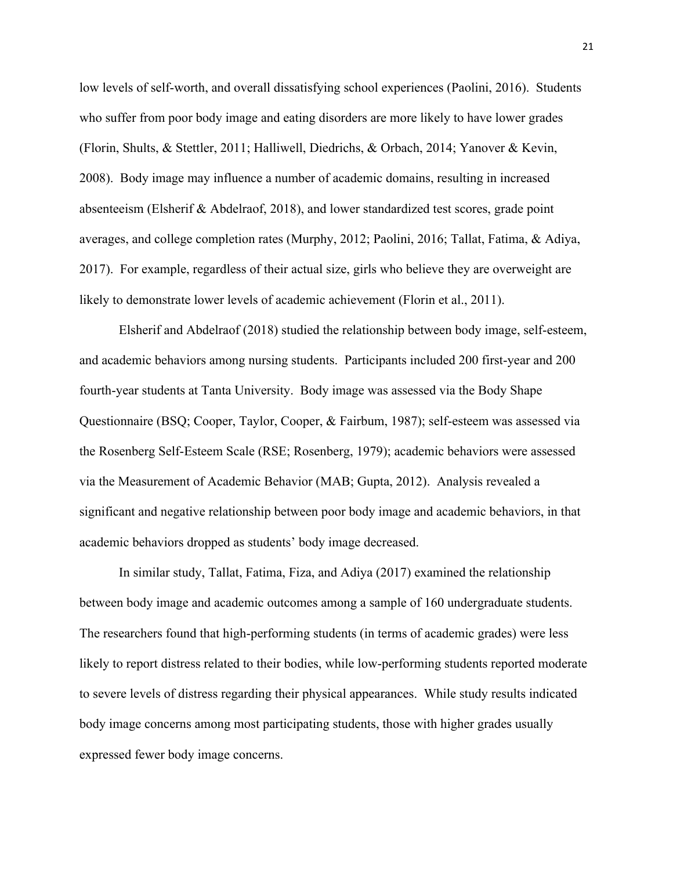low levels of self-worth, and overall dissatisfying school experiences (Paolini, 2016). Students who suffer from poor body image and eating disorders are more likely to have lower grades (Florin, Shults, & Stettler, 2011; Halliwell, Diedrichs, & Orbach, 2014; Yanover & Kevin, 2008). Body image may influence a number of academic domains, resulting in increased absenteeism (Elsherif & Abdelraof, 2018), and lower standardized test scores, grade point averages, and college completion rates (Murphy, 2012; Paolini, 2016; Tallat, Fatima, & Adiya, 2017). For example, regardless of their actual size, girls who believe they are overweight are likely to demonstrate lower levels of academic achievement (Florin et al., 2011).

Elsherif and Abdelraof (2018) studied the relationship between body image, self-esteem, and academic behaviors among nursing students. Participants included 200 first-year and 200 fourth-year students at Tanta University. Body image was assessed via the Body Shape Questionnaire (BSQ; Cooper, Taylor, Cooper, & Fairbum, 1987); self-esteem was assessed via the Rosenberg Self-Esteem Scale (RSE; Rosenberg, 1979); academic behaviors were assessed via the Measurement of Academic Behavior (MAB; Gupta, 2012). Analysis revealed a significant and negative relationship between poor body image and academic behaviors, in that academic behaviors dropped as students' body image decreased.

In similar study, Tallat, Fatima, Fiza, and Adiya (2017) examined the relationship between body image and academic outcomes among a sample of 160 undergraduate students. The researchers found that high-performing students (in terms of academic grades) were less likely to report distress related to their bodies, while low-performing students reported moderate to severe levels of distress regarding their physical appearances. While study results indicated body image concerns among most participating students, those with higher grades usually expressed fewer body image concerns.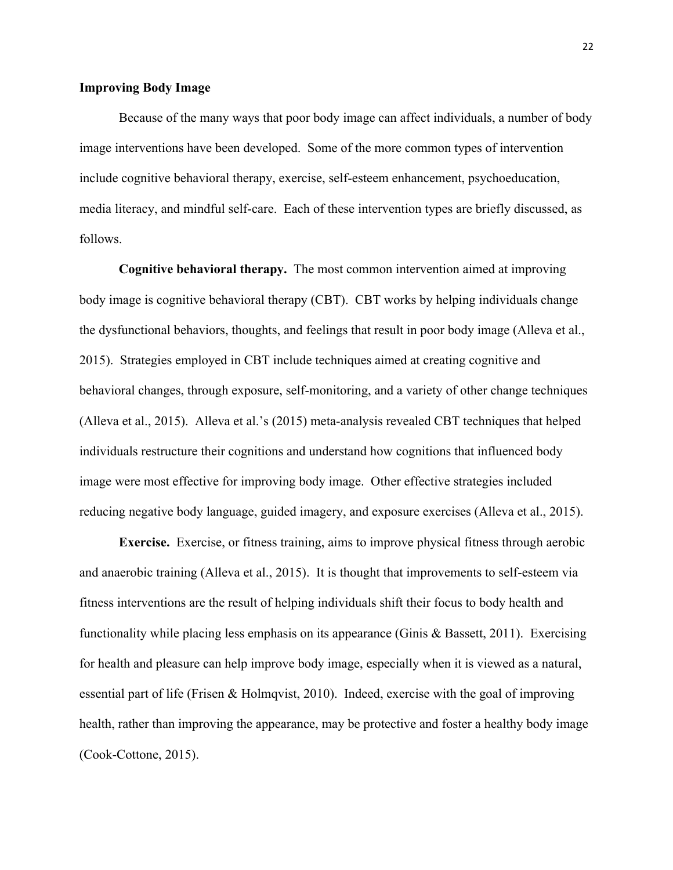#### **Improving Body Image**

Because of the many ways that poor body image can affect individuals, a number of body image interventions have been developed. Some of the more common types of intervention include cognitive behavioral therapy, exercise, self-esteem enhancement, psychoeducation, media literacy, and mindful self-care. Each of these intervention types are briefly discussed, as follows.

**Cognitive behavioral therapy.** The most common intervention aimed at improving body image is cognitive behavioral therapy (CBT). CBT works by helping individuals change the dysfunctional behaviors, thoughts, and feelings that result in poor body image (Alleva et al., 2015). Strategies employed in CBT include techniques aimed at creating cognitive and behavioral changes, through exposure, self-monitoring, and a variety of other change techniques (Alleva et al., 2015). Alleva et al.'s (2015) meta-analysis revealed CBT techniques that helped individuals restructure their cognitions and understand how cognitions that influenced body image were most effective for improving body image. Other effective strategies included reducing negative body language, guided imagery, and exposure exercises (Alleva et al., 2015).

**Exercise.** Exercise, or fitness training, aims to improve physical fitness through aerobic and anaerobic training (Alleva et al., 2015). It is thought that improvements to self-esteem via fitness interventions are the result of helping individuals shift their focus to body health and functionality while placing less emphasis on its appearance (Ginis & Bassett, 2011). Exercising for health and pleasure can help improve body image, especially when it is viewed as a natural, essential part of life (Frisen & Holmqvist, 2010). Indeed, exercise with the goal of improving health, rather than improving the appearance, may be protective and foster a healthy body image (Cook-Cottone, 2015).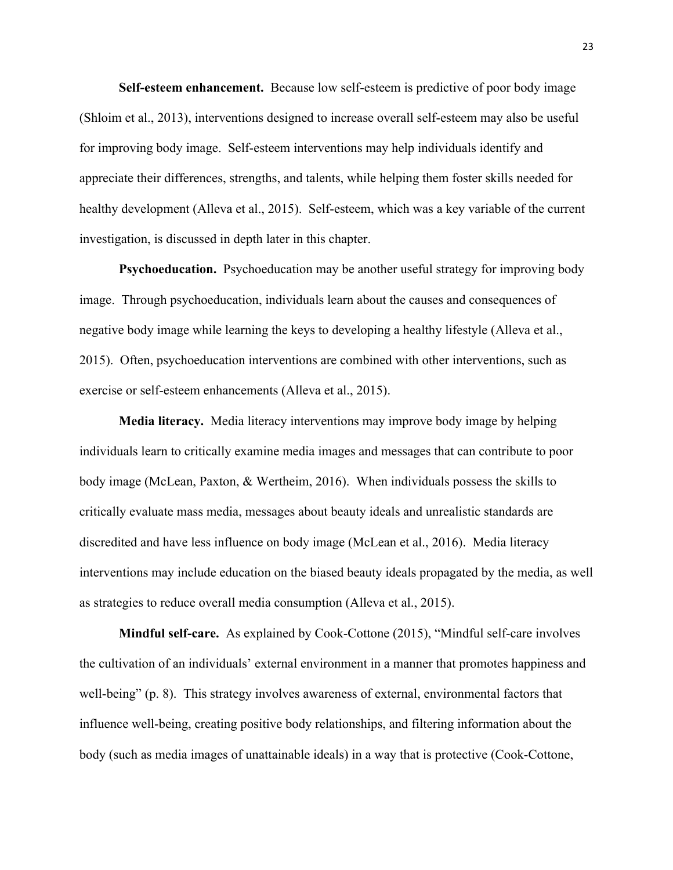**Self-esteem enhancement.** Because low self-esteem is predictive of poor body image (Shloim et al., 2013), interventions designed to increase overall self-esteem may also be useful for improving body image. Self-esteem interventions may help individuals identify and appreciate their differences, strengths, and talents, while helping them foster skills needed for healthy development (Alleva et al., 2015). Self-esteem, which was a key variable of the current investigation, is discussed in depth later in this chapter.

**Psychoeducation.** Psychoeducation may be another useful strategy for improving body image. Through psychoeducation, individuals learn about the causes and consequences of negative body image while learning the keys to developing a healthy lifestyle (Alleva et al., 2015). Often, psychoeducation interventions are combined with other interventions, such as exercise or self-esteem enhancements (Alleva et al., 2015).

**Media literacy.** Media literacy interventions may improve body image by helping individuals learn to critically examine media images and messages that can contribute to poor body image (McLean, Paxton, & Wertheim, 2016). When individuals possess the skills to critically evaluate mass media, messages about beauty ideals and unrealistic standards are discredited and have less influence on body image (McLean et al., 2016). Media literacy interventions may include education on the biased beauty ideals propagated by the media, as well as strategies to reduce overall media consumption (Alleva et al., 2015).

**Mindful self-care.** As explained by Cook-Cottone (2015), "Mindful self-care involves the cultivation of an individuals' external environment in a manner that promotes happiness and well-being" (p. 8). This strategy involves awareness of external, environmental factors that influence well-being, creating positive body relationships, and filtering information about the body (such as media images of unattainable ideals) in a way that is protective (Cook-Cottone,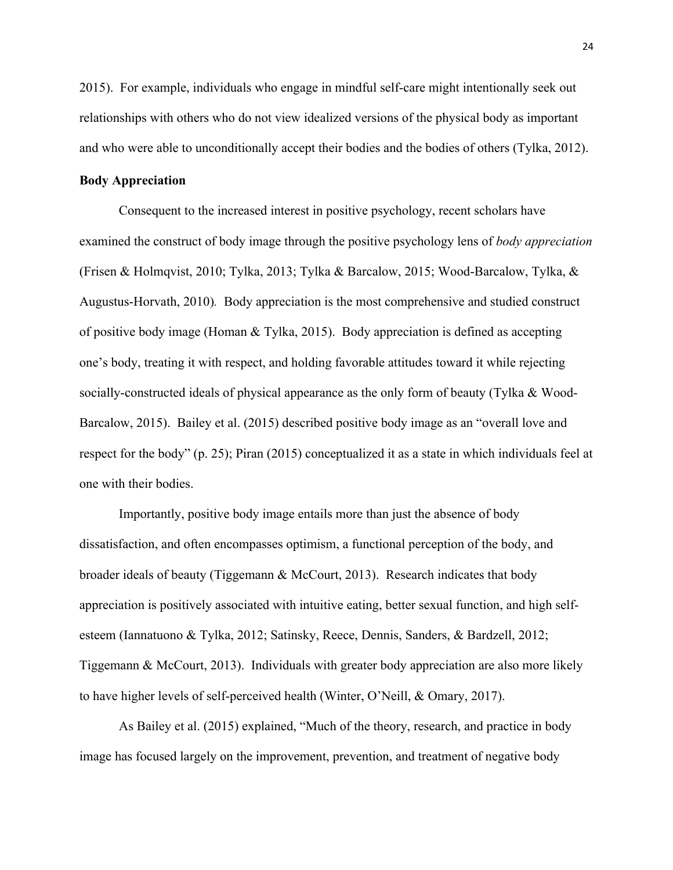2015). For example, individuals who engage in mindful self-care might intentionally seek out relationships with others who do not view idealized versions of the physical body as important and who were able to unconditionally accept their bodies and the bodies of others (Tylka, 2012).

## **Body Appreciation**

Consequent to the increased interest in positive psychology, recent scholars have examined the construct of body image through the positive psychology lens of *body appreciation* (Frisen & Holmqvist, 2010; Tylka, 2013; Tylka & Barcalow, 2015; Wood-Barcalow, Tylka, & Augustus-Horvath, 2010)*.* Body appreciation is the most comprehensive and studied construct of positive body image (Homan & Tylka, 2015). Body appreciation is defined as accepting one's body, treating it with respect, and holding favorable attitudes toward it while rejecting socially-constructed ideals of physical appearance as the only form of beauty (Tylka & Wood-Barcalow, 2015). Bailey et al. (2015) described positive body image as an "overall love and respect for the body" (p. 25); Piran (2015) conceptualized it as a state in which individuals feel at one with their bodies.

Importantly, positive body image entails more than just the absence of body dissatisfaction, and often encompasses optimism, a functional perception of the body, and broader ideals of beauty (Tiggemann & McCourt, 2013). Research indicates that body appreciation is positively associated with intuitive eating, better sexual function, and high selfesteem (Iannatuono & Tylka, 2012; Satinsky, Reece, Dennis, Sanders, & Bardzell, 2012; Tiggemann & McCourt, 2013). Individuals with greater body appreciation are also more likely to have higher levels of self-perceived health (Winter, O'Neill, & Omary, 2017).

As Bailey et al. (2015) explained, "Much of the theory, research, and practice in body image has focused largely on the improvement, prevention, and treatment of negative body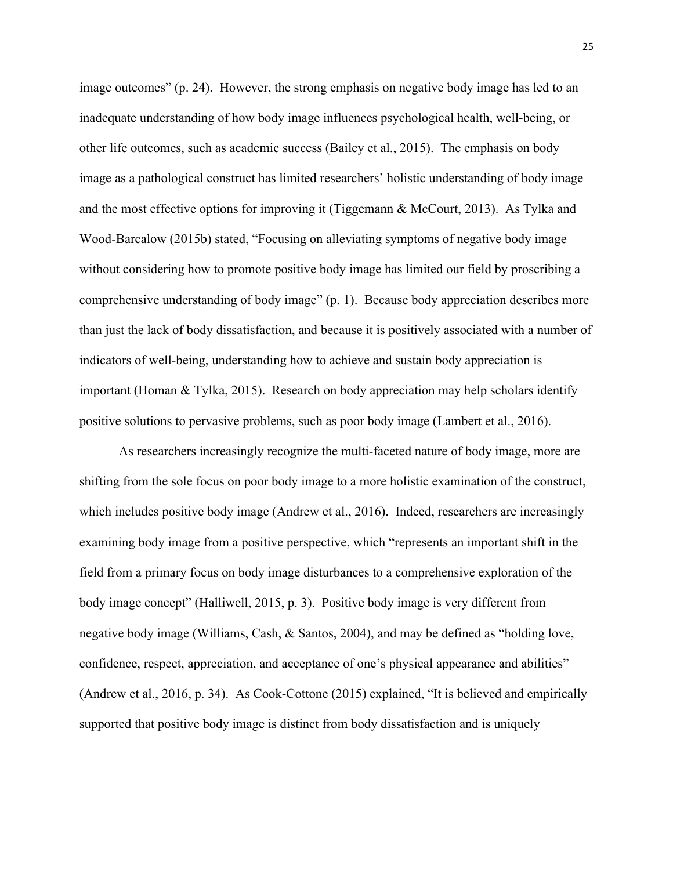image outcomes" (p. 24). However, the strong emphasis on negative body image has led to an inadequate understanding of how body image influences psychological health, well-being, or other life outcomes, such as academic success (Bailey et al., 2015). The emphasis on body image as a pathological construct has limited researchers' holistic understanding of body image and the most effective options for improving it (Tiggemann & McCourt, 2013). As Tylka and Wood-Barcalow (2015b) stated, "Focusing on alleviating symptoms of negative body image without considering how to promote positive body image has limited our field by proscribing a comprehensive understanding of body image" (p. 1). Because body appreciation describes more than just the lack of body dissatisfaction, and because it is positively associated with a number of indicators of well-being, understanding how to achieve and sustain body appreciation is important (Homan & Tylka, 2015). Research on body appreciation may help scholars identify positive solutions to pervasive problems, such as poor body image (Lambert et al., 2016).

As researchers increasingly recognize the multi-faceted nature of body image, more are shifting from the sole focus on poor body image to a more holistic examination of the construct, which includes positive body image (Andrew et al., 2016). Indeed, researchers are increasingly examining body image from a positive perspective, which "represents an important shift in the field from a primary focus on body image disturbances to a comprehensive exploration of the body image concept" (Halliwell, 2015, p. 3). Positive body image is very different from negative body image (Williams, Cash, & Santos, 2004), and may be defined as "holding love, confidence, respect, appreciation, and acceptance of one's physical appearance and abilities" (Andrew et al., 2016, p. 34). As Cook-Cottone (2015) explained, "It is believed and empirically supported that positive body image is distinct from body dissatisfaction and is uniquely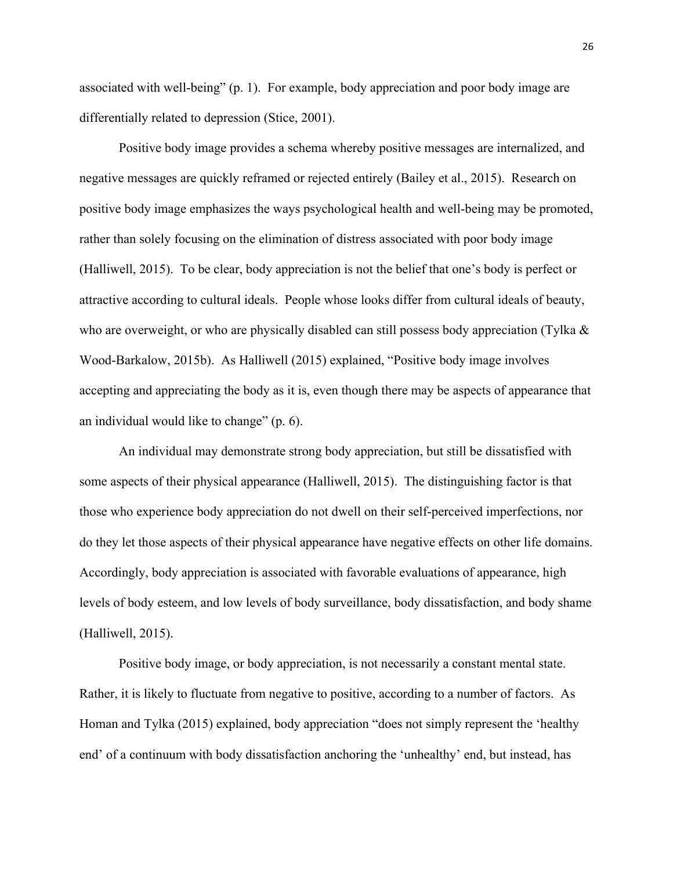associated with well-being" (p. 1). For example, body appreciation and poor body image are differentially related to depression (Stice, 2001).

Positive body image provides a schema whereby positive messages are internalized, and negative messages are quickly reframed or rejected entirely (Bailey et al., 2015). Research on positive body image emphasizes the ways psychological health and well-being may be promoted, rather than solely focusing on the elimination of distress associated with poor body image (Halliwell, 2015). To be clear, body appreciation is not the belief that one's body is perfect or attractive according to cultural ideals. People whose looks differ from cultural ideals of beauty, who are overweight, or who are physically disabled can still possess body appreciation (Tylka & Wood-Barkalow, 2015b). As Halliwell (2015) explained, "Positive body image involves accepting and appreciating the body as it is, even though there may be aspects of appearance that an individual would like to change" (p. 6).

An individual may demonstrate strong body appreciation, but still be dissatisfied with some aspects of their physical appearance (Halliwell, 2015). The distinguishing factor is that those who experience body appreciation do not dwell on their self-perceived imperfections, nor do they let those aspects of their physical appearance have negative effects on other life domains. Accordingly, body appreciation is associated with favorable evaluations of appearance, high levels of body esteem, and low levels of body surveillance, body dissatisfaction, and body shame (Halliwell, 2015).

Positive body image, or body appreciation, is not necessarily a constant mental state. Rather, it is likely to fluctuate from negative to positive, according to a number of factors. As Homan and Tylka (2015) explained, body appreciation "does not simply represent the 'healthy end' of a continuum with body dissatisfaction anchoring the 'unhealthy' end, but instead, has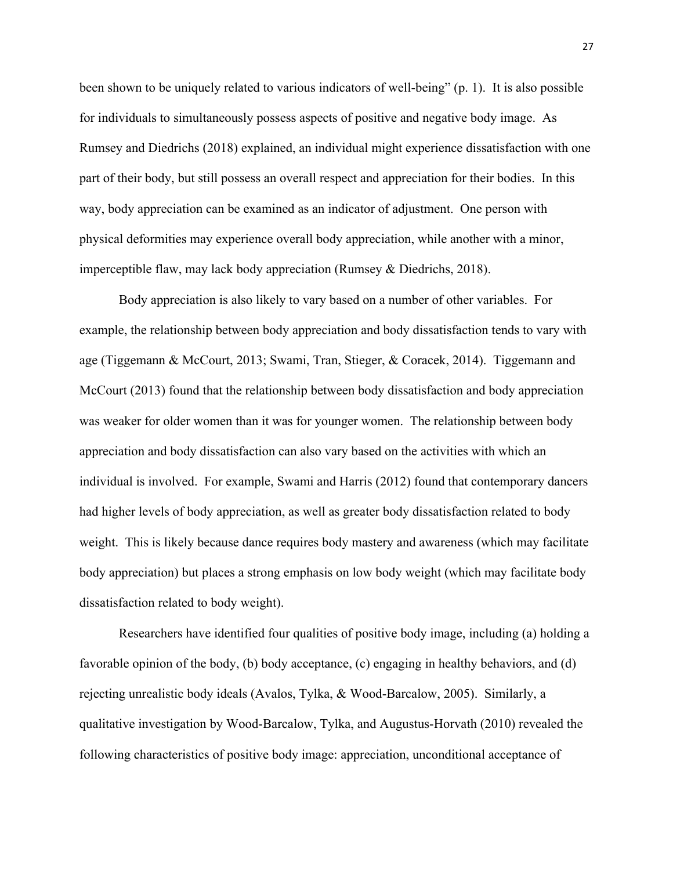been shown to be uniquely related to various indicators of well-being" (p. 1). It is also possible for individuals to simultaneously possess aspects of positive and negative body image. As Rumsey and Diedrichs (2018) explained, an individual might experience dissatisfaction with one part of their body, but still possess an overall respect and appreciation for their bodies. In this way, body appreciation can be examined as an indicator of adjustment. One person with physical deformities may experience overall body appreciation, while another with a minor, imperceptible flaw, may lack body appreciation (Rumsey & Diedrichs, 2018).

Body appreciation is also likely to vary based on a number of other variables. For example, the relationship between body appreciation and body dissatisfaction tends to vary with age (Tiggemann & McCourt, 2013; Swami, Tran, Stieger, & Coracek, 2014). Tiggemann and McCourt (2013) found that the relationship between body dissatisfaction and body appreciation was weaker for older women than it was for younger women. The relationship between body appreciation and body dissatisfaction can also vary based on the activities with which an individual is involved. For example, Swami and Harris (2012) found that contemporary dancers had higher levels of body appreciation, as well as greater body dissatisfaction related to body weight. This is likely because dance requires body mastery and awareness (which may facilitate body appreciation) but places a strong emphasis on low body weight (which may facilitate body dissatisfaction related to body weight).

Researchers have identified four qualities of positive body image, including (a) holding a favorable opinion of the body, (b) body acceptance, (c) engaging in healthy behaviors, and (d) rejecting unrealistic body ideals (Avalos, Tylka, & Wood-Barcalow, 2005). Similarly, a qualitative investigation by Wood-Barcalow, Tylka, and Augustus-Horvath (2010) revealed the following characteristics of positive body image: appreciation, unconditional acceptance of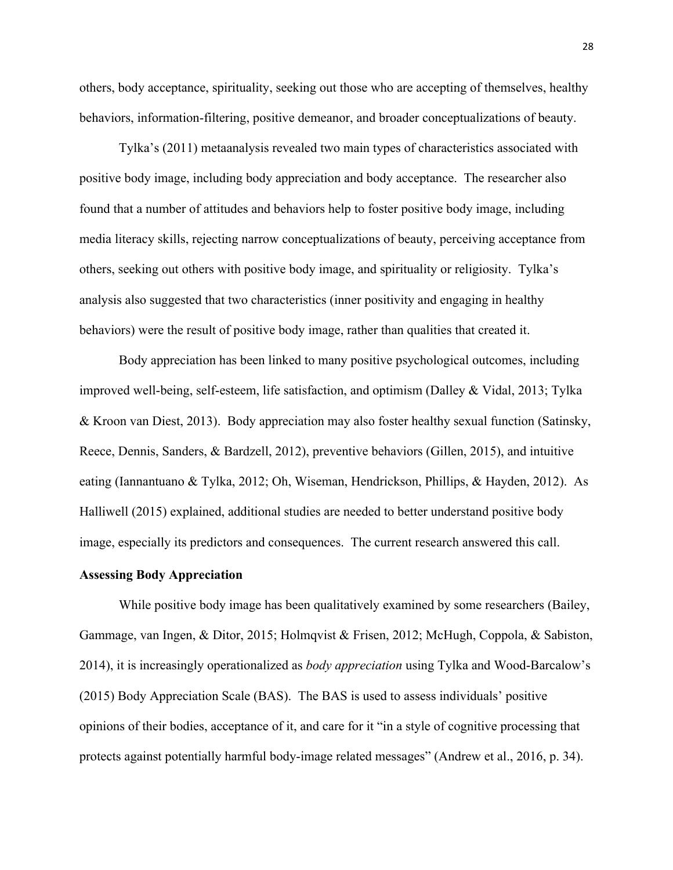others, body acceptance, spirituality, seeking out those who are accepting of themselves, healthy behaviors, information-filtering, positive demeanor, and broader conceptualizations of beauty.

Tylka's (2011) metaanalysis revealed two main types of characteristics associated with positive body image, including body appreciation and body acceptance. The researcher also found that a number of attitudes and behaviors help to foster positive body image, including media literacy skills, rejecting narrow conceptualizations of beauty, perceiving acceptance from others, seeking out others with positive body image, and spirituality or religiosity. Tylka's analysis also suggested that two characteristics (inner positivity and engaging in healthy behaviors) were the result of positive body image, rather than qualities that created it.

Body appreciation has been linked to many positive psychological outcomes, including improved well-being, self-esteem, life satisfaction, and optimism (Dalley & Vidal, 2013; Tylka & Kroon van Diest, 2013). Body appreciation may also foster healthy sexual function (Satinsky, Reece, Dennis, Sanders, & Bardzell, 2012), preventive behaviors (Gillen, 2015), and intuitive eating (Iannantuano & Tylka, 2012; Oh, Wiseman, Hendrickson, Phillips, & Hayden, 2012). As Halliwell (2015) explained, additional studies are needed to better understand positive body image, especially its predictors and consequences. The current research answered this call.

## **Assessing Body Appreciation**

While positive body image has been qualitatively examined by some researchers (Bailey, Gammage, van Ingen, & Ditor, 2015; Holmqvist & Frisen, 2012; McHugh, Coppola, & Sabiston, 2014), it is increasingly operationalized as *body appreciation* using Tylka and Wood-Barcalow's (2015) Body Appreciation Scale (BAS). The BAS is used to assess individuals' positive opinions of their bodies, acceptance of it, and care for it "in a style of cognitive processing that protects against potentially harmful body-image related messages" (Andrew et al., 2016, p. 34).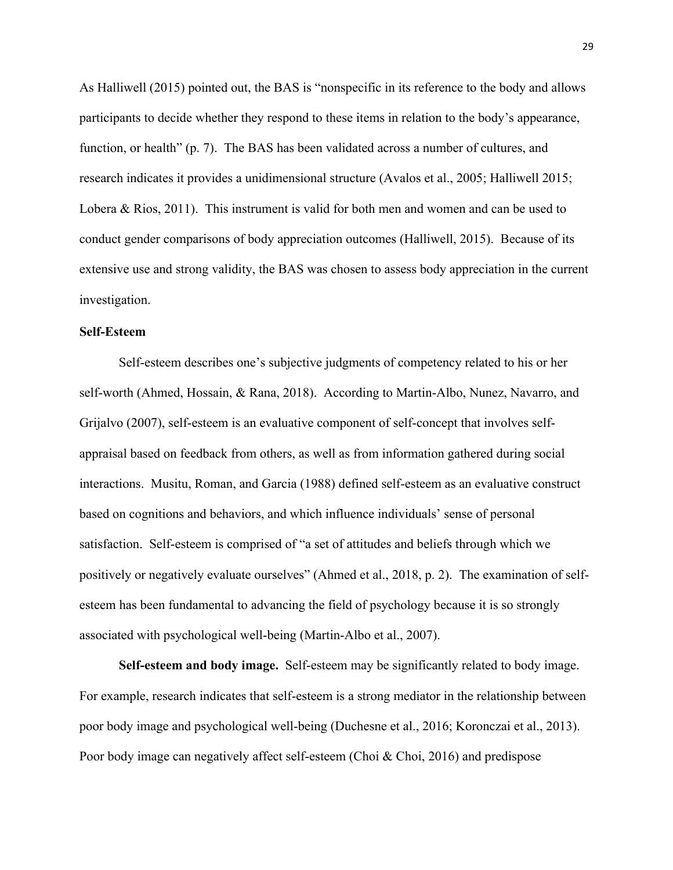As Halliwell (2015) pointed out, the BAS is "nonspecific in its reference to the body and allows participants to decide whether they respond to these items in relation to the body's appearance, function, or health" (p. 7). The BAS has been validated across a number of cultures, and research indicates it provides a unidimensional structure (Avalos et al., 2005; Halliwell 2015; Lobera & Rios, 2011). This instrument is valid for both men and women and can be used to conduct gender comparisons of body appreciation outcomes (Halliwell, 2015). Because of its extensive use and strong validity, the BAS was chosen to assess body appreciation in the current investigation.

## **Self-Esteem**

Self-esteem describes one's subjective judgments of competency related to his or her self-worth (Ahmed, Hossain, & Rana, 2018). According to Martin-Albo, Nunez, Navarro, and Grijalvo (2007), self-esteem is an evaluative component of self-concept that involves selfappraisal based on feedback from others, as well as from information gathered during social interactions. Musitu, Roman, and Garcia (1988) defined self-esteem as an evaluative construct based on cognitions and behaviors, and which influence individuals' sense of personal satisfaction. Self-esteem is comprised of "a set of attitudes and beliefs through which we positively or negatively evaluate ourselves" (Ahmed et al., 2018, p. 2). The examination of selfesteem has been fundamental to advancing the field of psychology because it is so strongly associated with psychological well-being (Martin-Albo et al., 2007).

**Self-esteem and body image.** Self-esteem may be significantly related to body image. For example, research indicates that self-esteem is a strong mediator in the relationship between poor body image and psychological well-being (Duchesne et al., 2016; Koronczai et al., 2013). Poor body image can negatively affect self-esteem (Choi & Choi, 2016) and predispose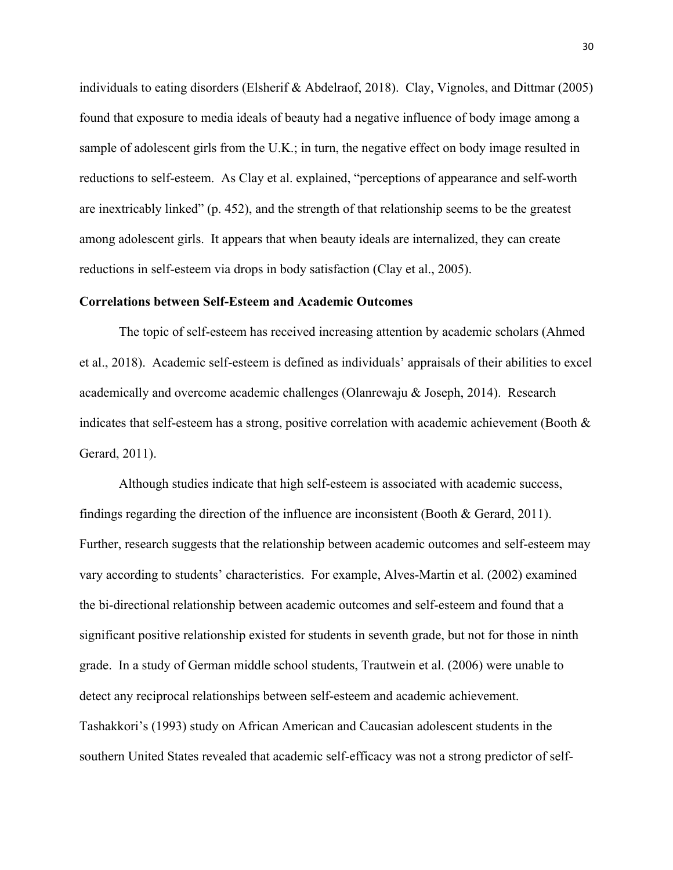individuals to eating disorders (Elsherif & Abdelraof, 2018). Clay, Vignoles, and Dittmar (2005) found that exposure to media ideals of beauty had a negative influence of body image among a sample of adolescent girls from the U.K.; in turn, the negative effect on body image resulted in reductions to self-esteem. As Clay et al. explained, "perceptions of appearance and self-worth are inextricably linked" (p. 452), and the strength of that relationship seems to be the greatest among adolescent girls. It appears that when beauty ideals are internalized, they can create reductions in self-esteem via drops in body satisfaction (Clay et al., 2005).

## **Correlations between Self-Esteem and Academic Outcomes**

The topic of self-esteem has received increasing attention by academic scholars (Ahmed et al., 2018). Academic self-esteem is defined as individuals' appraisals of their abilities to excel academically and overcome academic challenges (Olanrewaju & Joseph, 2014). Research indicates that self-esteem has a strong, positive correlation with academic achievement (Booth & Gerard, 2011).

Although studies indicate that high self-esteem is associated with academic success, findings regarding the direction of the influence are inconsistent (Booth & Gerard, 2011). Further, research suggests that the relationship between academic outcomes and self-esteem may vary according to students' characteristics. For example, Alves-Martin et al. (2002) examined the bi-directional relationship between academic outcomes and self-esteem and found that a significant positive relationship existed for students in seventh grade, but not for those in ninth grade. In a study of German middle school students, Trautwein et al. (2006) were unable to detect any reciprocal relationships between self-esteem and academic achievement. Tashakkori's (1993) study on African American and Caucasian adolescent students in the southern United States revealed that academic self-efficacy was not a strong predictor of self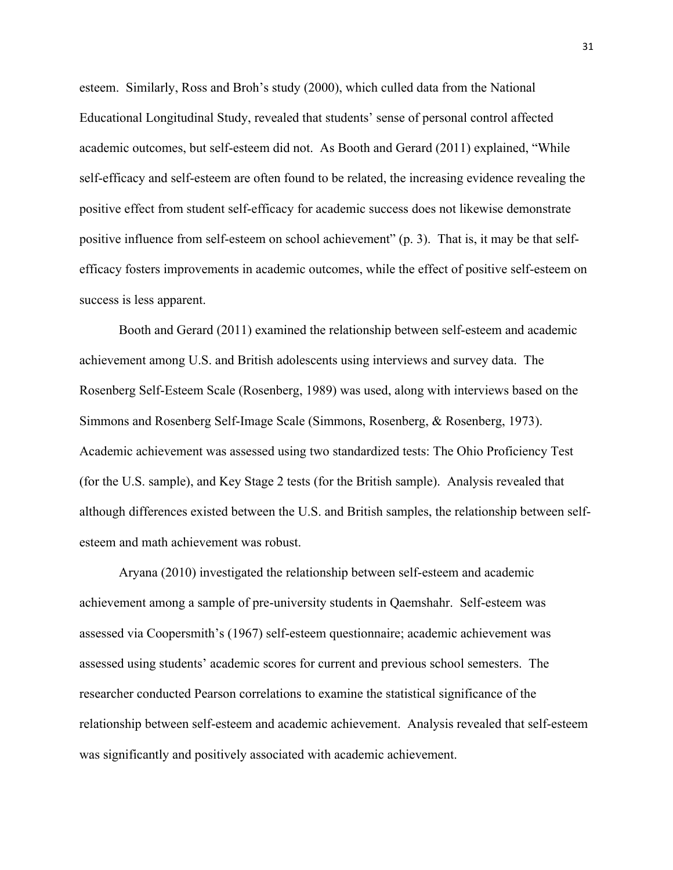esteem. Similarly, Ross and Broh's study (2000), which culled data from the National Educational Longitudinal Study, revealed that students' sense of personal control affected academic outcomes, but self-esteem did not. As Booth and Gerard (2011) explained, "While self-efficacy and self-esteem are often found to be related, the increasing evidence revealing the positive effect from student self-efficacy for academic success does not likewise demonstrate positive influence from self-esteem on school achievement" (p. 3). That is, it may be that selfefficacy fosters improvements in academic outcomes, while the effect of positive self-esteem on success is less apparent.

Booth and Gerard (2011) examined the relationship between self-esteem and academic achievement among U.S. and British adolescents using interviews and survey data. The Rosenberg Self-Esteem Scale (Rosenberg, 1989) was used, along with interviews based on the Simmons and Rosenberg Self-Image Scale (Simmons, Rosenberg, & Rosenberg, 1973). Academic achievement was assessed using two standardized tests: The Ohio Proficiency Test (for the U.S. sample), and Key Stage 2 tests (for the British sample). Analysis revealed that although differences existed between the U.S. and British samples, the relationship between selfesteem and math achievement was robust.

Aryana (2010) investigated the relationship between self-esteem and academic achievement among a sample of pre-university students in Qaemshahr. Self-esteem was assessed via Coopersmith's (1967) self-esteem questionnaire; academic achievement was assessed using students' academic scores for current and previous school semesters. The researcher conducted Pearson correlations to examine the statistical significance of the relationship between self-esteem and academic achievement. Analysis revealed that self-esteem was significantly and positively associated with academic achievement.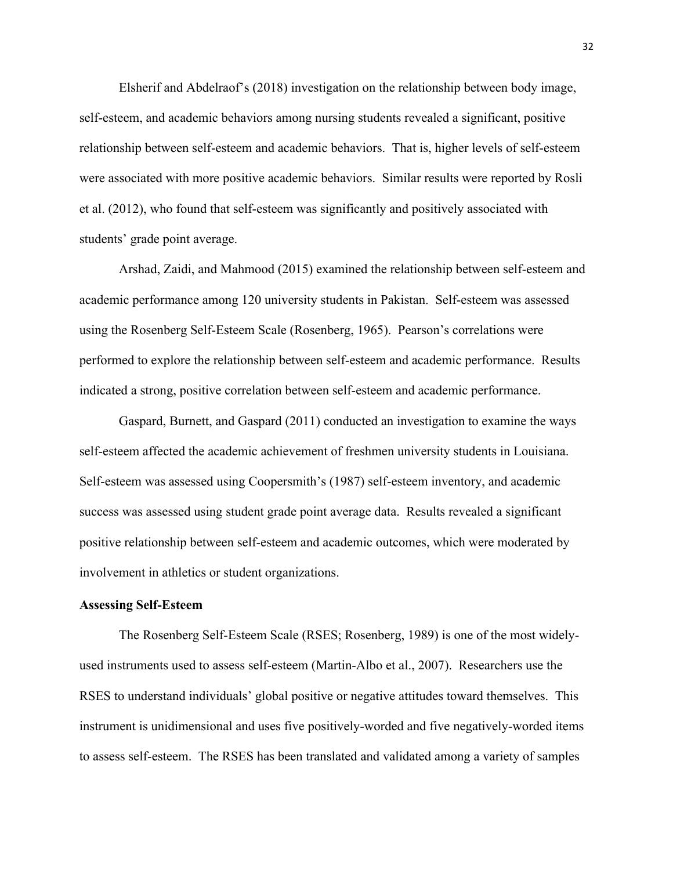Elsherif and Abdelraof's (2018) investigation on the relationship between body image, self-esteem, and academic behaviors among nursing students revealed a significant, positive relationship between self-esteem and academic behaviors. That is, higher levels of self-esteem were associated with more positive academic behaviors. Similar results were reported by Rosli et al. (2012), who found that self-esteem was significantly and positively associated with students' grade point average.

Arshad, Zaidi, and Mahmood (2015) examined the relationship between self-esteem and academic performance among 120 university students in Pakistan. Self-esteem was assessed using the Rosenberg Self-Esteem Scale (Rosenberg, 1965). Pearson's correlations were performed to explore the relationship between self-esteem and academic performance. Results indicated a strong, positive correlation between self-esteem and academic performance.

Gaspard, Burnett, and Gaspard (2011) conducted an investigation to examine the ways self-esteem affected the academic achievement of freshmen university students in Louisiana. Self-esteem was assessed using Coopersmith's (1987) self-esteem inventory, and academic success was assessed using student grade point average data. Results revealed a significant positive relationship between self-esteem and academic outcomes, which were moderated by involvement in athletics or student organizations.

#### **Assessing Self-Esteem**

The Rosenberg Self-Esteem Scale (RSES; Rosenberg, 1989) is one of the most widelyused instruments used to assess self-esteem (Martin-Albo et al., 2007). Researchers use the RSES to understand individuals' global positive or negative attitudes toward themselves. This instrument is unidimensional and uses five positively-worded and five negatively-worded items to assess self-esteem. The RSES has been translated and validated among a variety of samples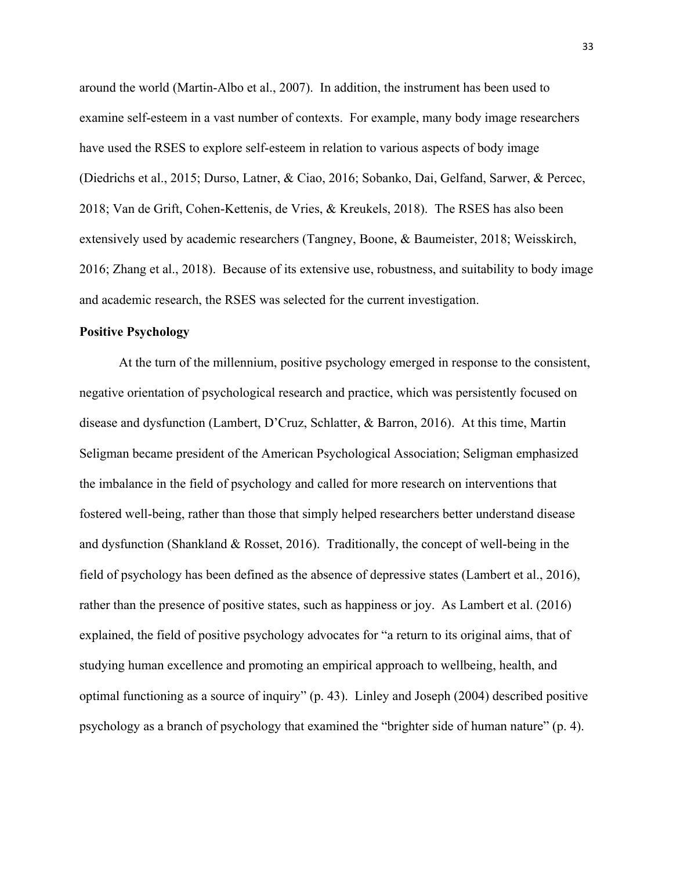around the world (Martin-Albo et al., 2007). In addition, the instrument has been used to examine self-esteem in a vast number of contexts. For example, many body image researchers have used the RSES to explore self-esteem in relation to various aspects of body image (Diedrichs et al., 2015; Durso, Latner, & Ciao, 2016; Sobanko, Dai, Gelfand, Sarwer, & Percec, 2018; Van de Grift, Cohen-Kettenis, de Vries, & Kreukels, 2018). The RSES has also been extensively used by academic researchers (Tangney, Boone, & Baumeister, 2018; Weisskirch, 2016; Zhang et al., 2018). Because of its extensive use, robustness, and suitability to body image and academic research, the RSES was selected for the current investigation.

## **Positive Psychology**

At the turn of the millennium, positive psychology emerged in response to the consistent, negative orientation of psychological research and practice, which was persistently focused on disease and dysfunction (Lambert, D'Cruz, Schlatter, & Barron, 2016). At this time, Martin Seligman became president of the American Psychological Association; Seligman emphasized the imbalance in the field of psychology and called for more research on interventions that fostered well-being, rather than those that simply helped researchers better understand disease and dysfunction (Shankland & Rosset, 2016). Traditionally, the concept of well-being in the field of psychology has been defined as the absence of depressive states (Lambert et al., 2016), rather than the presence of positive states, such as happiness or joy. As Lambert et al. (2016) explained, the field of positive psychology advocates for "a return to its original aims, that of studying human excellence and promoting an empirical approach to wellbeing, health, and optimal functioning as a source of inquiry" (p. 43). Linley and Joseph (2004) described positive psychology as a branch of psychology that examined the "brighter side of human nature" (p. 4).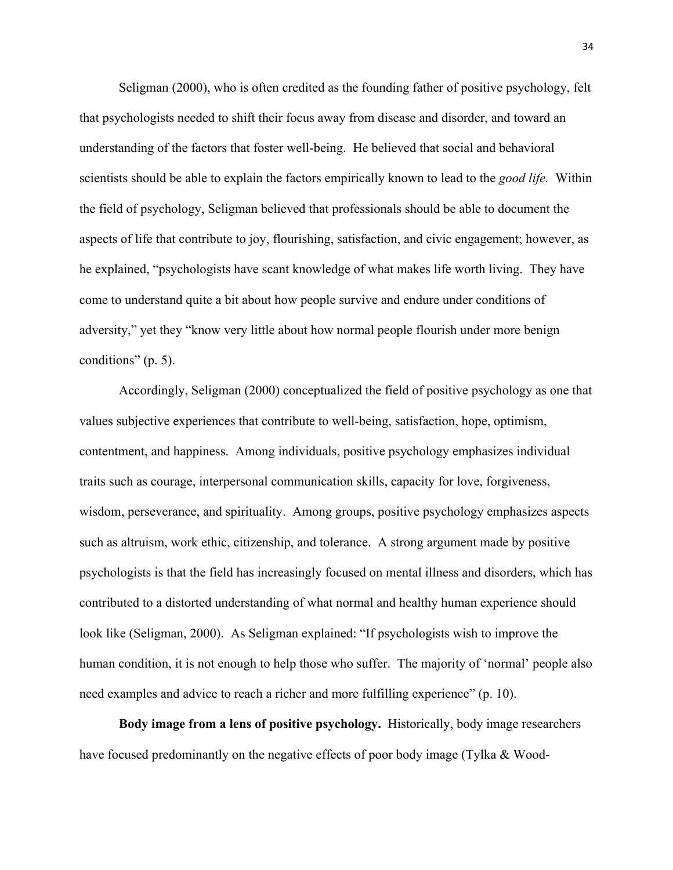Seligman (2000), who is often credited as the founding father of positive psychology, felt that psychologists needed to shift their focus away from disease and disorder, and toward an understanding of the factors that foster well-being. He believed that social and behavioral scientists should be able to explain the factors empirically known to lead to the *good life.* Within the field of psychology, Seligman believed that professionals should be able to document the aspects of life that contribute to joy, flourishing, satisfaction, and civic engagement; however, as he explained, "psychologists have scant knowledge of what makes life worth living. They have come to understand quite a bit about how people survive and endure under conditions of adversity," yet they "know very little about how normal people flourish under more benign conditions" (p. 5).

Accordingly, Seligman (2000) conceptualized the field of positive psychology as one that values subjective experiences that contribute to well-being, satisfaction, hope, optimism, contentment, and happiness. Among individuals, positive psychology emphasizes individual traits such as courage, interpersonal communication skills, capacity for love, forgiveness, wisdom, perseverance, and spirituality. Among groups, positive psychology emphasizes aspects such as altruism, work ethic, citizenship, and tolerance. A strong argument made by positive psychologists is that the field has increasingly focused on mental illness and disorders, which has contributed to a distorted understanding of what normal and healthy human experience should look like (Seligman, 2000). As Seligman explained: "If psychologists wish to improve the human condition, it is not enough to help those who suffer. The majority of 'normal' people also need examples and advice to reach a richer and more fulfilling experience" (p. 10).

**Body image from a lens of positive psychology.** Historically, body image researchers have focused predominantly on the negative effects of poor body image (Tylka & Wood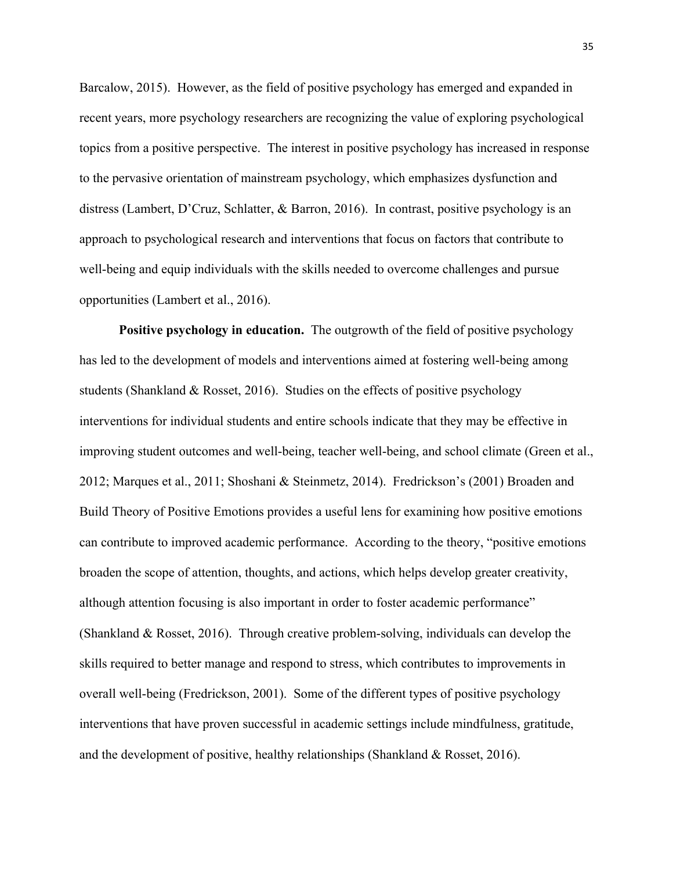Barcalow, 2015). However, as the field of positive psychology has emerged and expanded in recent years, more psychology researchers are recognizing the value of exploring psychological topics from a positive perspective. The interest in positive psychology has increased in response to the pervasive orientation of mainstream psychology, which emphasizes dysfunction and distress (Lambert, D'Cruz, Schlatter, & Barron, 2016). In contrast, positive psychology is an approach to psychological research and interventions that focus on factors that contribute to well-being and equip individuals with the skills needed to overcome challenges and pursue opportunities (Lambert et al., 2016).

**Positive psychology in education.** The outgrowth of the field of positive psychology has led to the development of models and interventions aimed at fostering well-being among students (Shankland & Rosset, 2016). Studies on the effects of positive psychology interventions for individual students and entire schools indicate that they may be effective in improving student outcomes and well-being, teacher well-being, and school climate (Green et al., 2012; Marques et al., 2011; Shoshani & Steinmetz, 2014). Fredrickson's (2001) Broaden and Build Theory of Positive Emotions provides a useful lens for examining how positive emotions can contribute to improved academic performance. According to the theory, "positive emotions broaden the scope of attention, thoughts, and actions, which helps develop greater creativity, although attention focusing is also important in order to foster academic performance" (Shankland & Rosset, 2016). Through creative problem-solving, individuals can develop the skills required to better manage and respond to stress, which contributes to improvements in overall well-being (Fredrickson, 2001). Some of the different types of positive psychology interventions that have proven successful in academic settings include mindfulness, gratitude, and the development of positive, healthy relationships (Shankland & Rosset, 2016).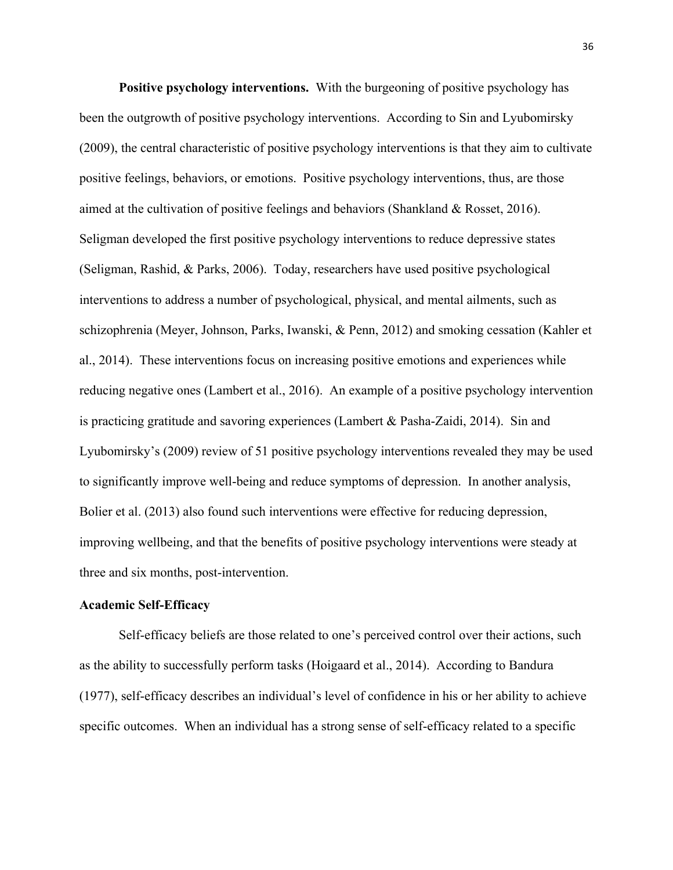**Positive psychology interventions.** With the burgeoning of positive psychology has been the outgrowth of positive psychology interventions. According to Sin and Lyubomirsky (2009), the central characteristic of positive psychology interventions is that they aim to cultivate positive feelings, behaviors, or emotions. Positive psychology interventions, thus, are those aimed at the cultivation of positive feelings and behaviors (Shankland & Rosset, 2016). Seligman developed the first positive psychology interventions to reduce depressive states (Seligman, Rashid, & Parks, 2006). Today, researchers have used positive psychological interventions to address a number of psychological, physical, and mental ailments, such as schizophrenia (Meyer, Johnson, Parks, Iwanski, & Penn, 2012) and smoking cessation (Kahler et al., 2014). These interventions focus on increasing positive emotions and experiences while reducing negative ones (Lambert et al., 2016). An example of a positive psychology intervention is practicing gratitude and savoring experiences (Lambert & Pasha-Zaidi, 2014). Sin and Lyubomirsky's (2009) review of 51 positive psychology interventions revealed they may be used to significantly improve well-being and reduce symptoms of depression. In another analysis, Bolier et al. (2013) also found such interventions were effective for reducing depression, improving wellbeing, and that the benefits of positive psychology interventions were steady at three and six months, post-intervention.

#### **Academic Self-Efficacy**

Self-efficacy beliefs are those related to one's perceived control over their actions, such as the ability to successfully perform tasks (Hoigaard et al., 2014). According to Bandura (1977), self-efficacy describes an individual's level of confidence in his or her ability to achieve specific outcomes. When an individual has a strong sense of self-efficacy related to a specific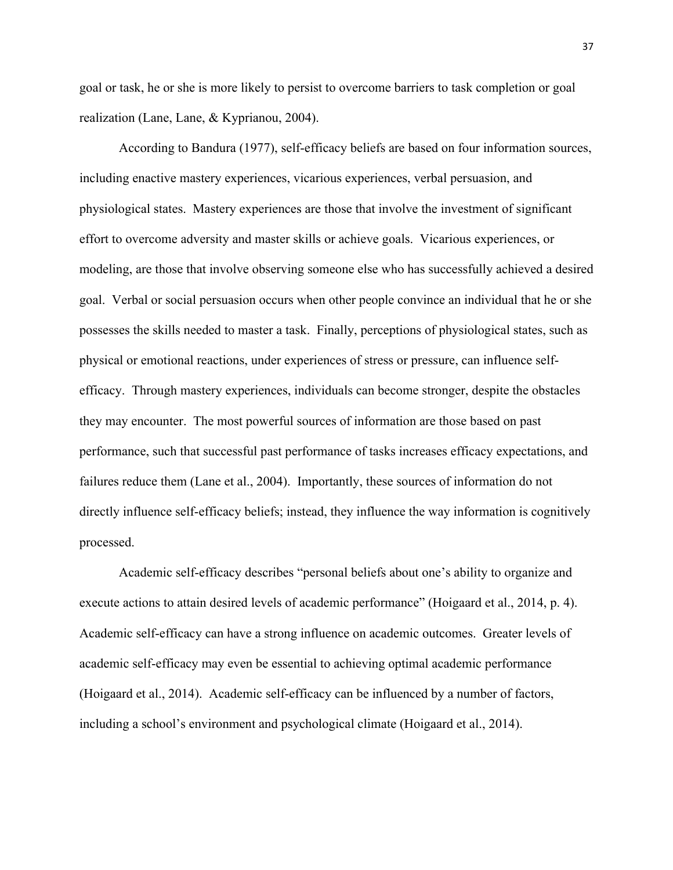goal or task, he or she is more likely to persist to overcome barriers to task completion or goal realization (Lane, Lane, & Kyprianou, 2004).

According to Bandura (1977), self-efficacy beliefs are based on four information sources, including enactive mastery experiences, vicarious experiences, verbal persuasion, and physiological states. Mastery experiences are those that involve the investment of significant effort to overcome adversity and master skills or achieve goals. Vicarious experiences, or modeling, are those that involve observing someone else who has successfully achieved a desired goal. Verbal or social persuasion occurs when other people convince an individual that he or she possesses the skills needed to master a task. Finally, perceptions of physiological states, such as physical or emotional reactions, under experiences of stress or pressure, can influence selfefficacy. Through mastery experiences, individuals can become stronger, despite the obstacles they may encounter. The most powerful sources of information are those based on past performance, such that successful past performance of tasks increases efficacy expectations, and failures reduce them (Lane et al., 2004). Importantly, these sources of information do not directly influence self-efficacy beliefs; instead, they influence the way information is cognitively processed.

Academic self-efficacy describes "personal beliefs about one's ability to organize and execute actions to attain desired levels of academic performance" (Hoigaard et al., 2014, p. 4). Academic self-efficacy can have a strong influence on academic outcomes. Greater levels of academic self-efficacy may even be essential to achieving optimal academic performance (Hoigaard et al., 2014). Academic self-efficacy can be influenced by a number of factors, including a school's environment and psychological climate (Hoigaard et al., 2014).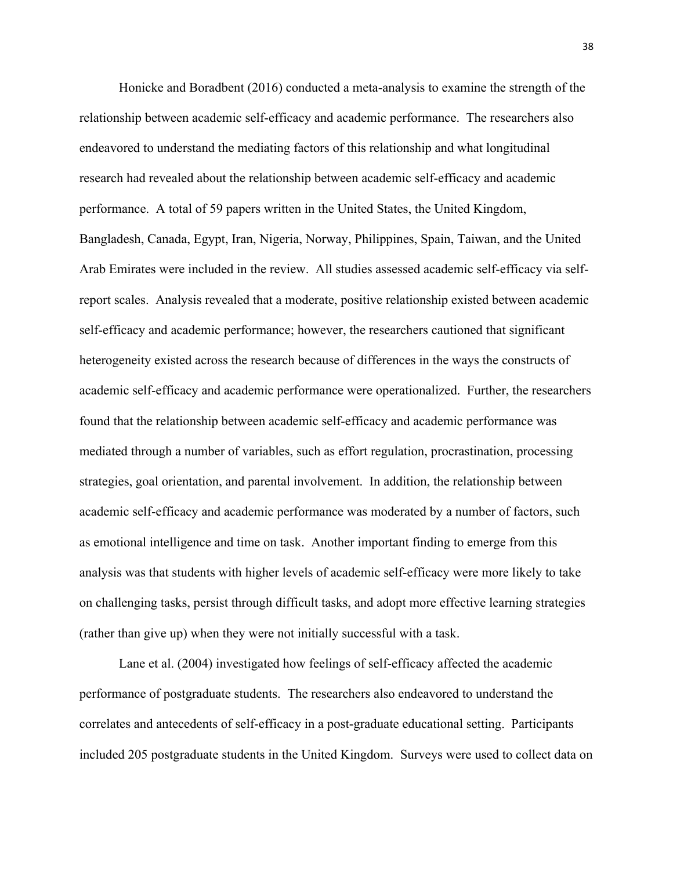Honicke and Boradbent (2016) conducted a meta-analysis to examine the strength of the relationship between academic self-efficacy and academic performance. The researchers also endeavored to understand the mediating factors of this relationship and what longitudinal research had revealed about the relationship between academic self-efficacy and academic performance. A total of 59 papers written in the United States, the United Kingdom, Bangladesh, Canada, Egypt, Iran, Nigeria, Norway, Philippines, Spain, Taiwan, and the United Arab Emirates were included in the review. All studies assessed academic self-efficacy via selfreport scales. Analysis revealed that a moderate, positive relationship existed between academic self-efficacy and academic performance; however, the researchers cautioned that significant heterogeneity existed across the research because of differences in the ways the constructs of academic self-efficacy and academic performance were operationalized. Further, the researchers found that the relationship between academic self-efficacy and academic performance was mediated through a number of variables, such as effort regulation, procrastination, processing strategies, goal orientation, and parental involvement. In addition, the relationship between academic self-efficacy and academic performance was moderated by a number of factors, such as emotional intelligence and time on task. Another important finding to emerge from this analysis was that students with higher levels of academic self-efficacy were more likely to take on challenging tasks, persist through difficult tasks, and adopt more effective learning strategies (rather than give up) when they were not initially successful with a task.

Lane et al. (2004) investigated how feelings of self-efficacy affected the academic performance of postgraduate students. The researchers also endeavored to understand the correlates and antecedents of self-efficacy in a post-graduate educational setting. Participants included 205 postgraduate students in the United Kingdom. Surveys were used to collect data on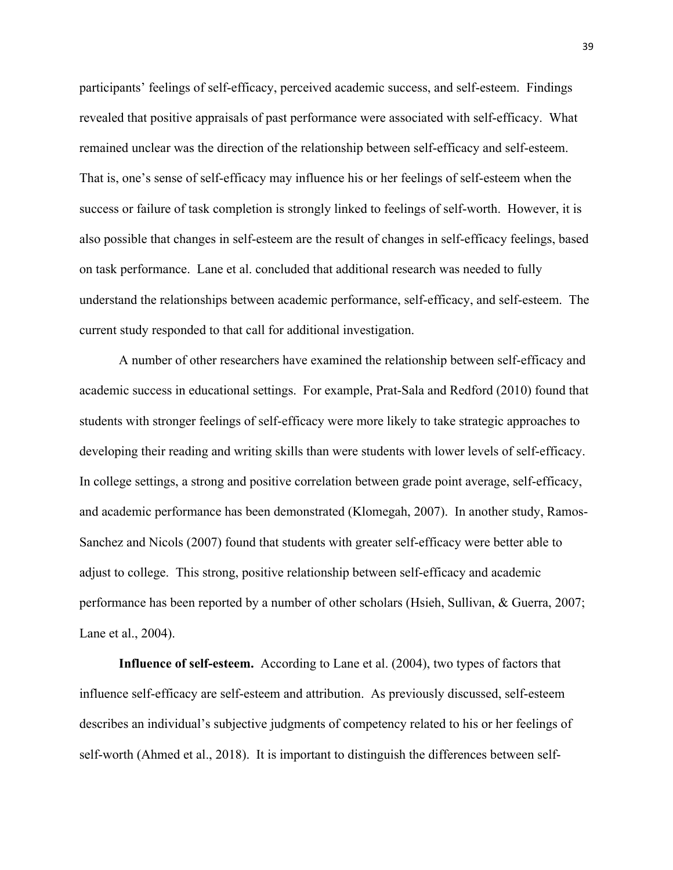participants' feelings of self-efficacy, perceived academic success, and self-esteem. Findings revealed that positive appraisals of past performance were associated with self-efficacy. What remained unclear was the direction of the relationship between self-efficacy and self-esteem. That is, one's sense of self-efficacy may influence his or her feelings of self-esteem when the success or failure of task completion is strongly linked to feelings of self-worth. However, it is also possible that changes in self-esteem are the result of changes in self-efficacy feelings, based on task performance. Lane et al. concluded that additional research was needed to fully understand the relationships between academic performance, self-efficacy, and self-esteem. The current study responded to that call for additional investigation.

A number of other researchers have examined the relationship between self-efficacy and academic success in educational settings. For example, Prat-Sala and Redford (2010) found that students with stronger feelings of self-efficacy were more likely to take strategic approaches to developing their reading and writing skills than were students with lower levels of self-efficacy. In college settings, a strong and positive correlation between grade point average, self-efficacy, and academic performance has been demonstrated (Klomegah, 2007). In another study, Ramos-Sanchez and Nicols (2007) found that students with greater self-efficacy were better able to adjust to college. This strong, positive relationship between self-efficacy and academic performance has been reported by a number of other scholars (Hsieh, Sullivan, & Guerra, 2007; Lane et al., 2004).

**Influence of self-esteem.** According to Lane et al. (2004), two types of factors that influence self-efficacy are self-esteem and attribution. As previously discussed, self-esteem describes an individual's subjective judgments of competency related to his or her feelings of self-worth (Ahmed et al., 2018). It is important to distinguish the differences between self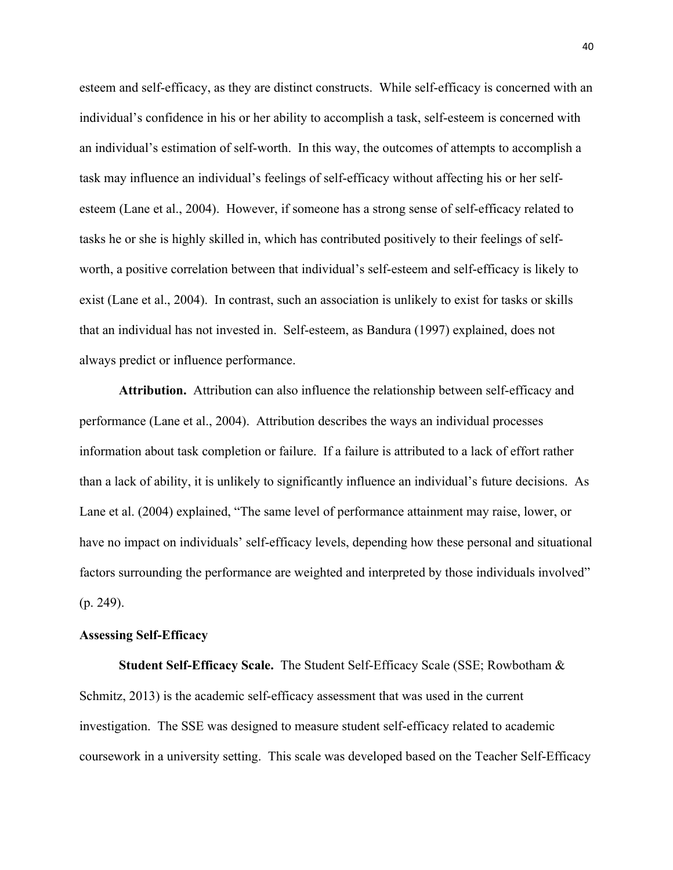esteem and self-efficacy, as they are distinct constructs. While self-efficacy is concerned with an individual's confidence in his or her ability to accomplish a task, self-esteem is concerned with an individual's estimation of self-worth. In this way, the outcomes of attempts to accomplish a task may influence an individual's feelings of self-efficacy without affecting his or her selfesteem (Lane et al., 2004). However, if someone has a strong sense of self-efficacy related to tasks he or she is highly skilled in, which has contributed positively to their feelings of selfworth, a positive correlation between that individual's self-esteem and self-efficacy is likely to exist (Lane et al., 2004). In contrast, such an association is unlikely to exist for tasks or skills that an individual has not invested in. Self-esteem, as Bandura (1997) explained, does not always predict or influence performance.

**Attribution.** Attribution can also influence the relationship between self-efficacy and performance (Lane et al., 2004). Attribution describes the ways an individual processes information about task completion or failure. If a failure is attributed to a lack of effort rather than a lack of ability, it is unlikely to significantly influence an individual's future decisions. As Lane et al. (2004) explained, "The same level of performance attainment may raise, lower, or have no impact on individuals' self-efficacy levels, depending how these personal and situational factors surrounding the performance are weighted and interpreted by those individuals involved" (p. 249).

## **Assessing Self-Efficacy**

**Student Self-Efficacy Scale.** The Student Self-Efficacy Scale (SSE; Rowbotham & Schmitz, 2013) is the academic self-efficacy assessment that was used in the current investigation. The SSE was designed to measure student self-efficacy related to academic coursework in a university setting. This scale was developed based on the Teacher Self-Efficacy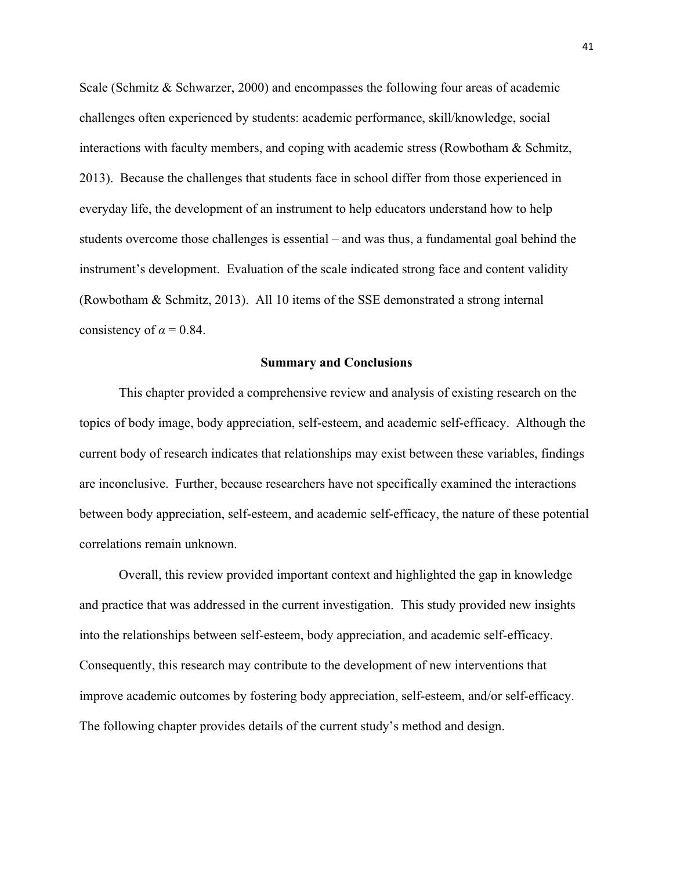Scale (Schmitz & Schwarzer, 2000) and encompasses the following four areas of academic challenges often experienced by students: academic performance, skill/knowledge, social interactions with faculty members, and coping with academic stress (Rowbotham & Schmitz, 2013). Because the challenges that students face in school differ from those experienced in everyday life, the development of an instrument to help educators understand how to help students overcome those challenges is essential – and was thus, a fundamental goal behind the instrument's development. Evaluation of the scale indicated strong face and content validity (Rowbotham & Schmitz, 2013). All 10 items of the SSE demonstrated a strong internal consistency of  $\alpha$  = 0.84.

## **Summary and Conclusions**

This chapter provided a comprehensive review and analysis of existing research on the topics of body image, body appreciation, self-esteem, and academic self-efficacy. Although the current body of research indicates that relationships may exist between these variables, findings are inconclusive. Further, because researchers have not specifically examined the interactions between body appreciation, self-esteem, and academic self-efficacy, the nature of these potential correlations remain unknown.

Overall, this review provided important context and highlighted the gap in knowledge and practice that was addressed in the current investigation. This study provided new insights into the relationships between self-esteem, body appreciation, and academic self-efficacy. Consequently, this research may contribute to the development of new interventions that improve academic outcomes by fostering body appreciation, self-esteem, and/or self-efficacy. The following chapter provides details of the current study's method and design.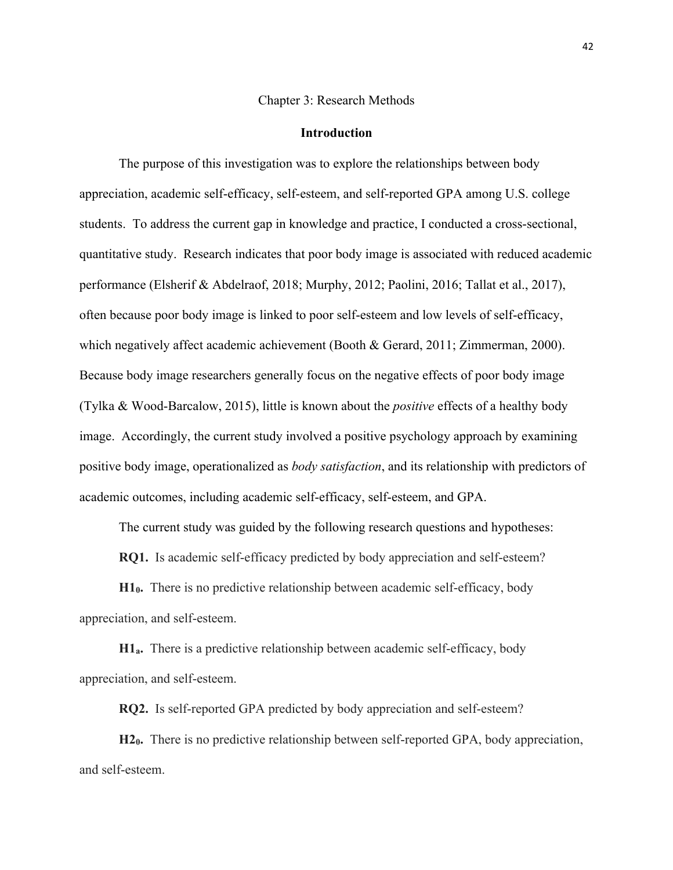#### Chapter 3: Research Methods

## **Introduction**

The purpose of this investigation was to explore the relationships between body appreciation, academic self-efficacy, self-esteem, and self-reported GPA among U.S. college students. To address the current gap in knowledge and practice, I conducted a cross-sectional, quantitative study. Research indicates that poor body image is associated with reduced academic performance (Elsherif & Abdelraof, 2018; Murphy, 2012; Paolini, 2016; Tallat et al., 2017), often because poor body image is linked to poor self-esteem and low levels of self-efficacy, which negatively affect academic achievement (Booth & Gerard, 2011; Zimmerman, 2000). Because body image researchers generally focus on the negative effects of poor body image (Tylka & Wood-Barcalow, 2015), little is known about the *positive* effects of a healthy body image. Accordingly, the current study involved a positive psychology approach by examining positive body image, operationalized as *body satisfaction*, and its relationship with predictors of academic outcomes, including academic self-efficacy, self-esteem, and GPA.

The current study was guided by the following research questions and hypotheses:

**RQ1.** Is academic self-efficacy predicted by body appreciation and self-esteem?

**H10.** There is no predictive relationship between academic self-efficacy, body appreciation, and self-esteem.

**H1a.** There is a predictive relationship between academic self-efficacy, body appreciation, and self-esteem.

**RQ2.** Is self-reported GPA predicted by body appreciation and self-esteem?

**H20.** There is no predictive relationship between self-reported GPA, body appreciation, and self-esteem.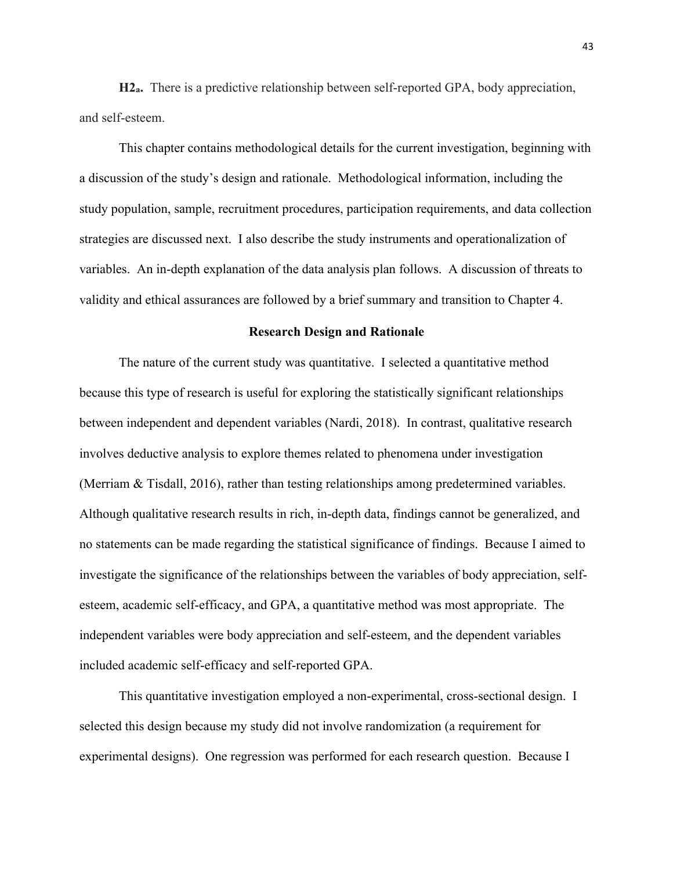**H2a.** There is a predictive relationship between self-reported GPA, body appreciation, and self-esteem.

This chapter contains methodological details for the current investigation, beginning with a discussion of the study's design and rationale. Methodological information, including the study population, sample, recruitment procedures, participation requirements, and data collection strategies are discussed next. I also describe the study instruments and operationalization of variables. An in-depth explanation of the data analysis plan follows. A discussion of threats to validity and ethical assurances are followed by a brief summary and transition to Chapter 4.

## **Research Design and Rationale**

The nature of the current study was quantitative. I selected a quantitative method because this type of research is useful for exploring the statistically significant relationships between independent and dependent variables (Nardi, 2018). In contrast, qualitative research involves deductive analysis to explore themes related to phenomena under investigation (Merriam & Tisdall, 2016), rather than testing relationships among predetermined variables. Although qualitative research results in rich, in-depth data, findings cannot be generalized, and no statements can be made regarding the statistical significance of findings. Because I aimed to investigate the significance of the relationships between the variables of body appreciation, selfesteem, academic self-efficacy, and GPA, a quantitative method was most appropriate. The independent variables were body appreciation and self-esteem, and the dependent variables included academic self-efficacy and self-reported GPA.

This quantitative investigation employed a non-experimental, cross-sectional design. I selected this design because my study did not involve randomization (a requirement for experimental designs). One regression was performed for each research question. Because I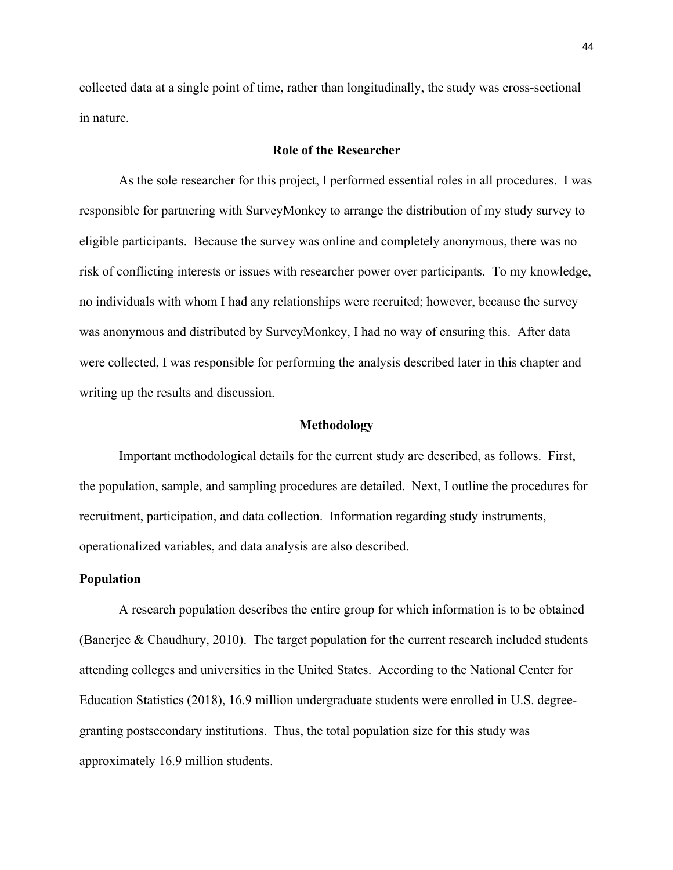collected data at a single point of time, rather than longitudinally, the study was cross-sectional in nature.

## **Role of the Researcher**

As the sole researcher for this project, I performed essential roles in all procedures. I was responsible for partnering with SurveyMonkey to arrange the distribution of my study survey to eligible participants. Because the survey was online and completely anonymous, there was no risk of conflicting interests or issues with researcher power over participants. To my knowledge, no individuals with whom I had any relationships were recruited; however, because the survey was anonymous and distributed by SurveyMonkey, I had no way of ensuring this. After data were collected, I was responsible for performing the analysis described later in this chapter and writing up the results and discussion.

## **Methodology**

Important methodological details for the current study are described, as follows. First, the population, sample, and sampling procedures are detailed. Next, I outline the procedures for recruitment, participation, and data collection. Information regarding study instruments, operationalized variables, and data analysis are also described.

## **Population**

A research population describes the entire group for which information is to be obtained (Banerjee & Chaudhury, 2010). The target population for the current research included students attending colleges and universities in the United States. According to the National Center for Education Statistics (2018), 16.9 million undergraduate students were enrolled in U.S. degreegranting postsecondary institutions. Thus, the total population size for this study was approximately 16.9 million students.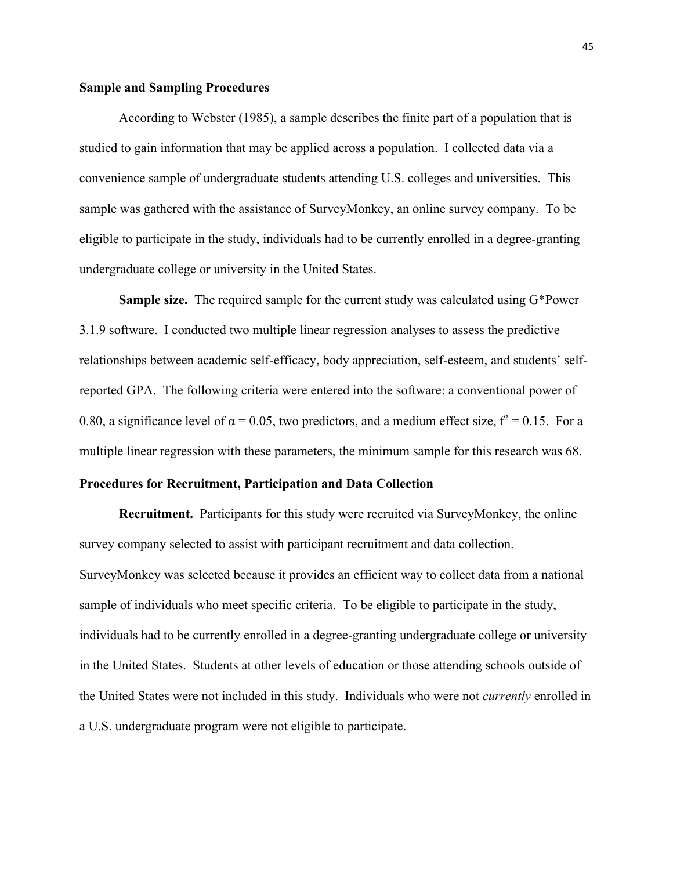#### **Sample and Sampling Procedures**

According to Webster (1985), a sample describes the finite part of a population that is studied to gain information that may be applied across a population. I collected data via a convenience sample of undergraduate students attending U.S. colleges and universities. This sample was gathered with the assistance of SurveyMonkey, an online survey company. To be eligible to participate in the study, individuals had to be currently enrolled in a degree-granting undergraduate college or university in the United States.

**Sample size.** The required sample for the current study was calculated using G\*Power 3.1.9 software. I conducted two multiple linear regression analyses to assess the predictive relationships between academic self-efficacy, body appreciation, self-esteem, and students' selfreported GPA. The following criteria were entered into the software: a conventional power of 0.80, a significance level of  $\alpha = 0.05$ , two predictors, and a medium effect size,  $f^2 = 0.15$ . For a multiple linear regression with these parameters, the minimum sample for this research was 68.

# **Procedures for Recruitment, Participation and Data Collection**

**Recruitment.** Participants for this study were recruited via SurveyMonkey, the online survey company selected to assist with participant recruitment and data collection. SurveyMonkey was selected because it provides an efficient way to collect data from a national sample of individuals who meet specific criteria. To be eligible to participate in the study, individuals had to be currently enrolled in a degree-granting undergraduate college or university in the United States. Students at other levels of education or those attending schools outside of the United States were not included in this study. Individuals who were not *currently* enrolled in a U.S. undergraduate program were not eligible to participate.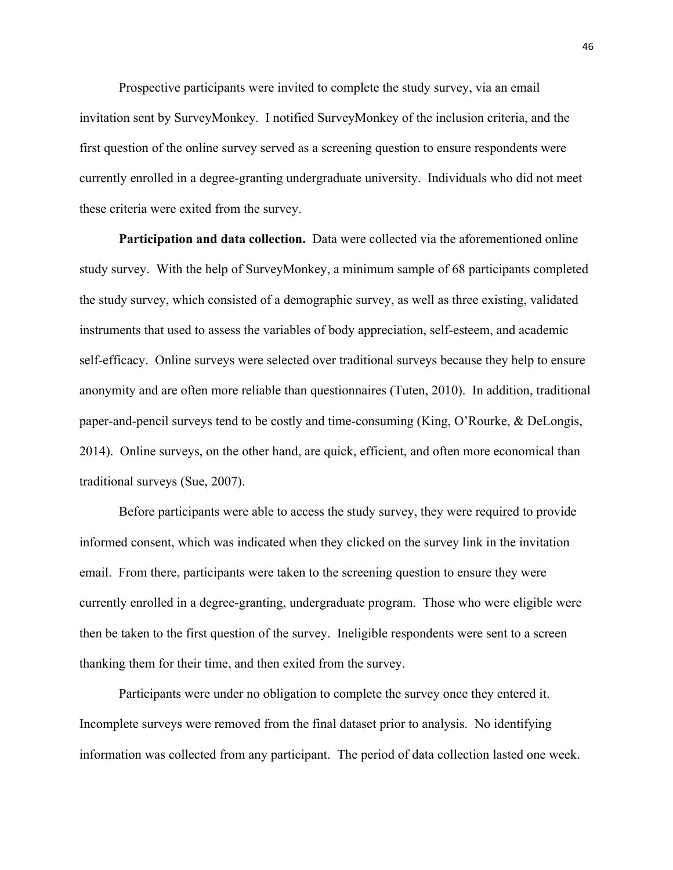Prospective participants were invited to complete the study survey, via an email invitation sent by SurveyMonkey. I notified SurveyMonkey of the inclusion criteria, and the first question of the online survey served as a screening question to ensure respondents were currently enrolled in a degree-granting undergraduate university. Individuals who did not meet these criteria were exited from the survey.

**Participation and data collection.** Data were collected via the aforementioned online study survey. With the help of SurveyMonkey, a minimum sample of 68 participants completed the study survey, which consisted of a demographic survey, as well as three existing, validated instruments that used to assess the variables of body appreciation, self-esteem, and academic self-efficacy. Online surveys were selected over traditional surveys because they help to ensure anonymity and are often more reliable than questionnaires (Tuten, 2010). In addition, traditional paper-and-pencil surveys tend to be costly and time-consuming (King, O'Rourke, & DeLongis, 2014). Online surveys, on the other hand, are quick, efficient, and often more economical than traditional surveys (Sue, 2007).

Before participants were able to access the study survey, they were required to provide informed consent, which was indicated when they clicked on the survey link in the invitation email. From there, participants were taken to the screening question to ensure they were currently enrolled in a degree-granting, undergraduate program. Those who were eligible were then be taken to the first question of the survey. Ineligible respondents were sent to a screen thanking them for their time, and then exited from the survey.

Participants were under no obligation to complete the survey once they entered it. Incomplete surveys were removed from the final dataset prior to analysis. No identifying information was collected from any participant. The period of data collection lasted one week.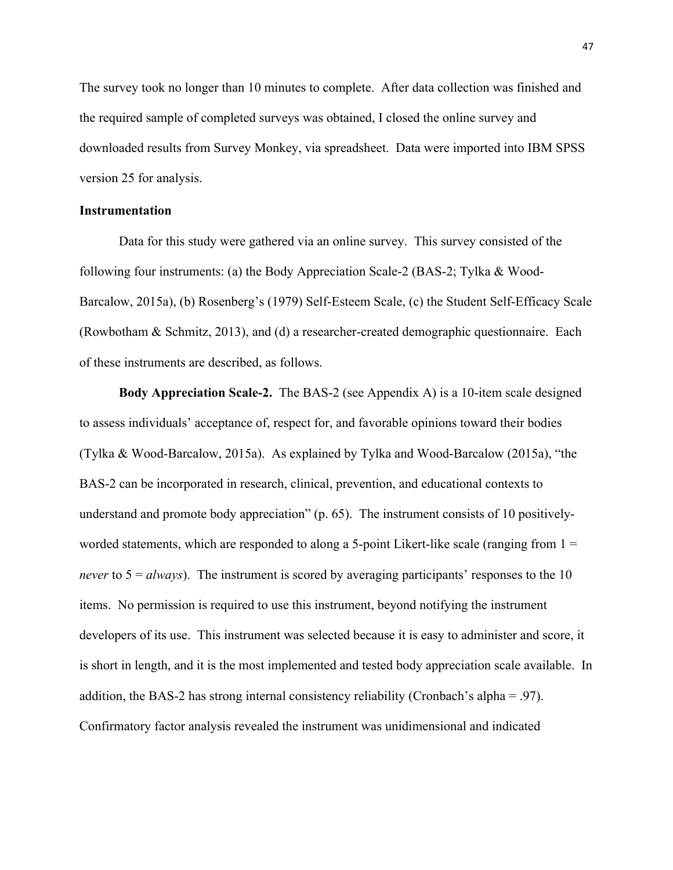The survey took no longer than 10 minutes to complete. After data collection was finished and the required sample of completed surveys was obtained, I closed the online survey and downloaded results from Survey Monkey, via spreadsheet. Data were imported into IBM SPSS version 25 for analysis.

## **Instrumentation**

Data for this study were gathered via an online survey. This survey consisted of the following four instruments: (a) the Body Appreciation Scale-2 (BAS-2; Tylka & Wood-Barcalow, 2015a), (b) Rosenberg's (1979) Self-Esteem Scale, (c) the Student Self-Efficacy Scale (Rowbotham & Schmitz, 2013), and (d) a researcher-created demographic questionnaire. Each of these instruments are described, as follows.

**Body Appreciation Scale-2.** The BAS-2 (see Appendix A) is a 10-item scale designed to assess individuals' acceptance of, respect for, and favorable opinions toward their bodies (Tylka & Wood-Barcalow, 2015a). As explained by Tylka and Wood-Barcalow (2015a), "the BAS-2 can be incorporated in research, clinical, prevention, and educational contexts to understand and promote body appreciation" (p. 65). The instrument consists of 10 positivelyworded statements, which are responded to along a 5-point Likert-like scale (ranging from  $1 =$ *never* to  $5 = \frac{always}{.}$  The instrument is scored by averaging participants' responses to the 10 items. No permission is required to use this instrument, beyond notifying the instrument developers of its use. This instrument was selected because it is easy to administer and score, it is short in length, and it is the most implemented and tested body appreciation scale available. In addition, the BAS-2 has strong internal consistency reliability (Cronbach's alpha = .97). Confirmatory factor analysis revealed the instrument was unidimensional and indicated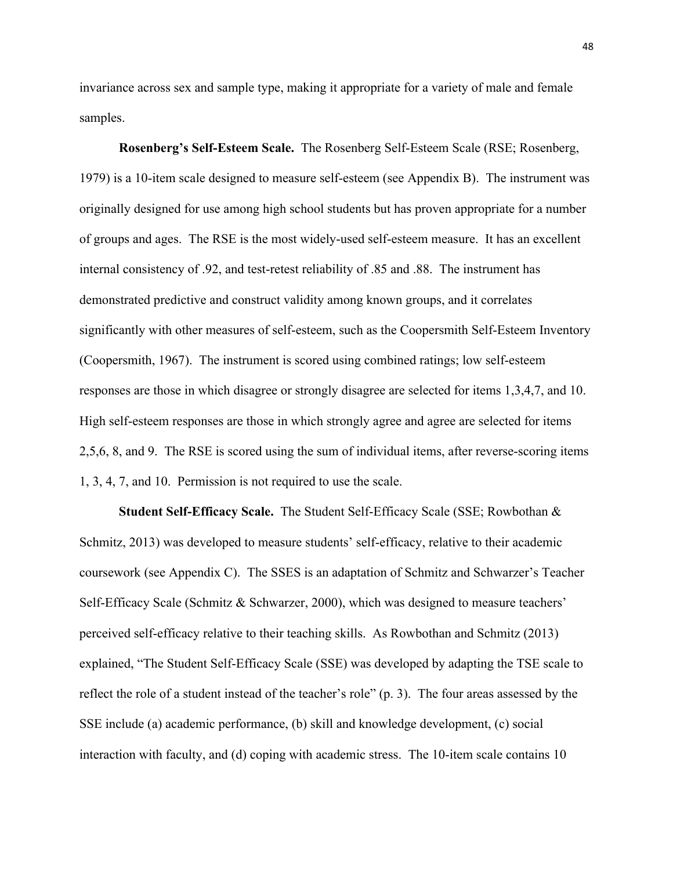invariance across sex and sample type, making it appropriate for a variety of male and female samples.

**Rosenberg's Self-Esteem Scale.** The Rosenberg Self-Esteem Scale (RSE; Rosenberg, 1979) is a 10-item scale designed to measure self-esteem (see Appendix B). The instrument was originally designed for use among high school students but has proven appropriate for a number of groups and ages. The RSE is the most widely-used self-esteem measure. It has an excellent internal consistency of .92, and test-retest reliability of .85 and .88. The instrument has demonstrated predictive and construct validity among known groups, and it correlates significantly with other measures of self-esteem, such as the Coopersmith Self-Esteem Inventory (Coopersmith, 1967). The instrument is scored using combined ratings; low self-esteem responses are those in which disagree or strongly disagree are selected for items 1,3,4,7, and 10. High self-esteem responses are those in which strongly agree and agree are selected for items 2,5,6, 8, and 9. The RSE is scored using the sum of individual items, after reverse-scoring items 1, 3, 4, 7, and 10. Permission is not required to use the scale.

**Student Self-Efficacy Scale.** The Student Self-Efficacy Scale (SSE; Rowbothan & Schmitz, 2013) was developed to measure students' self-efficacy, relative to their academic coursework (see Appendix C). The SSES is an adaptation of Schmitz and Schwarzer's Teacher Self-Efficacy Scale (Schmitz & Schwarzer, 2000), which was designed to measure teachers' perceived self-efficacy relative to their teaching skills. As Rowbothan and Schmitz (2013) explained, "The Student Self-Efficacy Scale (SSE) was developed by adapting the TSE scale to reflect the role of a student instead of the teacher's role" (p. 3). The four areas assessed by the SSE include (a) academic performance, (b) skill and knowledge development, (c) social interaction with faculty, and (d) coping with academic stress. The 10-item scale contains 10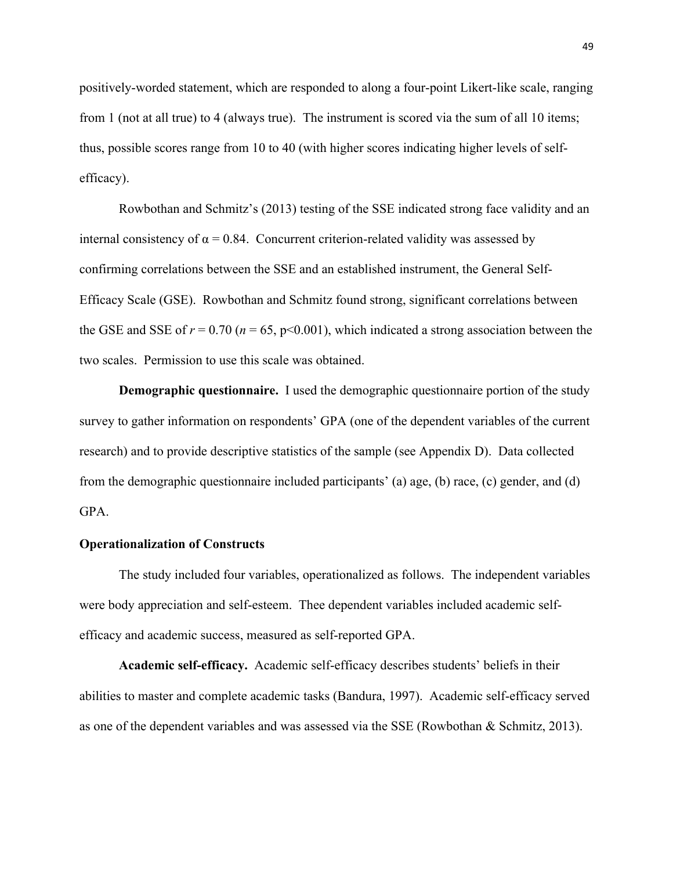positively-worded statement, which are responded to along a four-point Likert-like scale, ranging from 1 (not at all true) to 4 (always true). The instrument is scored via the sum of all 10 items; thus, possible scores range from 10 to 40 (with higher scores indicating higher levels of selfefficacy).

Rowbothan and Schmitz's (2013) testing of the SSE indicated strong face validity and an internal consistency of  $\alpha = 0.84$ . Concurrent criterion-related validity was assessed by confirming correlations between the SSE and an established instrument, the General Self-Efficacy Scale (GSE). Rowbothan and Schmitz found strong, significant correlations between the GSE and SSE of  $r = 0.70$  ( $n = 65$ ,  $p < 0.001$ ), which indicated a strong association between the two scales. Permission to use this scale was obtained.

**Demographic questionnaire.** I used the demographic questionnaire portion of the study survey to gather information on respondents' GPA (one of the dependent variables of the current research) and to provide descriptive statistics of the sample (see Appendix D). Data collected from the demographic questionnaire included participants' (a) age, (b) race, (c) gender, and (d) GPA.

## **Operationalization of Constructs**

The study included four variables, operationalized as follows. The independent variables were body appreciation and self-esteem. Thee dependent variables included academic selfefficacy and academic success, measured as self-reported GPA.

**Academic self-efficacy.** Academic self-efficacy describes students' beliefs in their abilities to master and complete academic tasks (Bandura, 1997). Academic self-efficacy served as one of the dependent variables and was assessed via the SSE (Rowbothan & Schmitz, 2013).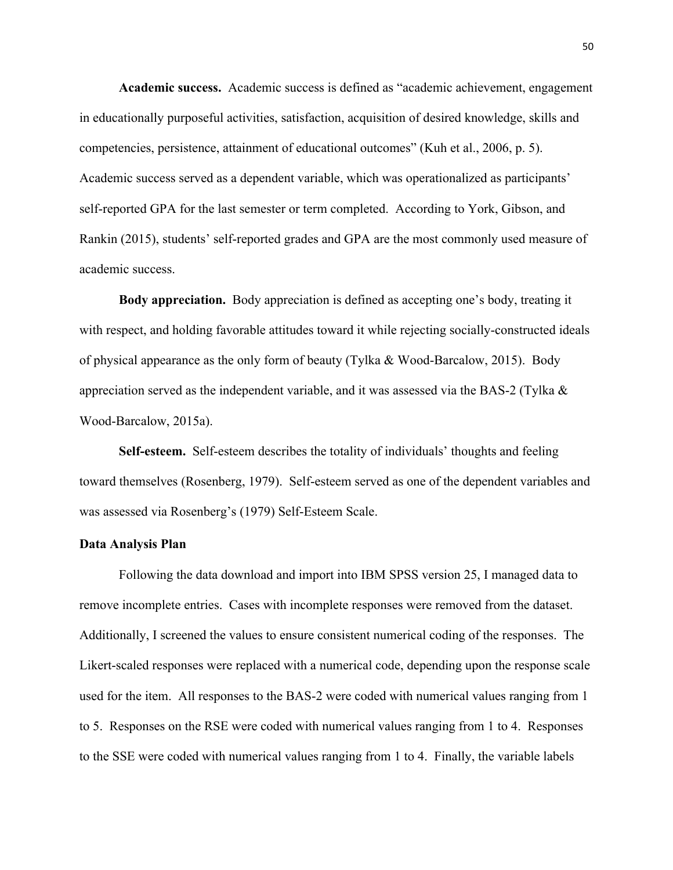**Academic success.** Academic success is defined as "academic achievement, engagement in educationally purposeful activities, satisfaction, acquisition of desired knowledge, skills and competencies, persistence, attainment of educational outcomes" (Kuh et al., 2006, p. 5). Academic success served as a dependent variable, which was operationalized as participants' self-reported GPA for the last semester or term completed. According to York, Gibson, and Rankin (2015), students' self-reported grades and GPA are the most commonly used measure of academic success.

**Body appreciation.** Body appreciation is defined as accepting one's body, treating it with respect, and holding favorable attitudes toward it while rejecting socially-constructed ideals of physical appearance as the only form of beauty (Tylka & Wood-Barcalow, 2015). Body appreciation served as the independent variable, and it was assessed via the BAS-2 (Tylka  $\&$ Wood-Barcalow, 2015a).

**Self-esteem.** Self-esteem describes the totality of individuals' thoughts and feeling toward themselves (Rosenberg, 1979). Self-esteem served as one of the dependent variables and was assessed via Rosenberg's (1979) Self-Esteem Scale.

### **Data Analysis Plan**

Following the data download and import into IBM SPSS version 25, I managed data to remove incomplete entries. Cases with incomplete responses were removed from the dataset. Additionally, I screened the values to ensure consistent numerical coding of the responses. The Likert-scaled responses were replaced with a numerical code, depending upon the response scale used for the item. All responses to the BAS-2 were coded with numerical values ranging from 1 to 5. Responses on the RSE were coded with numerical values ranging from 1 to 4. Responses to the SSE were coded with numerical values ranging from 1 to 4. Finally, the variable labels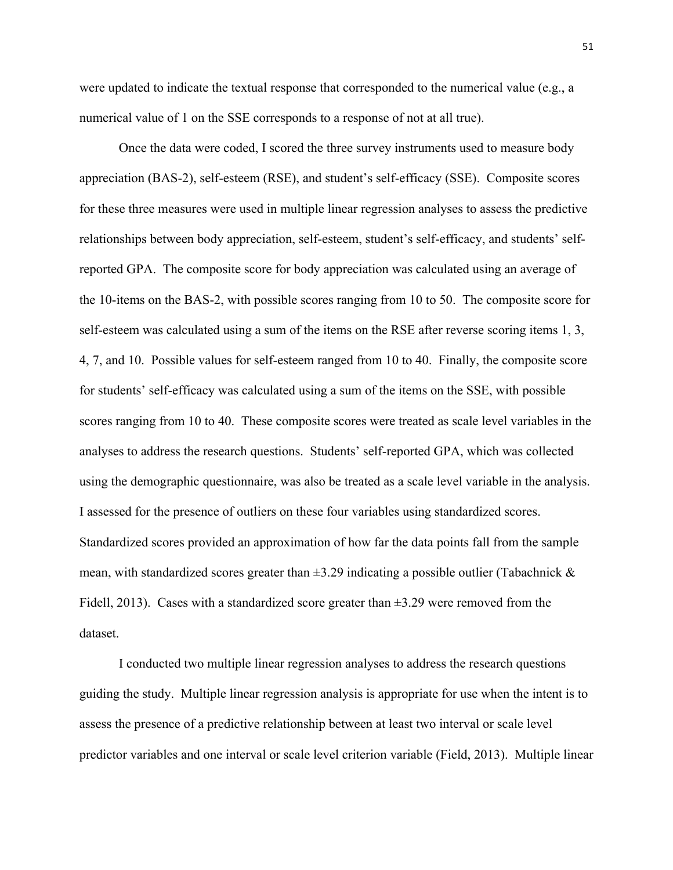were updated to indicate the textual response that corresponded to the numerical value (e.g., a numerical value of 1 on the SSE corresponds to a response of not at all true).

Once the data were coded, I scored the three survey instruments used to measure body appreciation (BAS-2), self-esteem (RSE), and student's self-efficacy (SSE). Composite scores for these three measures were used in multiple linear regression analyses to assess the predictive relationships between body appreciation, self-esteem, student's self-efficacy, and students' selfreported GPA. The composite score for body appreciation was calculated using an average of the 10-items on the BAS-2, with possible scores ranging from 10 to 50. The composite score for self-esteem was calculated using a sum of the items on the RSE after reverse scoring items 1, 3, 4, 7, and 10. Possible values for self-esteem ranged from 10 to 40. Finally, the composite score for students' self-efficacy was calculated using a sum of the items on the SSE, with possible scores ranging from 10 to 40. These composite scores were treated as scale level variables in the analyses to address the research questions. Students' self-reported GPA, which was collected using the demographic questionnaire, was also be treated as a scale level variable in the analysis. I assessed for the presence of outliers on these four variables using standardized scores. Standardized scores provided an approximation of how far the data points fall from the sample mean, with standardized scores greater than  $\pm 3.29$  indicating a possible outlier (Tabachnick & Fidell, 2013). Cases with a standardized score greater than  $\pm 3.29$  were removed from the dataset.

I conducted two multiple linear regression analyses to address the research questions guiding the study. Multiple linear regression analysis is appropriate for use when the intent is to assess the presence of a predictive relationship between at least two interval or scale level predictor variables and one interval or scale level criterion variable (Field, 2013). Multiple linear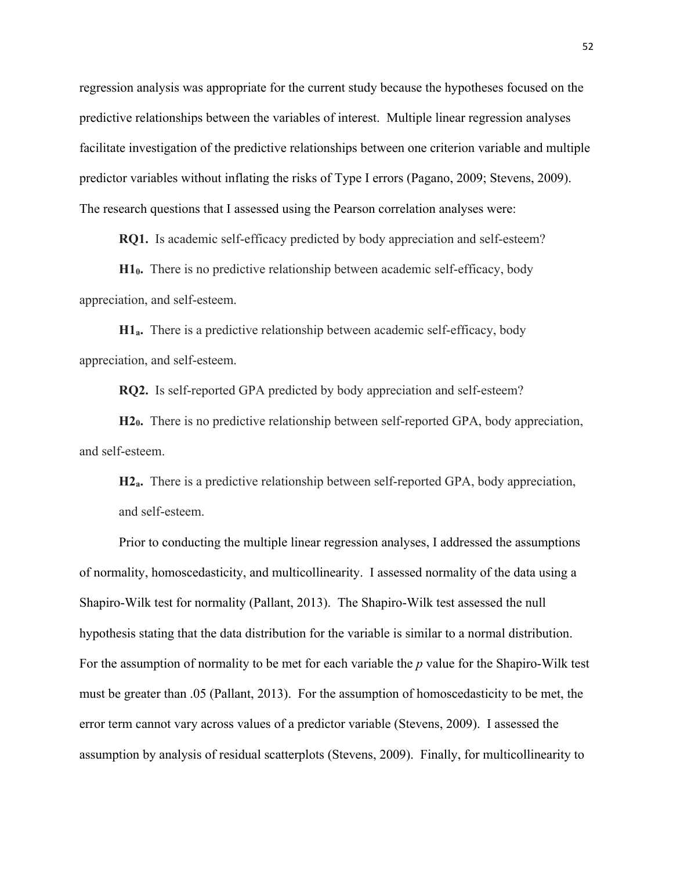regression analysis was appropriate for the current study because the hypotheses focused on the predictive relationships between the variables of interest. Multiple linear regression analyses facilitate investigation of the predictive relationships between one criterion variable and multiple predictor variables without inflating the risks of Type I errors (Pagano, 2009; Stevens, 2009). The research questions that I assessed using the Pearson correlation analyses were:

**RQ1.** Is academic self-efficacy predicted by body appreciation and self-esteem?

**H10.** There is no predictive relationship between academic self-efficacy, body appreciation, and self-esteem.

**H1a.** There is a predictive relationship between academic self-efficacy, body appreciation, and self-esteem.

**RQ2.** Is self-reported GPA predicted by body appreciation and self-esteem?

**H20.** There is no predictive relationship between self-reported GPA, body appreciation, and self-esteem.

**H2a.** There is a predictive relationship between self-reported GPA, body appreciation, and self-esteem.

Prior to conducting the multiple linear regression analyses, I addressed the assumptions of normality, homoscedasticity, and multicollinearity. I assessed normality of the data using a Shapiro-Wilk test for normality (Pallant, 2013). The Shapiro-Wilk test assessed the null hypothesis stating that the data distribution for the variable is similar to a normal distribution. For the assumption of normality to be met for each variable the *p* value for the Shapiro-Wilk test must be greater than .05 (Pallant, 2013). For the assumption of homoscedasticity to be met, the error term cannot vary across values of a predictor variable (Stevens, 2009). I assessed the assumption by analysis of residual scatterplots (Stevens, 2009). Finally, for multicollinearity to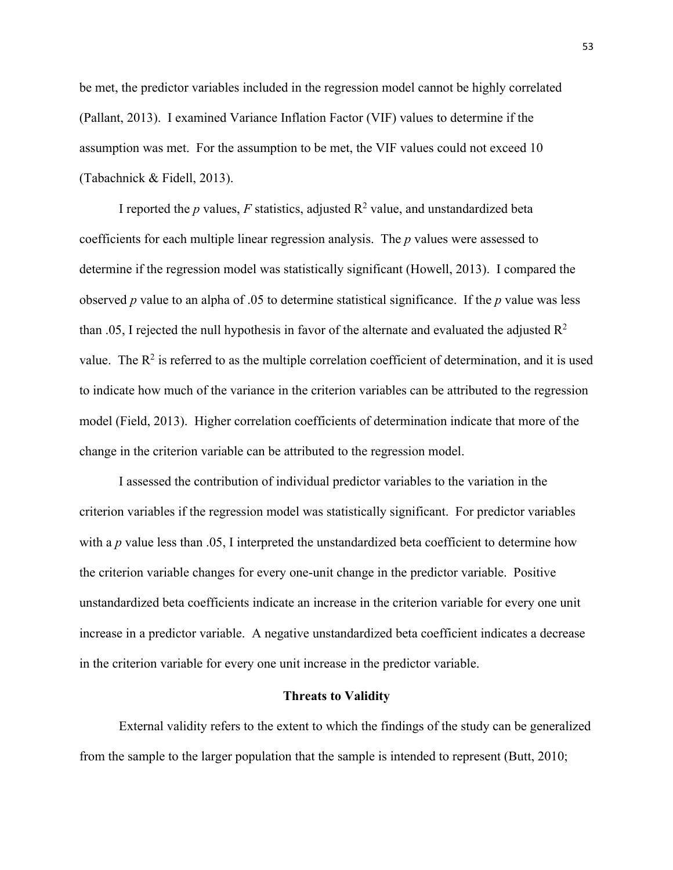be met, the predictor variables included in the regression model cannot be highly correlated (Pallant, 2013). I examined Variance Inflation Factor (VIF) values to determine if the assumption was met. For the assumption to be met, the VIF values could not exceed 10 (Tabachnick & Fidell, 2013).

I reported the  $p$  values,  $F$  statistics, adjusted  $R^2$  value, and unstandardized beta coefficients for each multiple linear regression analysis. The *p* values were assessed to determine if the regression model was statistically significant (Howell, 2013). I compared the observed *p* value to an alpha of .05 to determine statistical significance. If the *p* value was less than .05, I rejected the null hypothesis in favor of the alternate and evaluated the adjusted  $\mathbb{R}^2$ value. The  $R^2$  is referred to as the multiple correlation coefficient of determination, and it is used to indicate how much of the variance in the criterion variables can be attributed to the regression model (Field, 2013). Higher correlation coefficients of determination indicate that more of the change in the criterion variable can be attributed to the regression model.

I assessed the contribution of individual predictor variables to the variation in the criterion variables if the regression model was statistically significant. For predictor variables with a *p* value less than .05, I interpreted the unstandardized beta coefficient to determine how the criterion variable changes for every one-unit change in the predictor variable. Positive unstandardized beta coefficients indicate an increase in the criterion variable for every one unit increase in a predictor variable. A negative unstandardized beta coefficient indicates a decrease in the criterion variable for every one unit increase in the predictor variable.

#### **Threats to Validity**

External validity refers to the extent to which the findings of the study can be generalized from the sample to the larger population that the sample is intended to represent (Butt, 2010;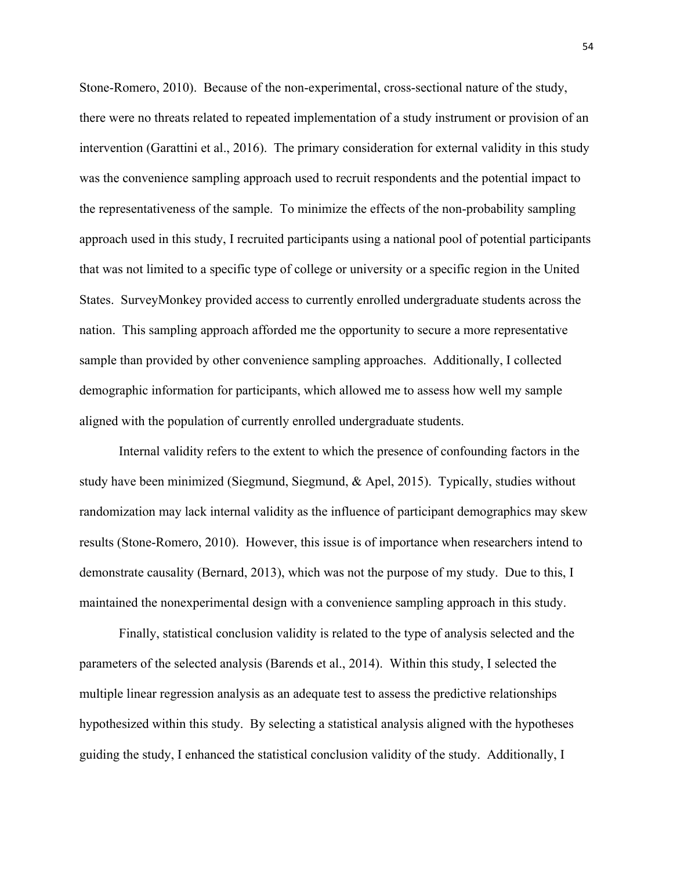Stone-Romero, 2010). Because of the non-experimental, cross-sectional nature of the study, there were no threats related to repeated implementation of a study instrument or provision of an intervention (Garattini et al., 2016). The primary consideration for external validity in this study was the convenience sampling approach used to recruit respondents and the potential impact to the representativeness of the sample. To minimize the effects of the non-probability sampling approach used in this study, I recruited participants using a national pool of potential participants that was not limited to a specific type of college or university or a specific region in the United States. SurveyMonkey provided access to currently enrolled undergraduate students across the nation. This sampling approach afforded me the opportunity to secure a more representative sample than provided by other convenience sampling approaches. Additionally, I collected demographic information for participants, which allowed me to assess how well my sample aligned with the population of currently enrolled undergraduate students.

Internal validity refers to the extent to which the presence of confounding factors in the study have been minimized (Siegmund, Siegmund, & Apel, 2015). Typically, studies without randomization may lack internal validity as the influence of participant demographics may skew results (Stone-Romero, 2010). However, this issue is of importance when researchers intend to demonstrate causality (Bernard, 2013), which was not the purpose of my study. Due to this, I maintained the nonexperimental design with a convenience sampling approach in this study.

Finally, statistical conclusion validity is related to the type of analysis selected and the parameters of the selected analysis (Barends et al., 2014). Within this study, I selected the multiple linear regression analysis as an adequate test to assess the predictive relationships hypothesized within this study. By selecting a statistical analysis aligned with the hypotheses guiding the study, I enhanced the statistical conclusion validity of the study. Additionally, I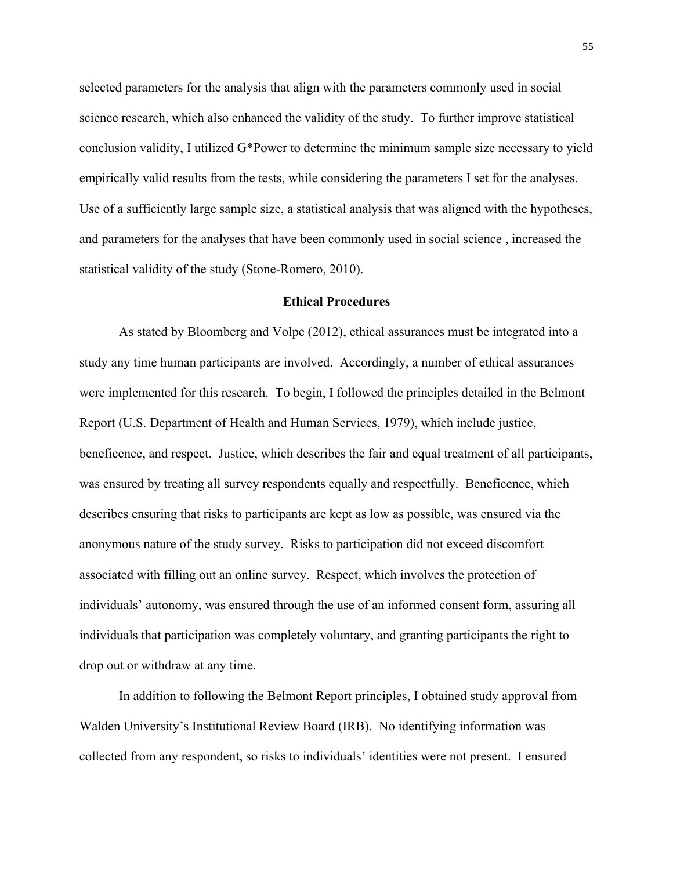selected parameters for the analysis that align with the parameters commonly used in social science research, which also enhanced the validity of the study. To further improve statistical conclusion validity, I utilized G\*Power to determine the minimum sample size necessary to yield empirically valid results from the tests, while considering the parameters I set for the analyses. Use of a sufficiently large sample size, a statistical analysis that was aligned with the hypotheses, and parameters for the analyses that have been commonly used in social science , increased the statistical validity of the study (Stone-Romero, 2010).

## **Ethical Procedures**

As stated by Bloomberg and Volpe (2012), ethical assurances must be integrated into a study any time human participants are involved. Accordingly, a number of ethical assurances were implemented for this research. To begin, I followed the principles detailed in the Belmont Report (U.S. Department of Health and Human Services, 1979), which include justice, beneficence, and respect. Justice, which describes the fair and equal treatment of all participants, was ensured by treating all survey respondents equally and respectfully. Beneficence, which describes ensuring that risks to participants are kept as low as possible, was ensured via the anonymous nature of the study survey. Risks to participation did not exceed discomfort associated with filling out an online survey. Respect, which involves the protection of individuals' autonomy, was ensured through the use of an informed consent form, assuring all individuals that participation was completely voluntary, and granting participants the right to drop out or withdraw at any time.

In addition to following the Belmont Report principles, I obtained study approval from Walden University's Institutional Review Board (IRB). No identifying information was collected from any respondent, so risks to individuals' identities were not present. I ensured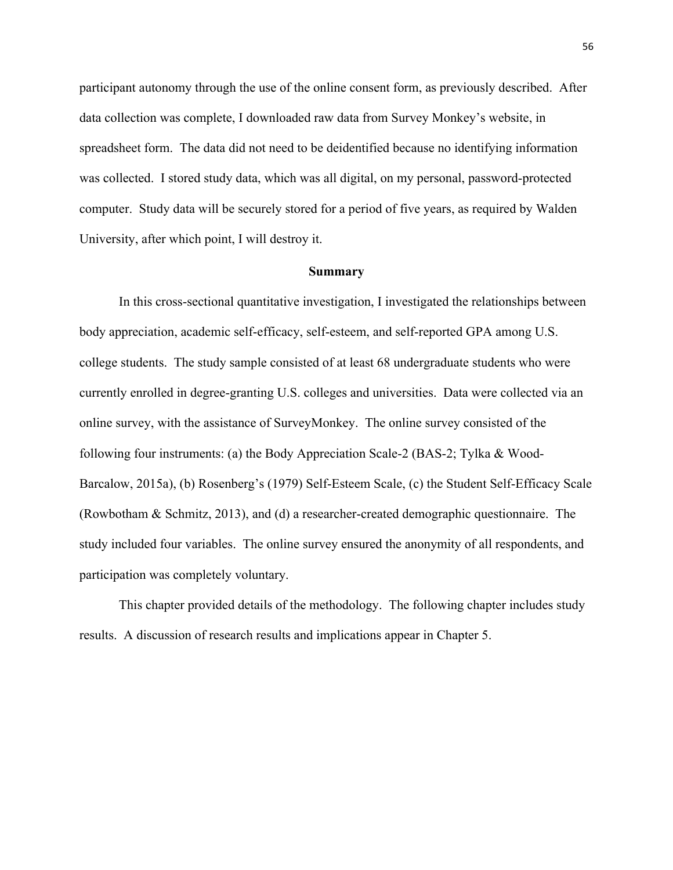participant autonomy through the use of the online consent form, as previously described. After data collection was complete, I downloaded raw data from Survey Monkey's website, in spreadsheet form. The data did not need to be deidentified because no identifying information was collected. I stored study data, which was all digital, on my personal, password-protected computer. Study data will be securely stored for a period of five years, as required by Walden University, after which point, I will destroy it.

#### **Summary**

In this cross-sectional quantitative investigation, I investigated the relationships between body appreciation, academic self-efficacy, self-esteem, and self-reported GPA among U.S. college students. The study sample consisted of at least 68 undergraduate students who were currently enrolled in degree-granting U.S. colleges and universities. Data were collected via an online survey, with the assistance of SurveyMonkey. The online survey consisted of the following four instruments: (a) the Body Appreciation Scale-2 (BAS-2; Tylka & Wood-Barcalow, 2015a), (b) Rosenberg's (1979) Self-Esteem Scale, (c) the Student Self-Efficacy Scale (Rowbotham & Schmitz, 2013), and (d) a researcher-created demographic questionnaire. The study included four variables. The online survey ensured the anonymity of all respondents, and participation was completely voluntary.

This chapter provided details of the methodology. The following chapter includes study results. A discussion of research results and implications appear in Chapter 5.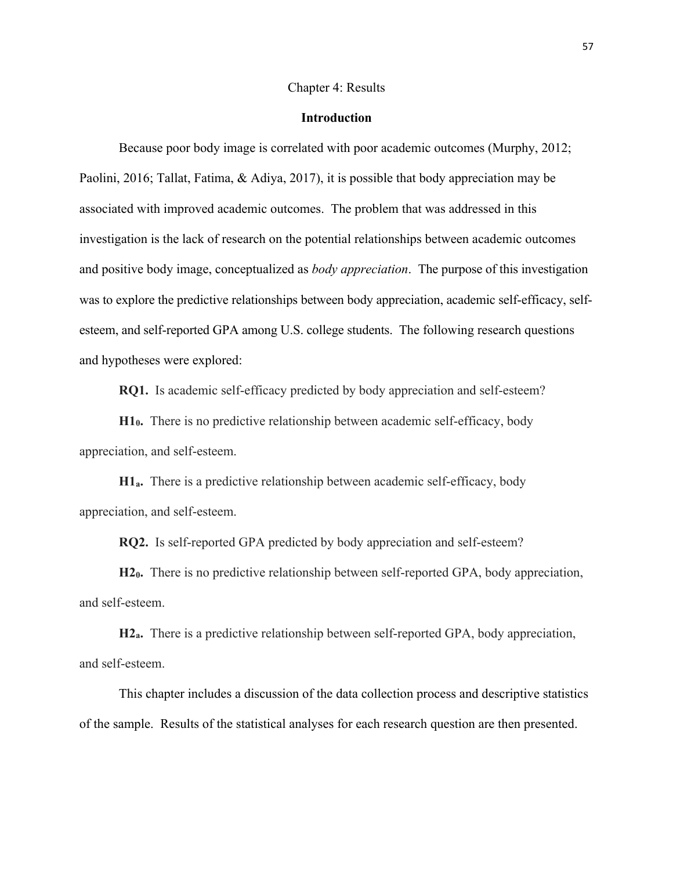#### Chapter 4: Results

#### **Introduction**

Because poor body image is correlated with poor academic outcomes (Murphy, 2012; Paolini, 2016; Tallat, Fatima, & Adiya, 2017), it is possible that body appreciation may be associated with improved academic outcomes. The problem that was addressed in this investigation is the lack of research on the potential relationships between academic outcomes and positive body image, conceptualized as *body appreciation*. The purpose of this investigation was to explore the predictive relationships between body appreciation, academic self-efficacy, selfesteem, and self-reported GPA among U.S. college students. The following research questions and hypotheses were explored:

**RQ1.** Is academic self-efficacy predicted by body appreciation and self-esteem?

**H10.** There is no predictive relationship between academic self-efficacy, body appreciation, and self-esteem.

**H1a.** There is a predictive relationship between academic self-efficacy, body appreciation, and self-esteem.

**RQ2.** Is self-reported GPA predicted by body appreciation and self-esteem?

**H20.** There is no predictive relationship between self-reported GPA, body appreciation, and self-esteem.

**H2a.** There is a predictive relationship between self-reported GPA, body appreciation, and self-esteem.

This chapter includes a discussion of the data collection process and descriptive statistics of the sample. Results of the statistical analyses for each research question are then presented.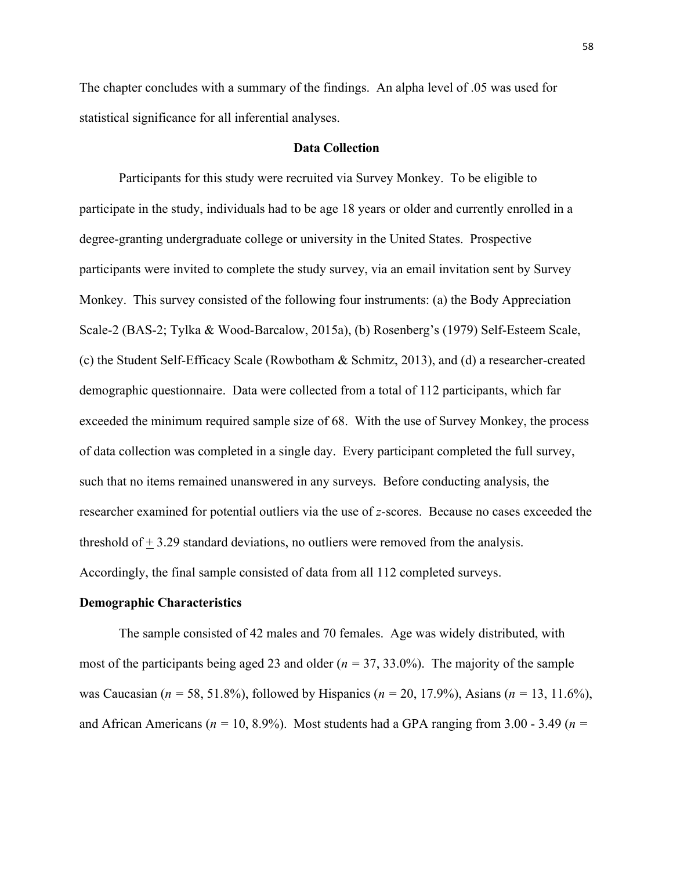The chapter concludes with a summary of the findings. An alpha level of .05 was used for statistical significance for all inferential analyses.

## **Data Collection**

Participants for this study were recruited via Survey Monkey. To be eligible to participate in the study, individuals had to be age 18 years or older and currently enrolled in a degree-granting undergraduate college or university in the United States. Prospective participants were invited to complete the study survey, via an email invitation sent by Survey Monkey. This survey consisted of the following four instruments: (a) the Body Appreciation Scale-2 (BAS-2; Tylka & Wood-Barcalow, 2015a), (b) Rosenberg's (1979) Self-Esteem Scale, (c) the Student Self-Efficacy Scale (Rowbotham & Schmitz, 2013), and (d) a researcher-created demographic questionnaire. Data were collected from a total of 112 participants, which far exceeded the minimum required sample size of 68. With the use of Survey Monkey, the process of data collection was completed in a single day. Every participant completed the full survey, such that no items remained unanswered in any surveys. Before conducting analysis, the researcher examined for potential outliers via the use of *z-*scores. Because no cases exceeded the threshold of  $+$  3.29 standard deviations, no outliers were removed from the analysis. Accordingly, the final sample consisted of data from all 112 completed surveys.

#### **Demographic Characteristics**

The sample consisted of 42 males and 70 females. Age was widely distributed, with most of the participants being aged 23 and older (*n =* 37, 33.0%). The majority of the sample was Caucasian (*n =* 58, 51.8%), followed by Hispanics (*n =* 20, 17.9%), Asians (*n =* 13, 11.6%), and African Americans (*n =* 10, 8.9%). Most students had a GPA ranging from 3.00 - 3.49 (*n =*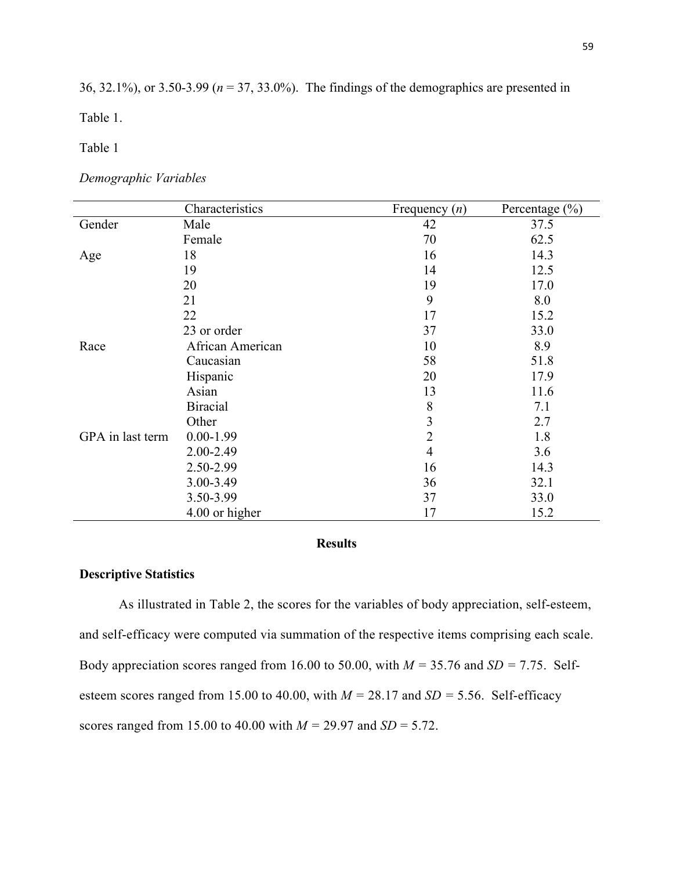36, 32.1%), or 3.50-3.99 (*n* = 37, 33.0%). The findings of the demographics are presented in

Table 1.

Table 1

*Demographic Variables*

|                  | Characteristics  | Frequency $(n)$ | Percentage $(\% )$ |
|------------------|------------------|-----------------|--------------------|
| Gender           | Male             | 42              | 37.5               |
|                  | Female           | 70              | 62.5               |
| Age              | 18               | 16              | 14.3               |
|                  | 19               | 14              | 12.5               |
|                  | 20               | 19              | 17.0               |
|                  | 21               | 9               | 8.0                |
|                  | 22               | 17              | 15.2               |
|                  | 23 or order      | 37              | 33.0               |
| Race             | African American | 10              | 8.9                |
|                  | Caucasian        | 58              | 51.8               |
|                  | Hispanic         | 20              | 17.9               |
|                  | Asian            | 13              | 11.6               |
|                  | <b>Biracial</b>  | 8               | 7.1                |
|                  | Other            | 3               | 2.7                |
| GPA in last term | $0.00 - 1.99$    | $\overline{2}$  | 1.8                |
|                  | 2.00-2.49        | $\overline{4}$  | 3.6                |
|                  | 2.50-2.99        | 16              | 14.3               |
|                  | 3.00-3.49        | 36              | 32.1               |
|                  | 3.50-3.99        | 37              | 33.0               |
|                  | 4.00 or higher   | 17              | 15.2               |

# **Results**

# **Descriptive Statistics**

As illustrated in Table 2, the scores for the variables of body appreciation, self-esteem, and self-efficacy were computed via summation of the respective items comprising each scale. Body appreciation scores ranged from 16.00 to 50.00, with  $M = 35.76$  and  $SD = 7.75$ . Selfesteem scores ranged from 15.00 to 40.00, with  $M = 28.17$  and  $SD = 5.56$ . Self-efficacy scores ranged from 15.00 to 40.00 with *M =* 29.97 and *SD* = 5.72.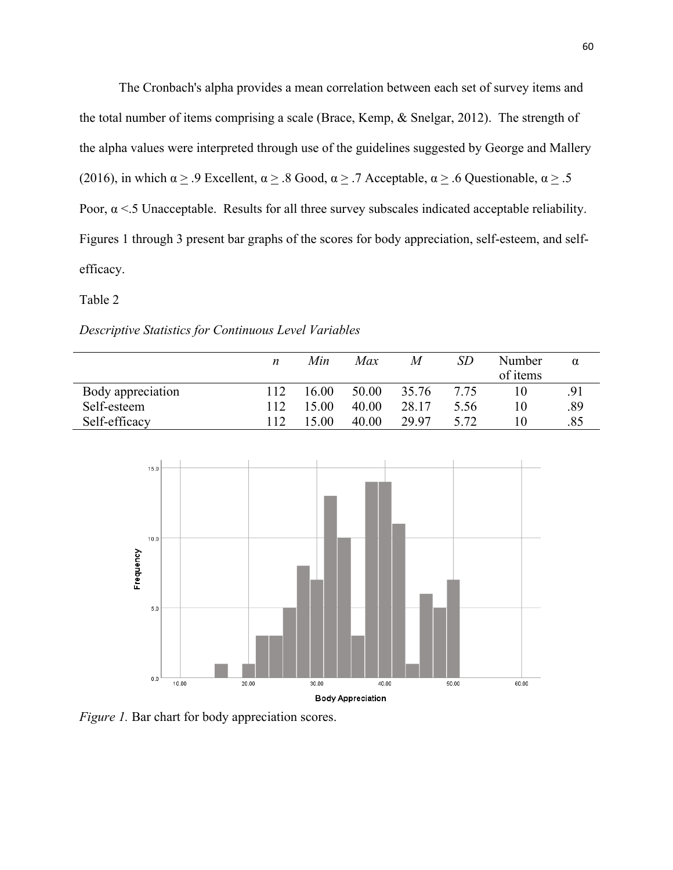The Cronbach's alpha provides a mean correlation between each set of survey items and the total number of items comprising a scale (Brace, Kemp, & Snelgar, 2012). The strength of the alpha values were interpreted through use of the guidelines suggested by George and Mallery (2016), in which  $\alpha \ge 0$  Excellent,  $\alpha \ge 0.8$  Good,  $\alpha \ge 0.7$  Acceptable,  $\alpha \ge 0.6$  Questionable,  $\alpha \ge 0.5$ Poor,  $\alpha$  <.5 Unacceptable. Results for all three survey subscales indicated acceptable reliability. Figures 1 through 3 present bar graphs of the scores for body appreciation, self-esteem, and selfefficacy.

### Table 2

### *Descriptive Statistics for Continuous Level Variables*

|                   | n   | Min   | Max   | M     | SD   | Number<br>of items | α   |
|-------------------|-----|-------|-------|-------|------|--------------------|-----|
| Body appreciation | 112 | 16.00 | 50.00 | 35.76 | 7.75 |                    | .91 |
| Self-esteem       | 112 | 15.00 | 40.00 | 28.17 | 5.56 |                    | .89 |
| Self-efficacy     | 112 | 15.00 | 40.00 | 29.97 | 5.72 |                    | .85 |



*Figure 1.* Bar chart for body appreciation scores.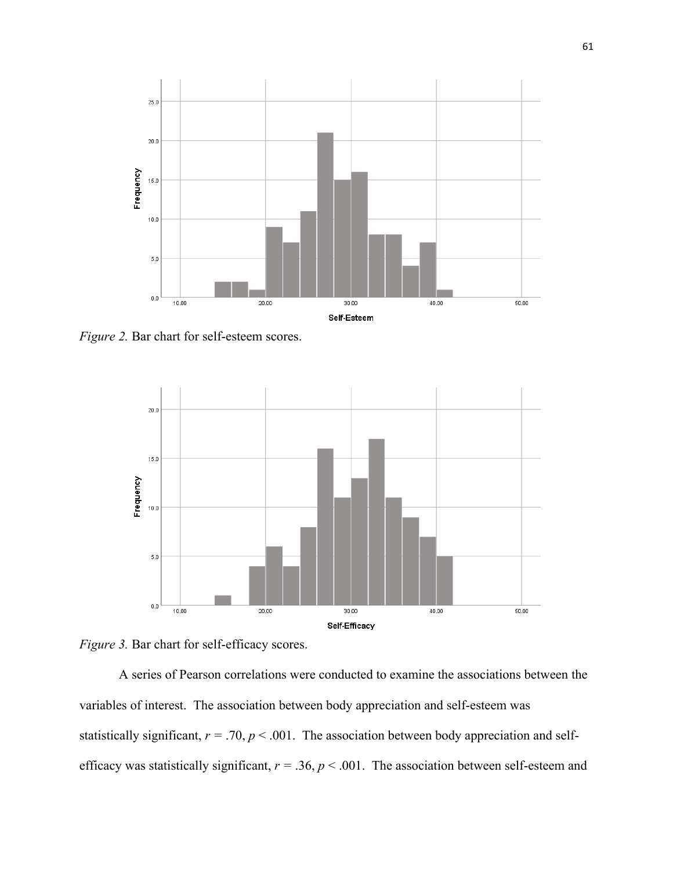

*Figure 2. Bar chart for self-esteem scores.* 



*Figure 3.* Bar chart for self-efficacy scores.

A series of Pearson correlations were conducted to examine the associations between the variables of interest. The association between body appreciation and self-esteem was statistically significant,  $r = .70$ ,  $p < .001$ . The association between body appreciation and selfefficacy was statistically significant, *r =* .36, *p* < .001. The association between self-esteem and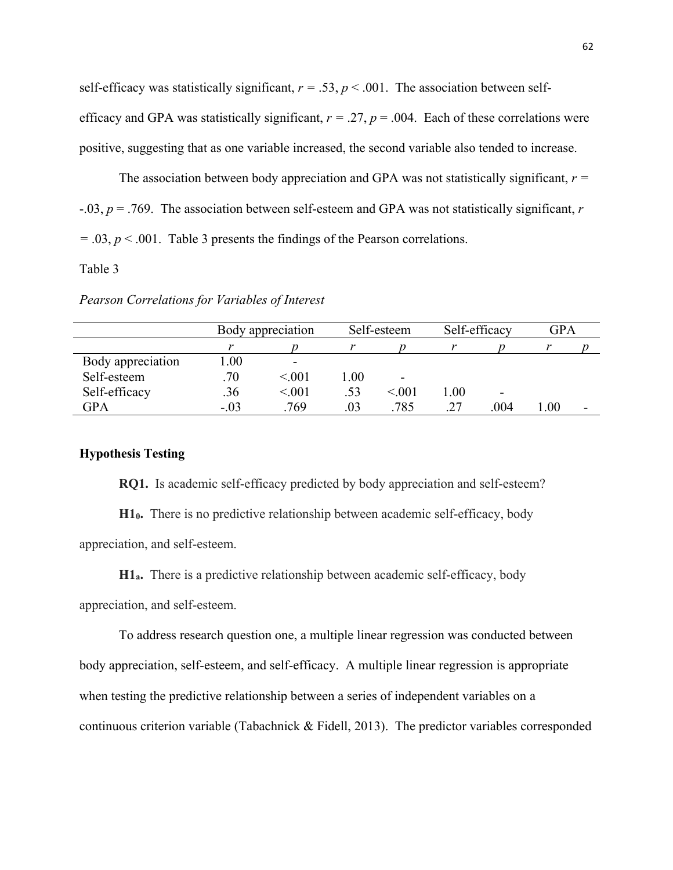self-efficacy was statistically significant,  $r = .53$ ,  $p < .001$ . The association between selfefficacy and GPA was statistically significant,  $r = .27$ ,  $p = .004$ . Each of these correlations were positive, suggesting that as one variable increased, the second variable also tended to increase.

The association between body appreciation and GPA was not statistically significant, *r =*  -.03, *p* = .769. The association between self-esteem and GPA was not statistically significant, *r =* .03, *p* < .001. Table 3 presents the findings of the Pearson correlations.

# Table 3

*Pearson Correlations for Variables of Interest*

|                   | Body appreciation |         | Self-esteem |         | Self-efficacy |                          | <b>GPA</b> |  |
|-------------------|-------------------|---------|-------------|---------|---------------|--------------------------|------------|--|
|                   |                   |         |             |         |               |                          |            |  |
| Body appreciation | .00.              | -       |             |         |               |                          |            |  |
| Self-esteem       | .70               | < 001   | 00.1        | -       |               |                          |            |  |
| Self-efficacy     | .36               | < 0.001 | .53         | < 0.001 | 0.0           | $\overline{\phantom{0}}$ |            |  |
| GPA               | $-.03$            | .769    | .03         | .785    | .27           | .004                     | .00.       |  |

# **Hypothesis Testing**

**RQ1.** Is academic self-efficacy predicted by body appreciation and self-esteem?

**H10.** There is no predictive relationship between academic self-efficacy, body appreciation, and self-esteem.

**H1a.** There is a predictive relationship between academic self-efficacy, body

appreciation, and self-esteem.

To address research question one, a multiple linear regression was conducted between body appreciation, self-esteem, and self-efficacy. A multiple linear regression is appropriate when testing the predictive relationship between a series of independent variables on a continuous criterion variable (Tabachnick & Fidell, 2013). The predictor variables corresponded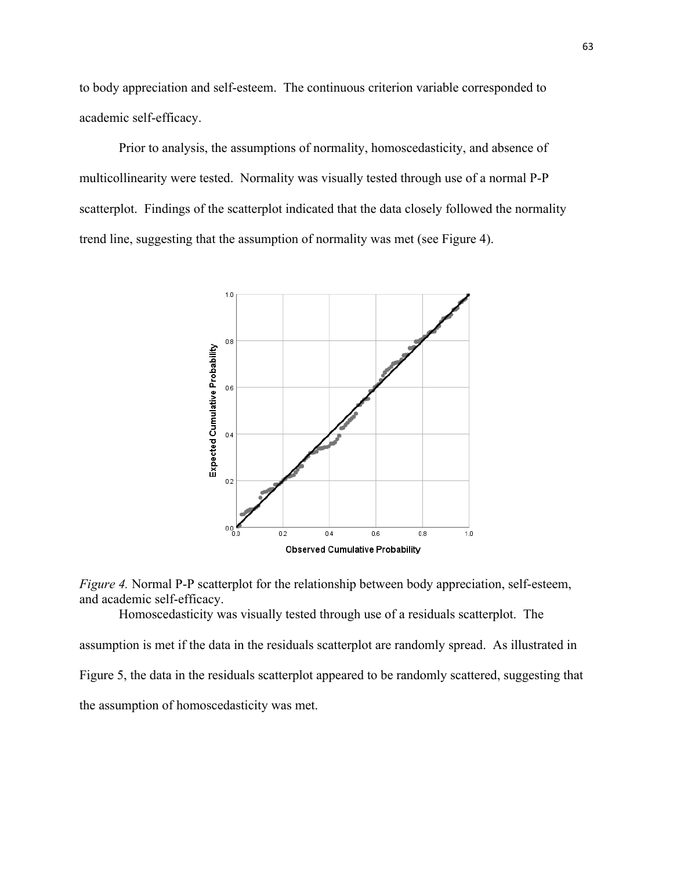to body appreciation and self-esteem. The continuous criterion variable corresponded to academic self-efficacy.

Prior to analysis, the assumptions of normality, homoscedasticity, and absence of multicollinearity were tested. Normality was visually tested through use of a normal P-P scatterplot. Findings of the scatterplot indicated that the data closely followed the normality trend line, suggesting that the assumption of normality was met (see Figure 4).





Homoscedasticity was visually tested through use of a residuals scatterplot. The

assumption is met if the data in the residuals scatterplot are randomly spread. As illustrated in Figure 5, the data in the residuals scatterplot appeared to be randomly scattered, suggesting that the assumption of homoscedasticity was met.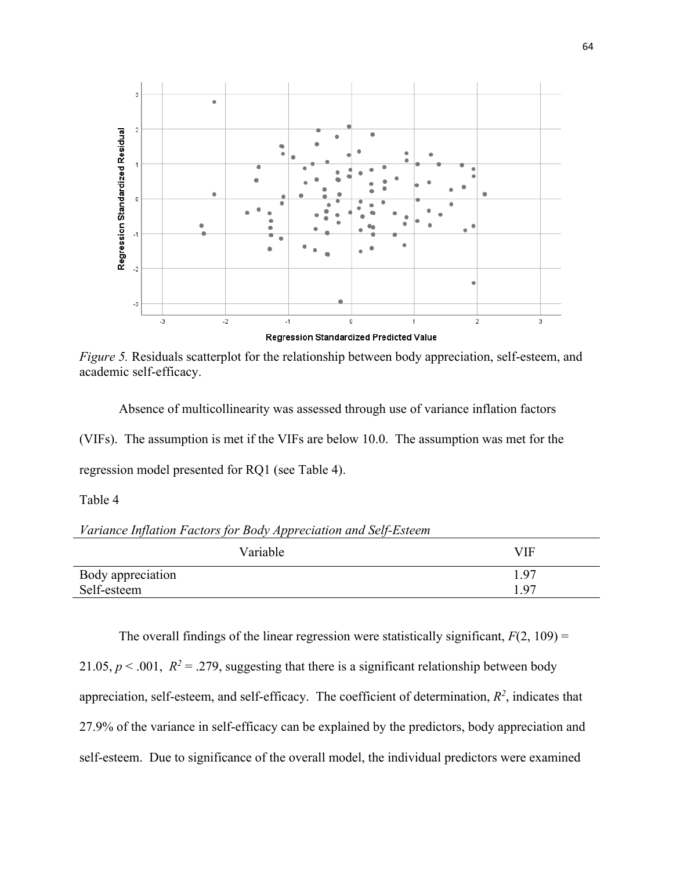

*Figure 5.* Residuals scatterplot for the relationship between body appreciation, self-esteem, and academic self-efficacy.

Absence of multicollinearity was assessed through use of variance inflation factors (VIFs). The assumption is met if the VIFs are below 10.0. The assumption was met for the regression model presented for RQ1 (see Table 4).

Table 4

*Variance Inflation Factors for Body Appreciation and Self-Esteem*

| Variable          | VIF  |
|-------------------|------|
| Body appreciation | 1.97 |
| Self-esteem       | 1.97 |

The overall findings of the linear regression were statistically significant,  $F(2, 109) =$ 

21.05,  $p < .001$ ,  $R^2 = .279$ , suggesting that there is a significant relationship between body appreciation, self-esteem, and self-efficacy. The coefficient of determination,  $R^2$ , indicates that 27.9% of the variance in self-efficacy can be explained by the predictors, body appreciation and self-esteem. Due to significance of the overall model, the individual predictors were examined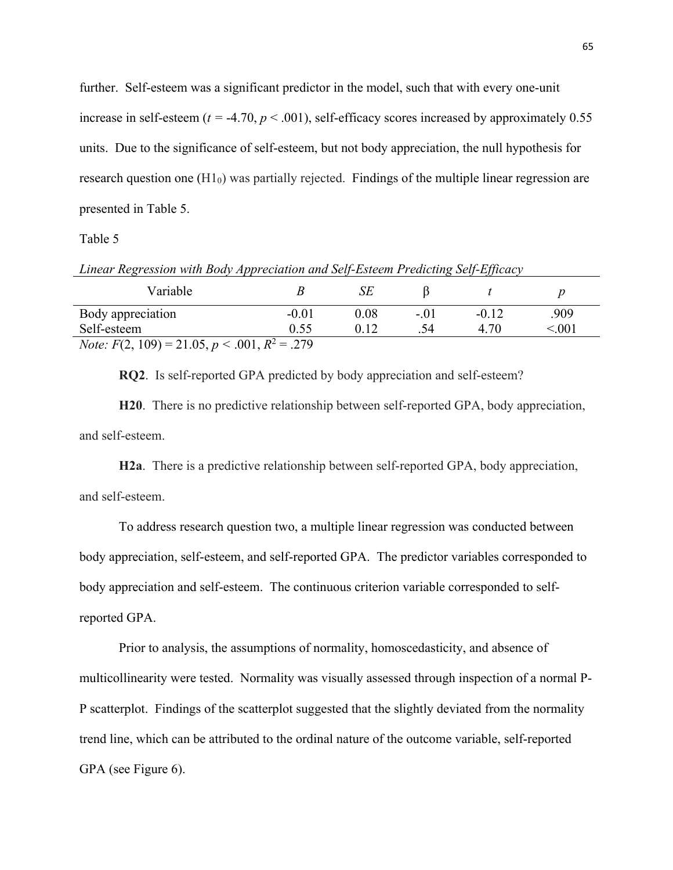further. Self-esteem was a significant predictor in the model, such that with every one-unit increase in self-esteem ( $t = -4.70$ ,  $p < .001$ ), self-efficacy scores increased by approximately 0.55 units. Due to the significance of self-esteem, but not body appreciation, the null hypothesis for research question one (H1<sub>0</sub>) was partially rejected. Findings of the multiple linear regression are presented in Table 5.

### Table 5

| Linear Regression with Body Appreciation and Self-Esteem Predicting Self-Efficacy |         |      |        |         |       |  |
|-----------------------------------------------------------------------------------|---------|------|--------|---------|-------|--|
| Variable                                                                          |         | SЕ   |        |         |       |  |
| Body appreciation                                                                 | $-0.01$ | 0.08 | $-.01$ | $-0.12$ | .909  |  |
| Self-esteem                                                                       | 0.55    | 0.12 | .54    | 4.70    | < 001 |  |
| <i>Note:</i> $F(2, 109) = 21.05, p < .001, R^2 = .279$                            |         |      |        |         |       |  |

**RQ2**. Is self-reported GPA predicted by body appreciation and self-esteem?

**H20**. There is no predictive relationship between self-reported GPA, body appreciation, and self-esteem.

**H2a**. There is a predictive relationship between self-reported GPA, body appreciation, and self-esteem.

To address research question two, a multiple linear regression was conducted between body appreciation, self-esteem, and self-reported GPA. The predictor variables corresponded to body appreciation and self-esteem. The continuous criterion variable corresponded to selfreported GPA.

Prior to analysis, the assumptions of normality, homoscedasticity, and absence of multicollinearity were tested. Normality was visually assessed through inspection of a normal P-P scatterplot. Findings of the scatterplot suggested that the slightly deviated from the normality trend line, which can be attributed to the ordinal nature of the outcome variable, self-reported GPA (see Figure 6).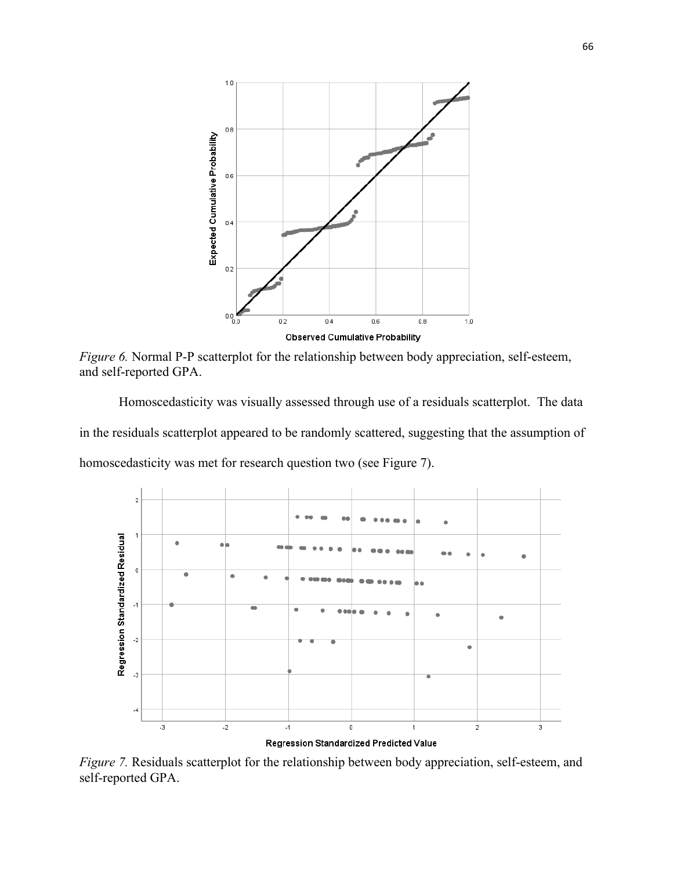

*Figure 6.* Normal P-P scatterplot for the relationship between body appreciation, self-esteem, and self-reported GPA.

Homoscedasticity was visually assessed through use of a residuals scatterplot. The data in the residuals scatterplot appeared to be randomly scattered, suggesting that the assumption of homoscedasticity was met for research question two (see Figure 7).



*Figure 7.* Residuals scatterplot for the relationship between body appreciation, self-esteem, and self-reported GPA.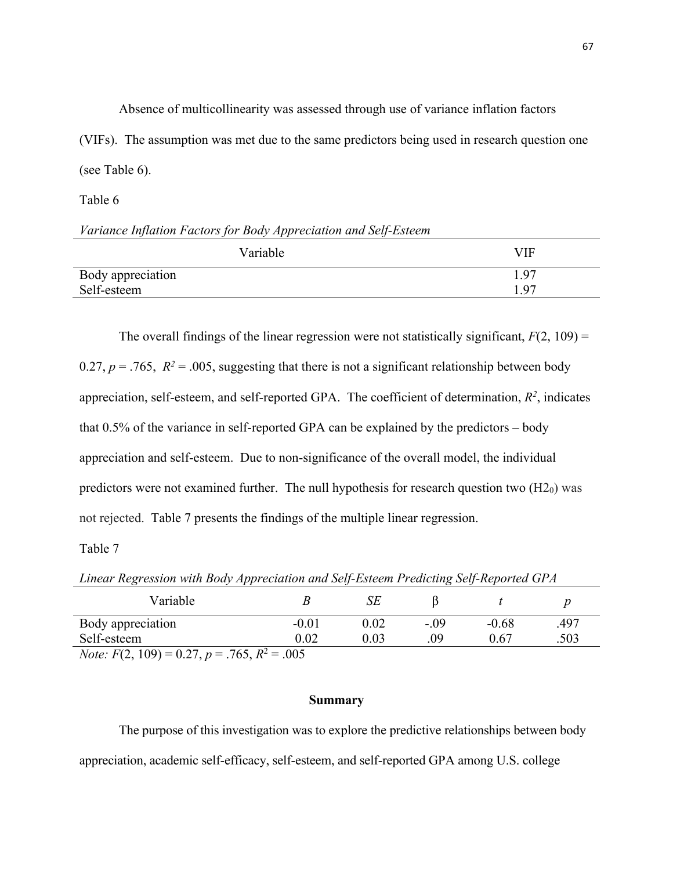Absence of multicollinearity was assessed through use of variance inflation factors (VIFs). The assumption was met due to the same predictors being used in research question one (see Table 6).

Table 6

# *Variance Inflation Factors for Body Appreciation and Self-Esteem*

| Variable          | <b>VIF</b> |
|-------------------|------------|
| Body appreciation | 1.97       |
| Self-esteem       | 1.97       |

The overall findings of the linear regression were not statistically significant,  $F(2, 109)$  = 0.27,  $p = .765$ ,  $R^2 = .005$ , suggesting that there is not a significant relationship between body appreciation, self-esteem, and self-reported GPA. The coefficient of determination,  $R^2$ , indicates that 0.5% of the variance in self-reported GPA can be explained by the predictors – body appreciation and self-esteem. Due to non-significance of the overall model, the individual predictors were not examined further. The null hypothesis for research question two  $(H2<sub>0</sub>)$  was not rejected. Table 7 presents the findings of the multiple linear regression.

Table 7

*Linear Regression with Body Appreciation and Self-Esteem Predicting Self-Reported GPA*

| Variable                                              |         | SĿ   |      |         |      |  |
|-------------------------------------------------------|---------|------|------|---------|------|--|
| Body appreciation                                     | $-0.01$ | 0.02 | -.09 | $-0.68$ | .497 |  |
| Self-esteem                                           | 0.02    | 0.03 | .09  | 0.67    | .503 |  |
| <i>Note:</i> $F(2, 109) = 0.27, p = .765, R^2 = .005$ |         |      |      |         |      |  |

# **Summary**

The purpose of this investigation was to explore the predictive relationships between body appreciation, academic self-efficacy, self-esteem, and self-reported GPA among U.S. college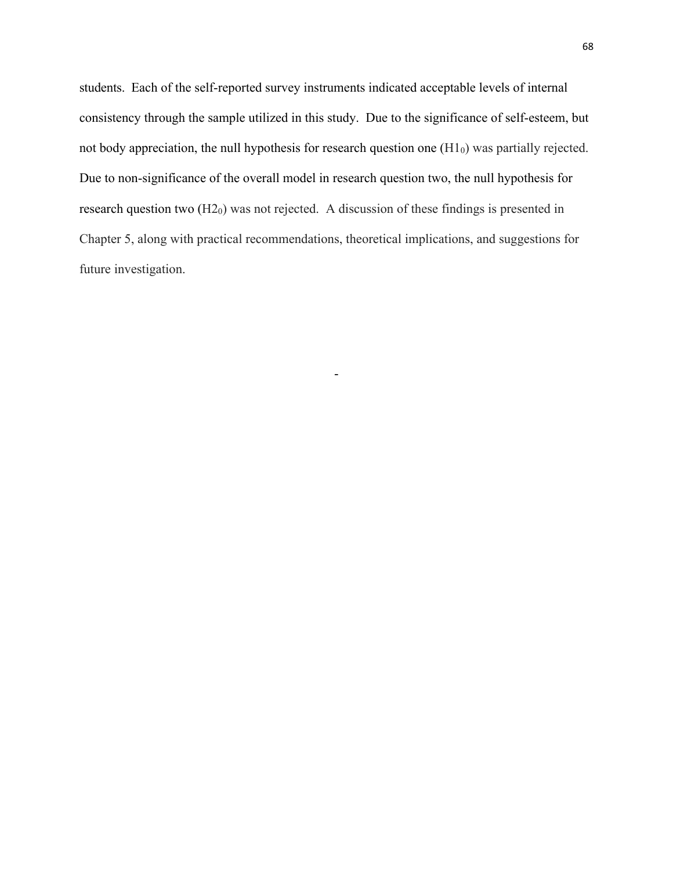students. Each of the self-reported survey instruments indicated acceptable levels of internal consistency through the sample utilized in this study. Due to the significance of self-esteem, but not body appreciation, the null hypothesis for research question one  $(H1<sub>0</sub>)$  was partially rejected. Due to non-significance of the overall model in research question two, the null hypothesis for research question two  $(H2<sub>0</sub>)$  was not rejected. A discussion of these findings is presented in Chapter 5, along with practical recommendations, theoretical implications, and suggestions for future investigation.

-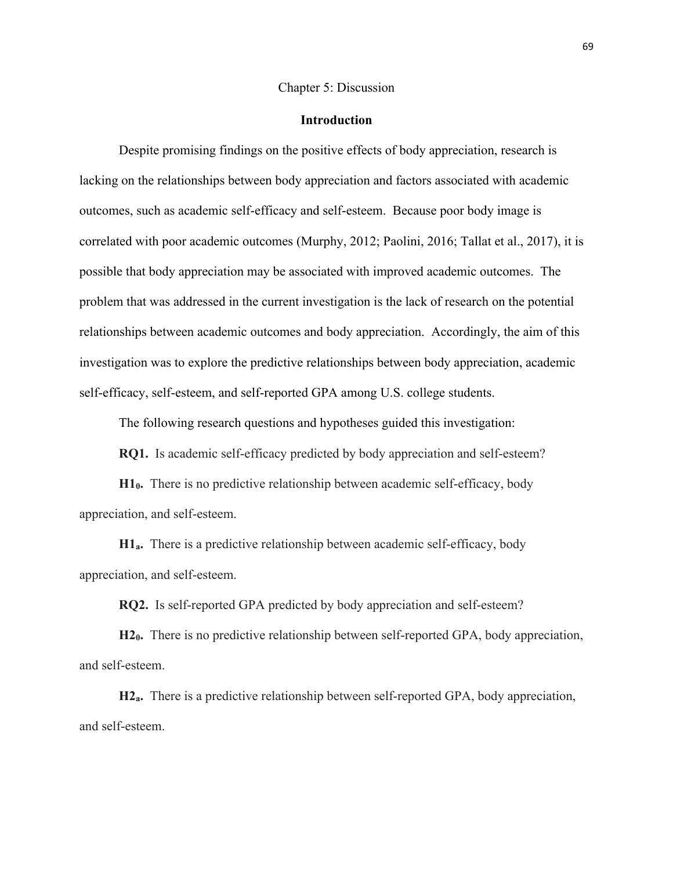#### Chapter 5: Discussion

#### **Introduction**

Despite promising findings on the positive effects of body appreciation, research is lacking on the relationships between body appreciation and factors associated with academic outcomes, such as academic self-efficacy and self-esteem. Because poor body image is correlated with poor academic outcomes (Murphy, 2012; Paolini, 2016; Tallat et al., 2017), it is possible that body appreciation may be associated with improved academic outcomes. The problem that was addressed in the current investigation is the lack of research on the potential relationships between academic outcomes and body appreciation. Accordingly, the aim of this investigation was to explore the predictive relationships between body appreciation, academic self-efficacy, self-esteem, and self-reported GPA among U.S. college students.

The following research questions and hypotheses guided this investigation:

**RQ1.** Is academic self-efficacy predicted by body appreciation and self-esteem?

**H10.** There is no predictive relationship between academic self-efficacy, body appreciation, and self-esteem.

**H1a.** There is a predictive relationship between academic self-efficacy, body appreciation, and self-esteem.

**RQ2.** Is self-reported GPA predicted by body appreciation and self-esteem?

**H20.** There is no predictive relationship between self-reported GPA, body appreciation, and self-esteem.

**H2a.** There is a predictive relationship between self-reported GPA, body appreciation, and self-esteem.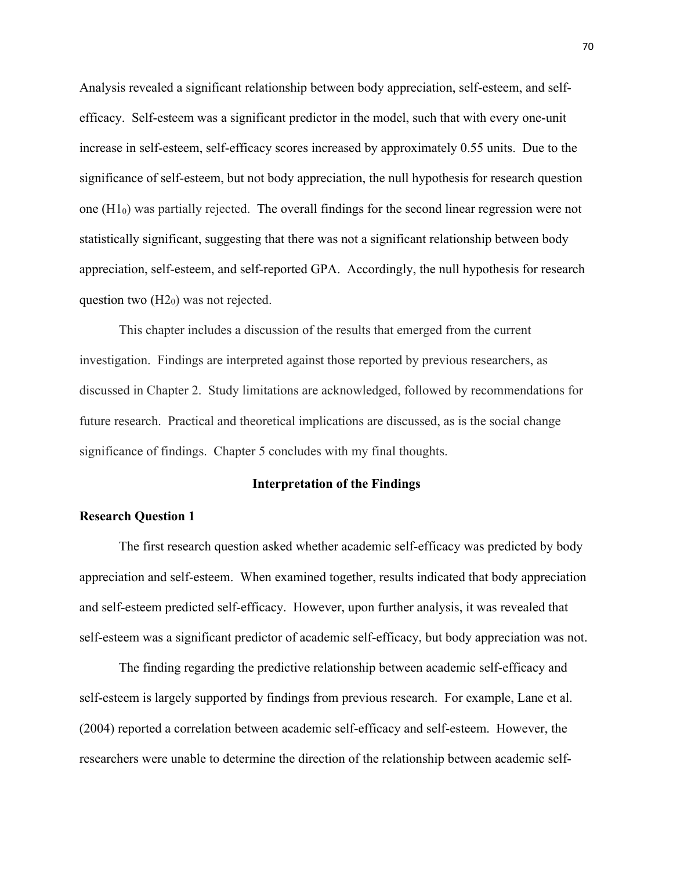Analysis revealed a significant relationship between body appreciation, self-esteem, and selfefficacy. Self-esteem was a significant predictor in the model, such that with every one-unit increase in self-esteem, self-efficacy scores increased by approximately 0.55 units. Due to the significance of self-esteem, but not body appreciation, the null hypothesis for research question one  $(H<sub>10</sub>)$  was partially rejected. The overall findings for the second linear regression were not statistically significant, suggesting that there was not a significant relationship between body appreciation, self-esteem, and self-reported GPA. Accordingly, the null hypothesis for research question two  $(H2<sub>0</sub>)$  was not rejected.

This chapter includes a discussion of the results that emerged from the current investigation. Findings are interpreted against those reported by previous researchers, as discussed in Chapter 2. Study limitations are acknowledged, followed by recommendations for future research. Practical and theoretical implications are discussed, as is the social change significance of findings. Chapter 5 concludes with my final thoughts.

# **Interpretation of the Findings**

# **Research Question 1**

The first research question asked whether academic self-efficacy was predicted by body appreciation and self-esteem. When examined together, results indicated that body appreciation and self-esteem predicted self-efficacy. However, upon further analysis, it was revealed that self-esteem was a significant predictor of academic self-efficacy, but body appreciation was not.

The finding regarding the predictive relationship between academic self-efficacy and self-esteem is largely supported by findings from previous research. For example, Lane et al. (2004) reported a correlation between academic self-efficacy and self-esteem. However, the researchers were unable to determine the direction of the relationship between academic self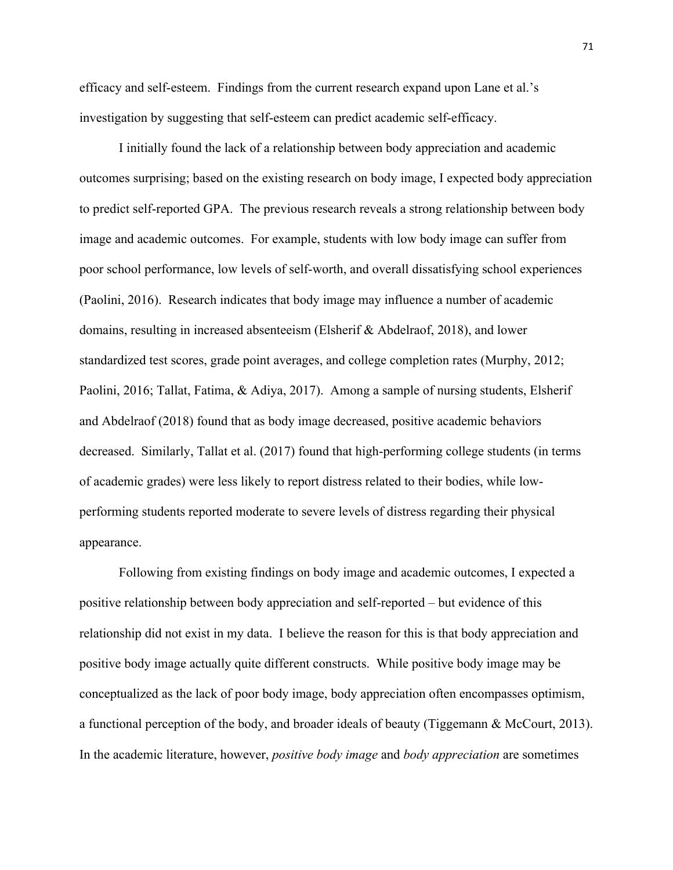efficacy and self-esteem. Findings from the current research expand upon Lane et al.'s investigation by suggesting that self-esteem can predict academic self-efficacy.

I initially found the lack of a relationship between body appreciation and academic outcomes surprising; based on the existing research on body image, I expected body appreciation to predict self-reported GPA. The previous research reveals a strong relationship between body image and academic outcomes. For example, students with low body image can suffer from poor school performance, low levels of self-worth, and overall dissatisfying school experiences (Paolini, 2016). Research indicates that body image may influence a number of academic domains, resulting in increased absenteeism (Elsherif & Abdelraof, 2018), and lower standardized test scores, grade point averages, and college completion rates (Murphy, 2012; Paolini, 2016; Tallat, Fatima, & Adiya, 2017). Among a sample of nursing students, Elsherif and Abdelraof (2018) found that as body image decreased, positive academic behaviors decreased. Similarly, Tallat et al. (2017) found that high-performing college students (in terms of academic grades) were less likely to report distress related to their bodies, while lowperforming students reported moderate to severe levels of distress regarding their physical appearance.

Following from existing findings on body image and academic outcomes, I expected a positive relationship between body appreciation and self-reported – but evidence of this relationship did not exist in my data. I believe the reason for this is that body appreciation and positive body image actually quite different constructs. While positive body image may be conceptualized as the lack of poor body image, body appreciation often encompasses optimism, a functional perception of the body, and broader ideals of beauty (Tiggemann & McCourt, 2013). In the academic literature, however, *positive body image* and *body appreciation* are sometimes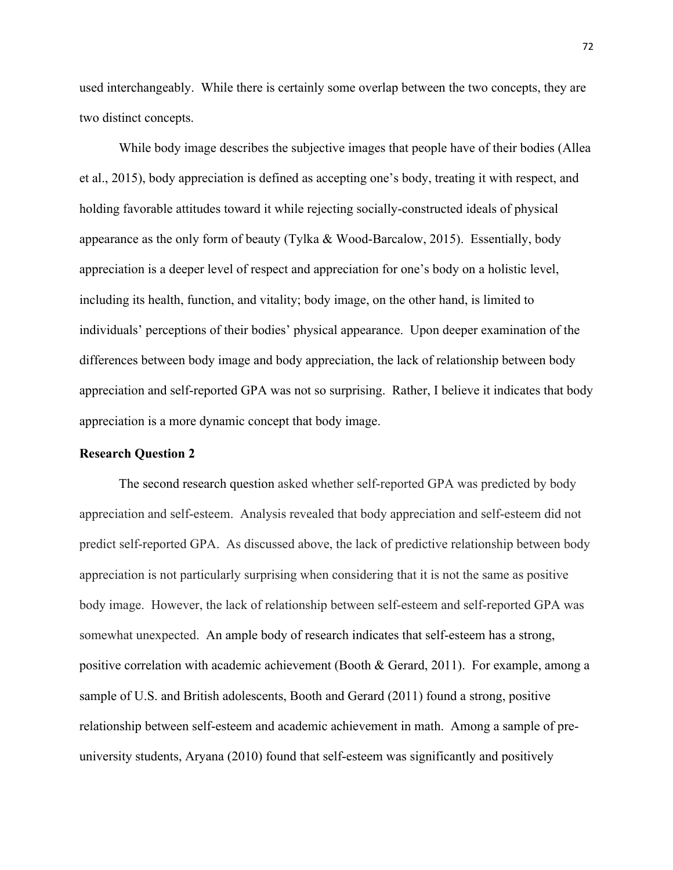used interchangeably. While there is certainly some overlap between the two concepts, they are two distinct concepts.

While body image describes the subjective images that people have of their bodies (Allea et al., 2015), body appreciation is defined as accepting one's body, treating it with respect, and holding favorable attitudes toward it while rejecting socially-constructed ideals of physical appearance as the only form of beauty (Tylka & Wood-Barcalow, 2015). Essentially, body appreciation is a deeper level of respect and appreciation for one's body on a holistic level, including its health, function, and vitality; body image, on the other hand, is limited to individuals' perceptions of their bodies' physical appearance. Upon deeper examination of the differences between body image and body appreciation, the lack of relationship between body appreciation and self-reported GPA was not so surprising. Rather, I believe it indicates that body appreciation is a more dynamic concept that body image.

# **Research Question 2**

The second research question asked whether self-reported GPA was predicted by body appreciation and self-esteem. Analysis revealed that body appreciation and self-esteem did not predict self-reported GPA. As discussed above, the lack of predictive relationship between body appreciation is not particularly surprising when considering that it is not the same as positive body image. However, the lack of relationship between self-esteem and self-reported GPA was somewhat unexpected. An ample body of research indicates that self-esteem has a strong, positive correlation with academic achievement (Booth & Gerard, 2011). For example, among a sample of U.S. and British adolescents, Booth and Gerard (2011) found a strong, positive relationship between self-esteem and academic achievement in math. Among a sample of preuniversity students, Aryana (2010) found that self-esteem was significantly and positively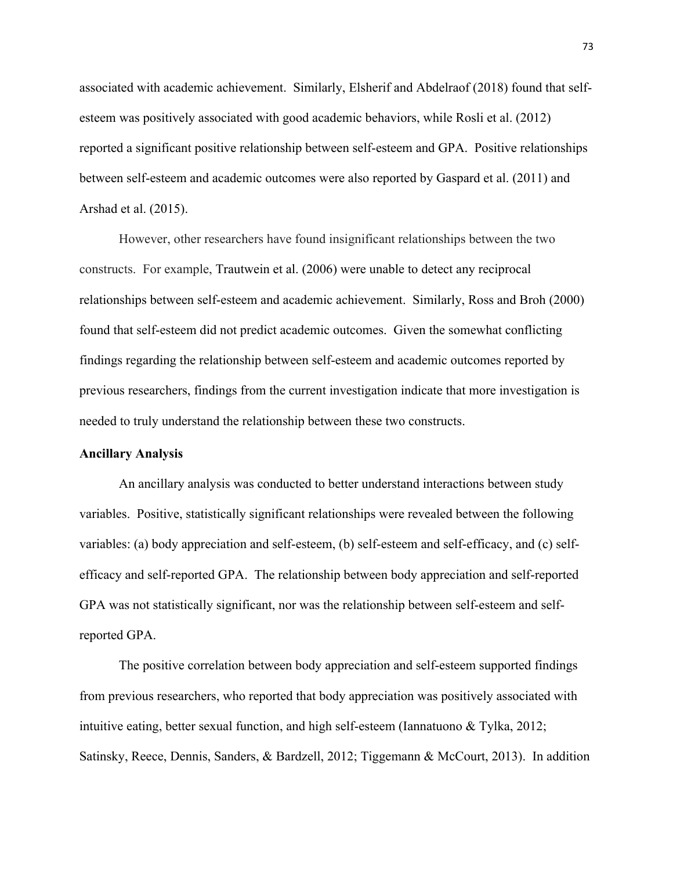associated with academic achievement. Similarly, Elsherif and Abdelraof (2018) found that selfesteem was positively associated with good academic behaviors, while Rosli et al. (2012) reported a significant positive relationship between self-esteem and GPA. Positive relationships between self-esteem and academic outcomes were also reported by Gaspard et al. (2011) and Arshad et al. (2015).

However, other researchers have found insignificant relationships between the two constructs. For example, Trautwein et al. (2006) were unable to detect any reciprocal relationships between self-esteem and academic achievement. Similarly, Ross and Broh (2000) found that self-esteem did not predict academic outcomes. Given the somewhat conflicting findings regarding the relationship between self-esteem and academic outcomes reported by previous researchers, findings from the current investigation indicate that more investigation is needed to truly understand the relationship between these two constructs.

#### **Ancillary Analysis**

An ancillary analysis was conducted to better understand interactions between study variables. Positive, statistically significant relationships were revealed between the following variables: (a) body appreciation and self-esteem, (b) self-esteem and self-efficacy, and (c) selfefficacy and self-reported GPA. The relationship between body appreciation and self-reported GPA was not statistically significant, nor was the relationship between self-esteem and selfreported GPA.

The positive correlation between body appreciation and self-esteem supported findings from previous researchers, who reported that body appreciation was positively associated with intuitive eating, better sexual function, and high self-esteem (Iannatuono & Tylka, 2012; Satinsky, Reece, Dennis, Sanders, & Bardzell, 2012; Tiggemann & McCourt, 2013). In addition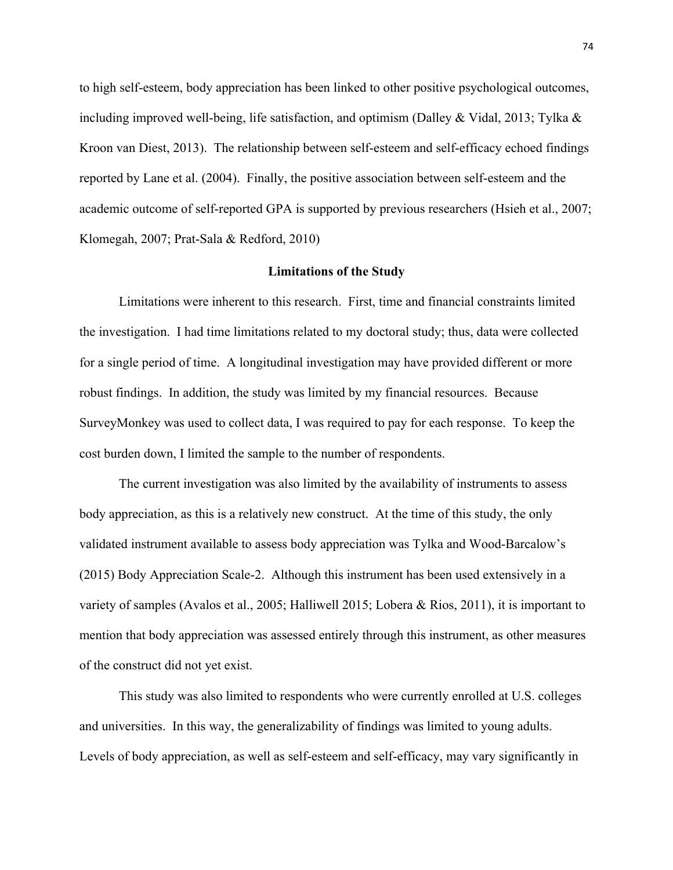to high self-esteem, body appreciation has been linked to other positive psychological outcomes, including improved well-being, life satisfaction, and optimism (Dalley & Vidal, 2013; Tylka  $\&$ Kroon van Diest, 2013). The relationship between self-esteem and self-efficacy echoed findings reported by Lane et al. (2004). Finally, the positive association between self-esteem and the academic outcome of self-reported GPA is supported by previous researchers (Hsieh et al., 2007; Klomegah, 2007; Prat-Sala & Redford, 2010)

#### **Limitations of the Study**

Limitations were inherent to this research. First, time and financial constraints limited the investigation. I had time limitations related to my doctoral study; thus, data were collected for a single period of time. A longitudinal investigation may have provided different or more robust findings. In addition, the study was limited by my financial resources. Because SurveyMonkey was used to collect data, I was required to pay for each response. To keep the cost burden down, I limited the sample to the number of respondents.

The current investigation was also limited by the availability of instruments to assess body appreciation, as this is a relatively new construct. At the time of this study, the only validated instrument available to assess body appreciation was Tylka and Wood-Barcalow's (2015) Body Appreciation Scale-2. Although this instrument has been used extensively in a variety of samples (Avalos et al., 2005; Halliwell 2015; Lobera & Rios, 2011), it is important to mention that body appreciation was assessed entirely through this instrument, as other measures of the construct did not yet exist.

This study was also limited to respondents who were currently enrolled at U.S. colleges and universities. In this way, the generalizability of findings was limited to young adults. Levels of body appreciation, as well as self-esteem and self-efficacy, may vary significantly in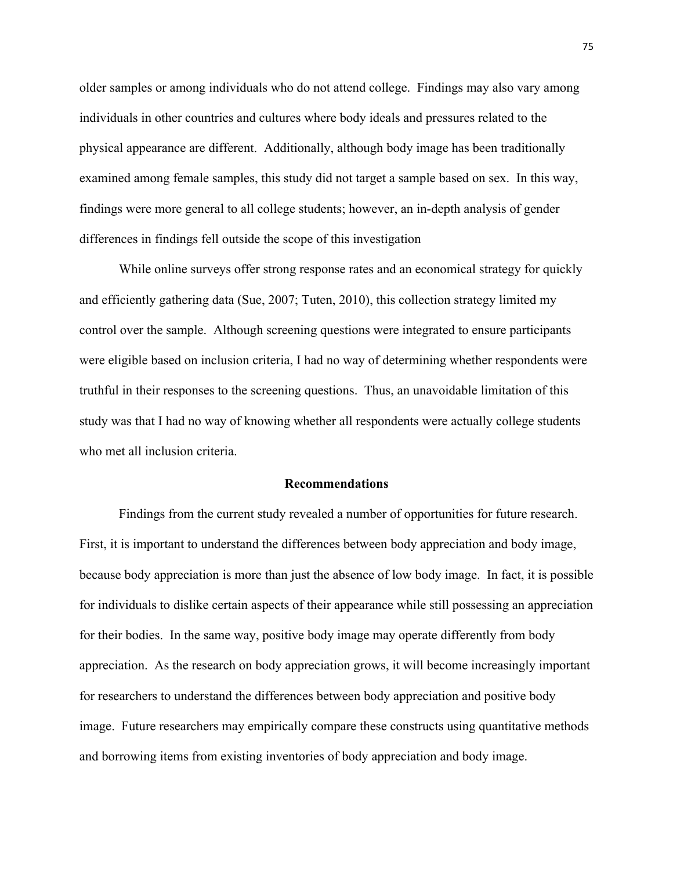older samples or among individuals who do not attend college. Findings may also vary among individuals in other countries and cultures where body ideals and pressures related to the physical appearance are different. Additionally, although body image has been traditionally examined among female samples, this study did not target a sample based on sex. In this way, findings were more general to all college students; however, an in-depth analysis of gender differences in findings fell outside the scope of this investigation

While online surveys offer strong response rates and an economical strategy for quickly and efficiently gathering data (Sue, 2007; Tuten, 2010), this collection strategy limited my control over the sample. Although screening questions were integrated to ensure participants were eligible based on inclusion criteria, I had no way of determining whether respondents were truthful in their responses to the screening questions. Thus, an unavoidable limitation of this study was that I had no way of knowing whether all respondents were actually college students who met all inclusion criteria.

#### **Recommendations**

Findings from the current study revealed a number of opportunities for future research. First, it is important to understand the differences between body appreciation and body image, because body appreciation is more than just the absence of low body image. In fact, it is possible for individuals to dislike certain aspects of their appearance while still possessing an appreciation for their bodies. In the same way, positive body image may operate differently from body appreciation. As the research on body appreciation grows, it will become increasingly important for researchers to understand the differences between body appreciation and positive body image. Future researchers may empirically compare these constructs using quantitative methods and borrowing items from existing inventories of body appreciation and body image.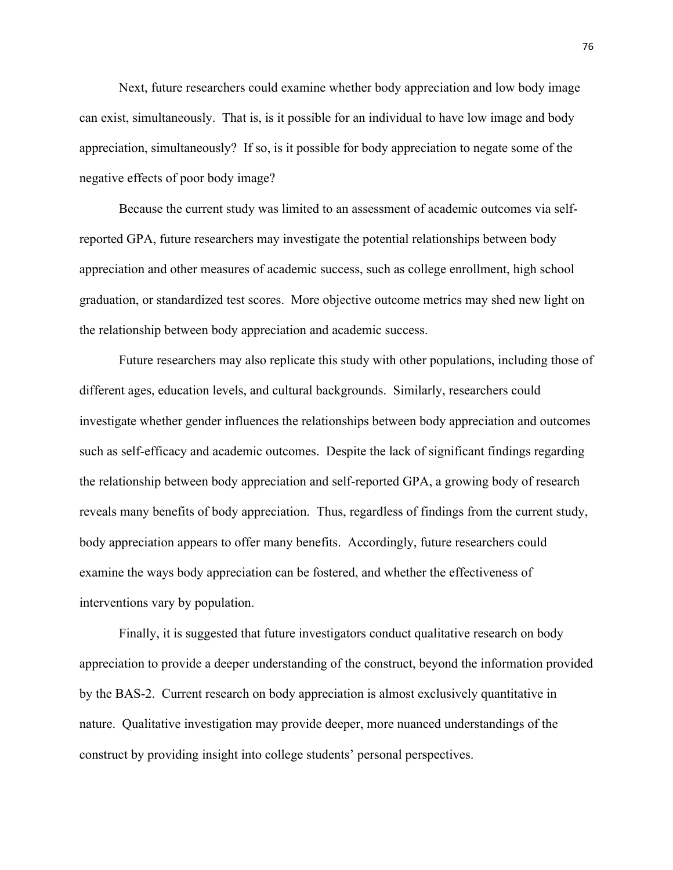Next, future researchers could examine whether body appreciation and low body image can exist, simultaneously. That is, is it possible for an individual to have low image and body appreciation, simultaneously? If so, is it possible for body appreciation to negate some of the negative effects of poor body image?

Because the current study was limited to an assessment of academic outcomes via selfreported GPA, future researchers may investigate the potential relationships between body appreciation and other measures of academic success, such as college enrollment, high school graduation, or standardized test scores. More objective outcome metrics may shed new light on the relationship between body appreciation and academic success.

Future researchers may also replicate this study with other populations, including those of different ages, education levels, and cultural backgrounds. Similarly, researchers could investigate whether gender influences the relationships between body appreciation and outcomes such as self-efficacy and academic outcomes. Despite the lack of significant findings regarding the relationship between body appreciation and self-reported GPA, a growing body of research reveals many benefits of body appreciation. Thus, regardless of findings from the current study, body appreciation appears to offer many benefits. Accordingly, future researchers could examine the ways body appreciation can be fostered, and whether the effectiveness of interventions vary by population.

Finally, it is suggested that future investigators conduct qualitative research on body appreciation to provide a deeper understanding of the construct, beyond the information provided by the BAS-2. Current research on body appreciation is almost exclusively quantitative in nature. Qualitative investigation may provide deeper, more nuanced understandings of the construct by providing insight into college students' personal perspectives.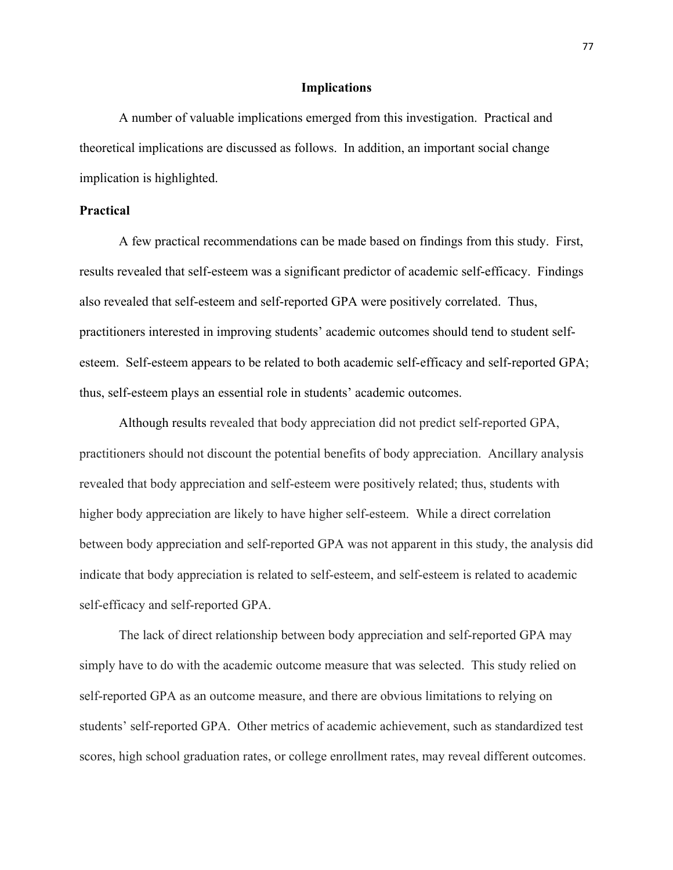### **Implications**

A number of valuable implications emerged from this investigation. Practical and theoretical implications are discussed as follows. In addition, an important social change implication is highlighted.

# **Practical**

A few practical recommendations can be made based on findings from this study. First, results revealed that self-esteem was a significant predictor of academic self-efficacy. Findings also revealed that self-esteem and self-reported GPA were positively correlated. Thus, practitioners interested in improving students' academic outcomes should tend to student selfesteem. Self-esteem appears to be related to both academic self-efficacy and self-reported GPA; thus, self-esteem plays an essential role in students' academic outcomes.

Although results revealed that body appreciation did not predict self-reported GPA, practitioners should not discount the potential benefits of body appreciation. Ancillary analysis revealed that body appreciation and self-esteem were positively related; thus, students with higher body appreciation are likely to have higher self-esteem. While a direct correlation between body appreciation and self-reported GPA was not apparent in this study, the analysis did indicate that body appreciation is related to self-esteem, and self-esteem is related to academic self-efficacy and self-reported GPA.

The lack of direct relationship between body appreciation and self-reported GPA may simply have to do with the academic outcome measure that was selected. This study relied on self-reported GPA as an outcome measure, and there are obvious limitations to relying on students' self-reported GPA. Other metrics of academic achievement, such as standardized test scores, high school graduation rates, or college enrollment rates, may reveal different outcomes.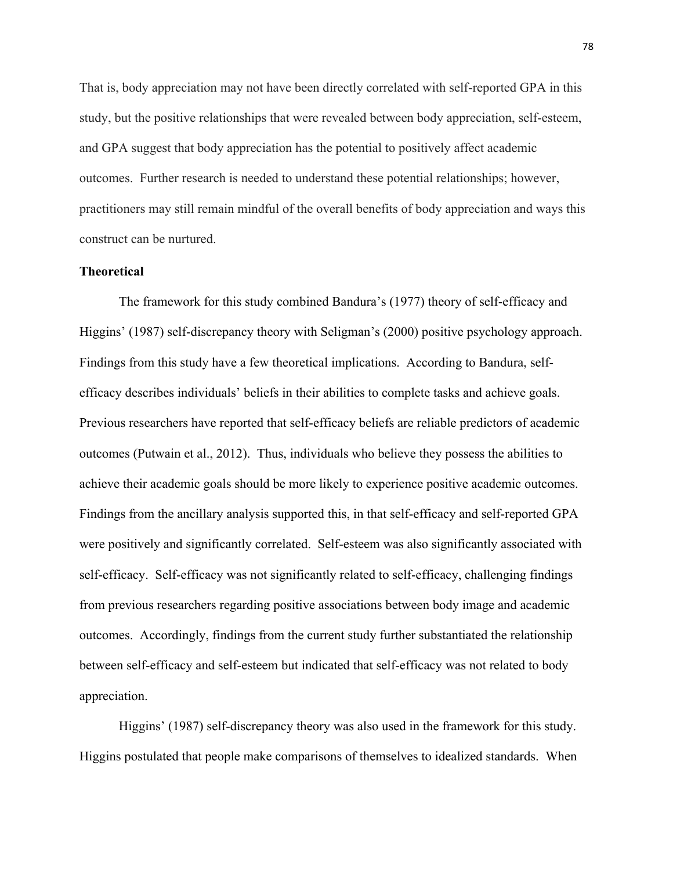That is, body appreciation may not have been directly correlated with self-reported GPA in this study, but the positive relationships that were revealed between body appreciation, self-esteem, and GPA suggest that body appreciation has the potential to positively affect academic outcomes. Further research is needed to understand these potential relationships; however, practitioners may still remain mindful of the overall benefits of body appreciation and ways this construct can be nurtured.

# **Theoretical**

The framework for this study combined Bandura's (1977) theory of self-efficacy and Higgins' (1987) self-discrepancy theory with Seligman's (2000) positive psychology approach. Findings from this study have a few theoretical implications. According to Bandura, selfefficacy describes individuals' beliefs in their abilities to complete tasks and achieve goals. Previous researchers have reported that self-efficacy beliefs are reliable predictors of academic outcomes (Putwain et al., 2012). Thus, individuals who believe they possess the abilities to achieve their academic goals should be more likely to experience positive academic outcomes. Findings from the ancillary analysis supported this, in that self-efficacy and self-reported GPA were positively and significantly correlated. Self-esteem was also significantly associated with self-efficacy. Self-efficacy was not significantly related to self-efficacy, challenging findings from previous researchers regarding positive associations between body image and academic outcomes. Accordingly, findings from the current study further substantiated the relationship between self-efficacy and self-esteem but indicated that self-efficacy was not related to body appreciation.

Higgins' (1987) self-discrepancy theory was also used in the framework for this study. Higgins postulated that people make comparisons of themselves to idealized standards. When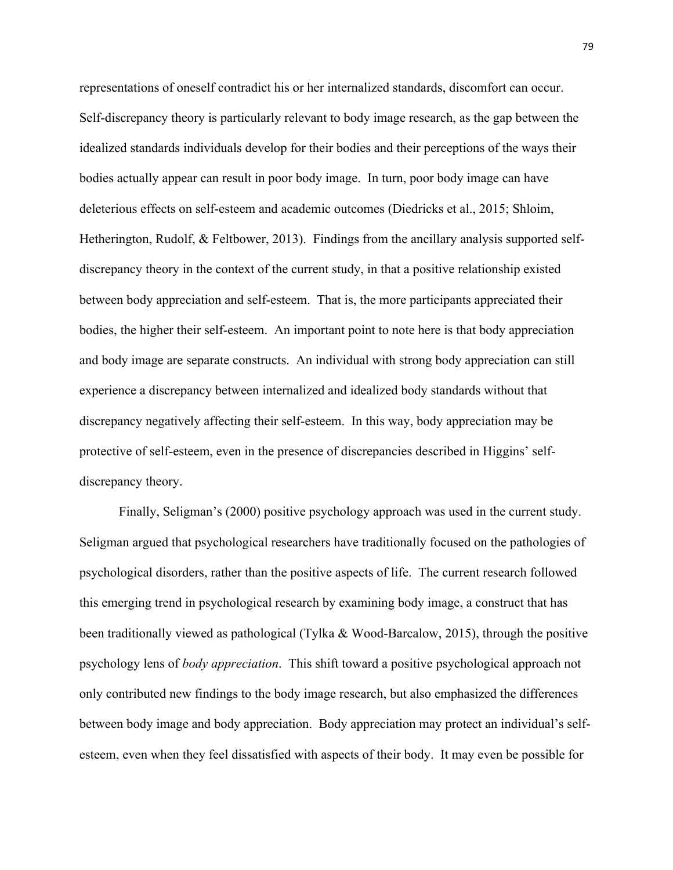representations of oneself contradict his or her internalized standards, discomfort can occur. Self-discrepancy theory is particularly relevant to body image research, as the gap between the idealized standards individuals develop for their bodies and their perceptions of the ways their bodies actually appear can result in poor body image. In turn, poor body image can have deleterious effects on self-esteem and academic outcomes (Diedricks et al., 2015; Shloim, Hetherington, Rudolf, & Feltbower, 2013). Findings from the ancillary analysis supported selfdiscrepancy theory in the context of the current study, in that a positive relationship existed between body appreciation and self-esteem. That is, the more participants appreciated their bodies, the higher their self-esteem. An important point to note here is that body appreciation and body image are separate constructs. An individual with strong body appreciation can still experience a discrepancy between internalized and idealized body standards without that discrepancy negatively affecting their self-esteem. In this way, body appreciation may be protective of self-esteem, even in the presence of discrepancies described in Higgins' selfdiscrepancy theory.

Finally, Seligman's (2000) positive psychology approach was used in the current study. Seligman argued that psychological researchers have traditionally focused on the pathologies of psychological disorders, rather than the positive aspects of life. The current research followed this emerging trend in psychological research by examining body image, a construct that has been traditionally viewed as pathological (Tylka & Wood-Barcalow, 2015), through the positive psychology lens of *body appreciation*. This shift toward a positive psychological approach not only contributed new findings to the body image research, but also emphasized the differences between body image and body appreciation. Body appreciation may protect an individual's selfesteem, even when they feel dissatisfied with aspects of their body. It may even be possible for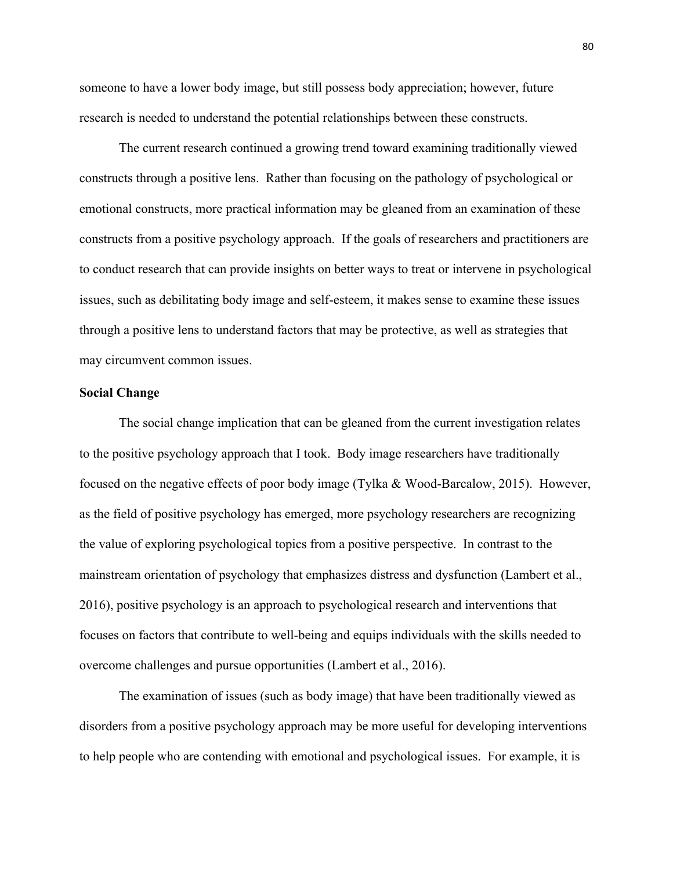someone to have a lower body image, but still possess body appreciation; however, future research is needed to understand the potential relationships between these constructs.

The current research continued a growing trend toward examining traditionally viewed constructs through a positive lens. Rather than focusing on the pathology of psychological or emotional constructs, more practical information may be gleaned from an examination of these constructs from a positive psychology approach. If the goals of researchers and practitioners are to conduct research that can provide insights on better ways to treat or intervene in psychological issues, such as debilitating body image and self-esteem, it makes sense to examine these issues through a positive lens to understand factors that may be protective, as well as strategies that may circumvent common issues.

### **Social Change**

The social change implication that can be gleaned from the current investigation relates to the positive psychology approach that I took. Body image researchers have traditionally focused on the negative effects of poor body image (Tylka & Wood-Barcalow, 2015). However, as the field of positive psychology has emerged, more psychology researchers are recognizing the value of exploring psychological topics from a positive perspective. In contrast to the mainstream orientation of psychology that emphasizes distress and dysfunction (Lambert et al., 2016), positive psychology is an approach to psychological research and interventions that focuses on factors that contribute to well-being and equips individuals with the skills needed to overcome challenges and pursue opportunities (Lambert et al., 2016).

The examination of issues (such as body image) that have been traditionally viewed as disorders from a positive psychology approach may be more useful for developing interventions to help people who are contending with emotional and psychological issues. For example, it is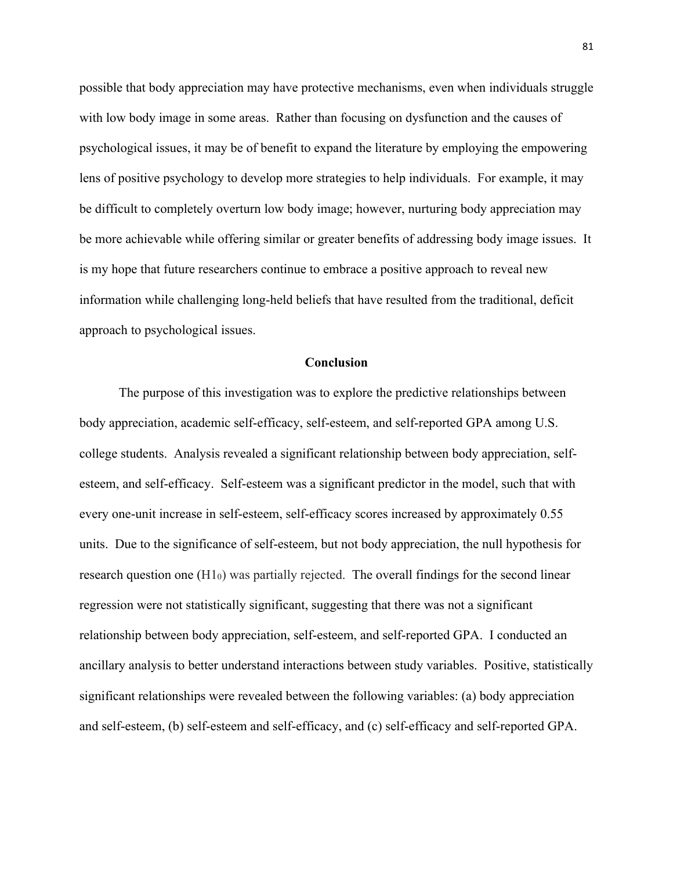possible that body appreciation may have protective mechanisms, even when individuals struggle with low body image in some areas. Rather than focusing on dysfunction and the causes of psychological issues, it may be of benefit to expand the literature by employing the empowering lens of positive psychology to develop more strategies to help individuals. For example, it may be difficult to completely overturn low body image; however, nurturing body appreciation may be more achievable while offering similar or greater benefits of addressing body image issues. It is my hope that future researchers continue to embrace a positive approach to reveal new information while challenging long-held beliefs that have resulted from the traditional, deficit approach to psychological issues.

# **Conclusion**

The purpose of this investigation was to explore the predictive relationships between body appreciation, academic self-efficacy, self-esteem, and self-reported GPA among U.S. college students. Analysis revealed a significant relationship between body appreciation, selfesteem, and self-efficacy. Self-esteem was a significant predictor in the model, such that with every one-unit increase in self-esteem, self-efficacy scores increased by approximately 0.55 units. Due to the significance of self-esteem, but not body appreciation, the null hypothesis for research question one  $(H1<sub>0</sub>)$  was partially rejected. The overall findings for the second linear regression were not statistically significant, suggesting that there was not a significant relationship between body appreciation, self-esteem, and self-reported GPA. I conducted an ancillary analysis to better understand interactions between study variables. Positive, statistically significant relationships were revealed between the following variables: (a) body appreciation and self-esteem, (b) self-esteem and self-efficacy, and (c) self-efficacy and self-reported GPA.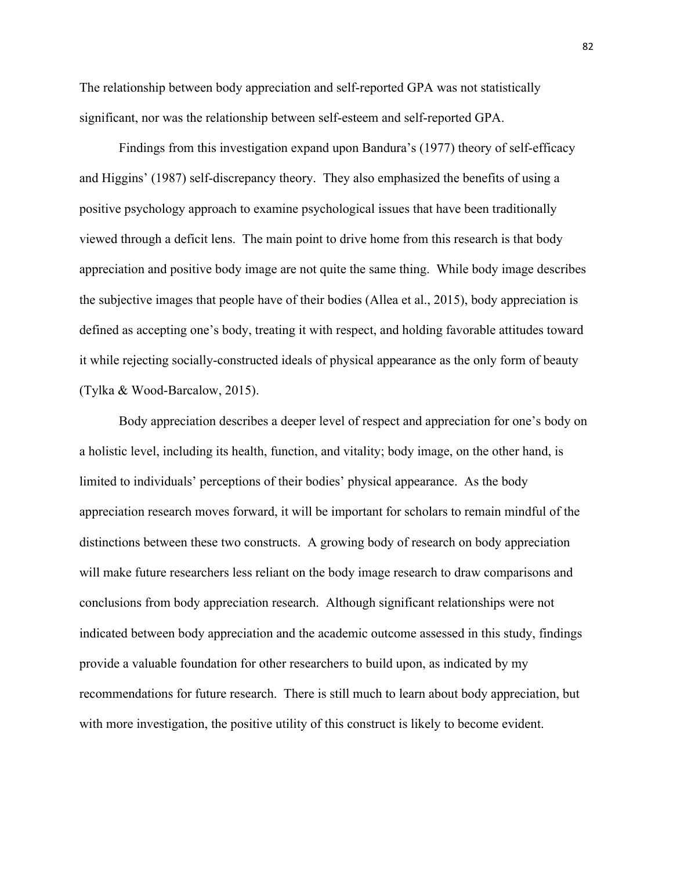The relationship between body appreciation and self-reported GPA was not statistically significant, nor was the relationship between self-esteem and self-reported GPA.

Findings from this investigation expand upon Bandura's (1977) theory of self-efficacy and Higgins' (1987) self-discrepancy theory. They also emphasized the benefits of using a positive psychology approach to examine psychological issues that have been traditionally viewed through a deficit lens. The main point to drive home from this research is that body appreciation and positive body image are not quite the same thing. While body image describes the subjective images that people have of their bodies (Allea et al., 2015), body appreciation is defined as accepting one's body, treating it with respect, and holding favorable attitudes toward it while rejecting socially-constructed ideals of physical appearance as the only form of beauty (Tylka & Wood-Barcalow, 2015).

Body appreciation describes a deeper level of respect and appreciation for one's body on a holistic level, including its health, function, and vitality; body image, on the other hand, is limited to individuals' perceptions of their bodies' physical appearance. As the body appreciation research moves forward, it will be important for scholars to remain mindful of the distinctions between these two constructs. A growing body of research on body appreciation will make future researchers less reliant on the body image research to draw comparisons and conclusions from body appreciation research. Although significant relationships were not indicated between body appreciation and the academic outcome assessed in this study, findings provide a valuable foundation for other researchers to build upon, as indicated by my recommendations for future research. There is still much to learn about body appreciation, but with more investigation, the positive utility of this construct is likely to become evident.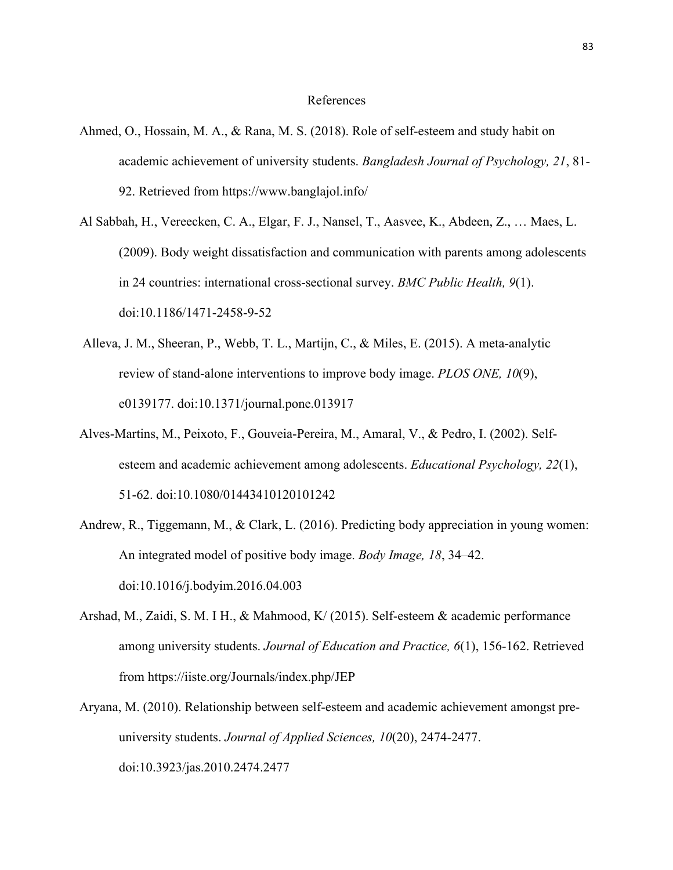#### References

- Ahmed, O., Hossain, M. A., & Rana, M. S. (2018). Role of self-esteem and study habit on academic achievement of university students. *Bangladesh Journal of Psychology, 21*, 81- 92. Retrieved from https://www.banglajol.info/
- Al Sabbah, H., Vereecken, C. A., Elgar, F. J., Nansel, T., Aasvee, K., Abdeen, Z., … Maes, L. (2009). Body weight dissatisfaction and communication with parents among adolescents in 24 countries: international cross-sectional survey. *BMC Public Health, 9*(1). doi:10.1186/1471-2458-9-52
- Alleva, J. M., Sheeran, P., Webb, T. L., Martijn, C., & Miles, E. (2015). A meta-analytic review of stand-alone interventions to improve body image. *PLOS ONE, 10*(9), e0139177. doi:10.1371/journal.pone.013917
- Alves-Martins, M., Peixoto, F., Gouveia-Pereira, M., Amaral, V., & Pedro, I. (2002). Selfesteem and academic achievement among adolescents. *Educational Psychology, 22*(1), 51-62. doi:10.1080/01443410120101242
- Andrew, R., Tiggemann, M., & Clark, L. (2016). Predicting body appreciation in young women: An integrated model of positive body image. *Body Image, 18*, 34–42. doi:10.1016/j.bodyim.2016.04.003
- Arshad, M., Zaidi, S. M. I H., & Mahmood, K/ (2015). Self-esteem & academic performance among university students. *Journal of Education and Practice, 6*(1), 156-162. Retrieved from https://iiste.org/Journals/index.php/JEP
- Aryana, M. (2010). Relationship between self-esteem and academic achievement amongst preuniversity students. *Journal of Applied Sciences, 10*(20), 2474-2477. doi:10.3923/jas.2010.2474.2477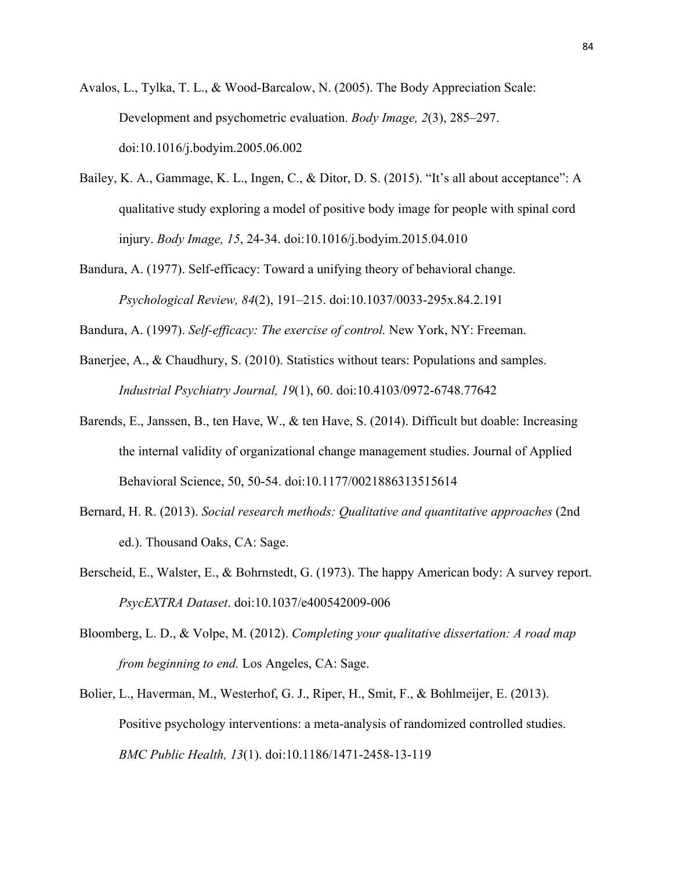Avalos, L., Tylka, T. L., & Wood-Barcalow, N. (2005). The Body Appreciation Scale: Development and psychometric evaluation. *Body Image, 2*(3), 285–297. doi:10.1016/j.bodyim.2005.06.002

- Bailey, K. A., Gammage, K. L., Ingen, C., & Ditor, D. S. (2015). "It's all about acceptance": A qualitative study exploring a model of positive body image for people with spinal cord injury. *Body Image, 15*, 24-34. doi:10.1016/j.bodyim.2015.04.010
- Bandura, A. (1977). Self-efficacy: Toward a unifying theory of behavioral change. *Psychological Review, 84*(2), 191–215. doi:10.1037/0033-295x.84.2.191

Bandura, A. (1997). *Self-efficacy: The exercise of control.* New York, NY: Freeman.

- Banerjee, A., & Chaudhury, S. (2010). Statistics without tears: Populations and samples. *Industrial Psychiatry Journal, 19*(1), 60. doi:10.4103/0972-6748.77642
- Barends, E., Janssen, B., ten Have, W., & ten Have, S. (2014). Difficult but doable: Increasing the internal validity of organizational change management studies. Journal of Applied Behavioral Science, 50, 50-54. doi:10.1177/0021886313515614
- Bernard, H. R. (2013). *Social research methods: Qualitative and quantitative approaches* (2nd ed.). Thousand Oaks, CA: Sage.
- Berscheid, E., Walster, E., & Bohrnstedt, G. (1973). The happy American body: A survey report. *PsycEXTRA Dataset*. doi:10.1037/e400542009-006
- Bloomberg, L. D., & Volpe, M. (2012). *Completing your qualitative dissertation: A road map from beginning to end.* Los Angeles, CA: Sage.
- Bolier, L., Haverman, M., Westerhof, G. J., Riper, H., Smit, F., & Bohlmeijer, E. (2013). Positive psychology interventions: a meta-analysis of randomized controlled studies. *BMC Public Health, 13*(1). doi:10.1186/1471-2458-13-119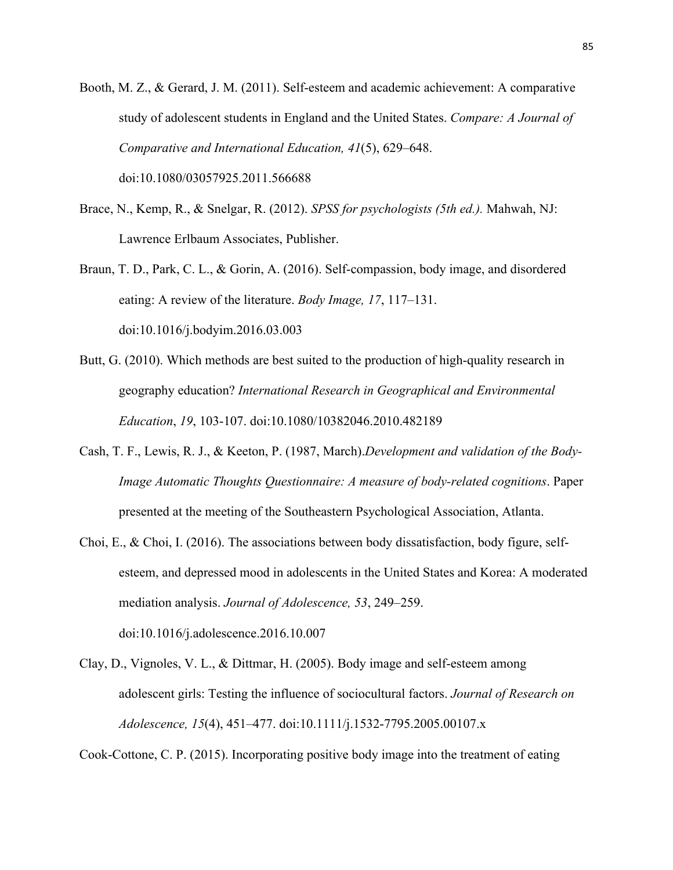Booth, M. Z., & Gerard, J. M. (2011). Self-esteem and academic achievement: A comparative study of adolescent students in England and the United States. *Compare: A Journal of Comparative and International Education, 41*(5), 629–648.

doi:10.1080/03057925.2011.566688

- Brace, N., Kemp, R., & Snelgar, R. (2012). *SPSS for psychologists (5th ed.).* Mahwah, NJ: Lawrence Erlbaum Associates, Publisher.
- Braun, T. D., Park, C. L., & Gorin, A. (2016). Self-compassion, body image, and disordered eating: A review of the literature. *Body Image, 17*, 117–131. doi:10.1016/j.bodyim.2016.03.003
- Butt, G. (2010). Which methods are best suited to the production of high-quality research in geography education? *International Research in Geographical and Environmental Education*, *19*, 103-107. doi:10.1080/10382046.2010.482189
- Cash, T. F., Lewis, R. J., & Keeton, P. (1987, March).*Development and validation of the Body-Image Automatic Thoughts Questionnaire: A measure of body-related cognitions*. Paper presented at the meeting of the Southeastern Psychological Association, Atlanta.
- Choi, E., & Choi, I. (2016). The associations between body dissatisfaction, body figure, selfesteem, and depressed mood in adolescents in the United States and Korea: A moderated mediation analysis. *Journal of Adolescence, 53*, 249–259. doi:10.1016/j.adolescence.2016.10.007
- Clay, D., Vignoles, V. L., & Dittmar, H. (2005). Body image and self-esteem among adolescent girls: Testing the influence of sociocultural factors. *Journal of Research on Adolescence, 15*(4), 451–477. doi:10.1111/j.1532-7795.2005.00107.x

Cook-Cottone, C. P. (2015). Incorporating positive body image into the treatment of eating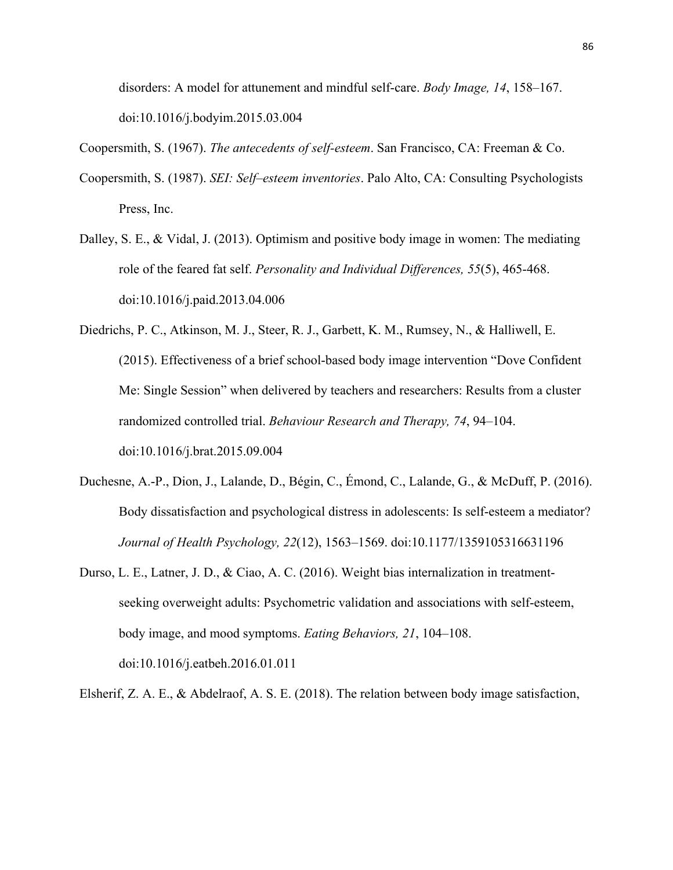disorders: A model for attunement and mindful self-care. *Body Image, 14*, 158–167. doi:10.1016/j.bodyim.2015.03.004

Coopersmith, S. (1967). *The antecedents of self-esteem*. San Francisco, CA: Freeman & Co.

- Coopersmith, S. (1987). *SEI: Self–esteem inventories*. Palo Alto, CA: Consulting Psychologists Press, Inc.
- Dalley, S. E., & Vidal, J. (2013). Optimism and positive body image in women: The mediating role of the feared fat self. *Personality and Individual Differences, 55*(5), 465-468. doi:10.1016/j.paid.2013.04.006
- Diedrichs, P. C., Atkinson, M. J., Steer, R. J., Garbett, K. M., Rumsey, N., & Halliwell, E. (2015). Effectiveness of a brief school-based body image intervention "Dove Confident Me: Single Session" when delivered by teachers and researchers: Results from a cluster randomized controlled trial. *Behaviour Research and Therapy, 74*, 94–104. doi:10.1016/j.brat.2015.09.004
- Duchesne, A.-P., Dion, J., Lalande, D., Bégin, C., Émond, C., Lalande, G., & McDuff, P. (2016). Body dissatisfaction and psychological distress in adolescents: Is self-esteem a mediator? *Journal of Health Psychology, 22*(12), 1563–1569. doi:10.1177/1359105316631196
- Durso, L. E., Latner, J. D., & Ciao, A. C. (2016). Weight bias internalization in treatmentseeking overweight adults: Psychometric validation and associations with self-esteem, body image, and mood symptoms. *Eating Behaviors, 21*, 104–108. doi:10.1016/j.eatbeh.2016.01.011

Elsherif, Z. A. E., & Abdelraof, A. S. E. (2018). The relation between body image satisfaction,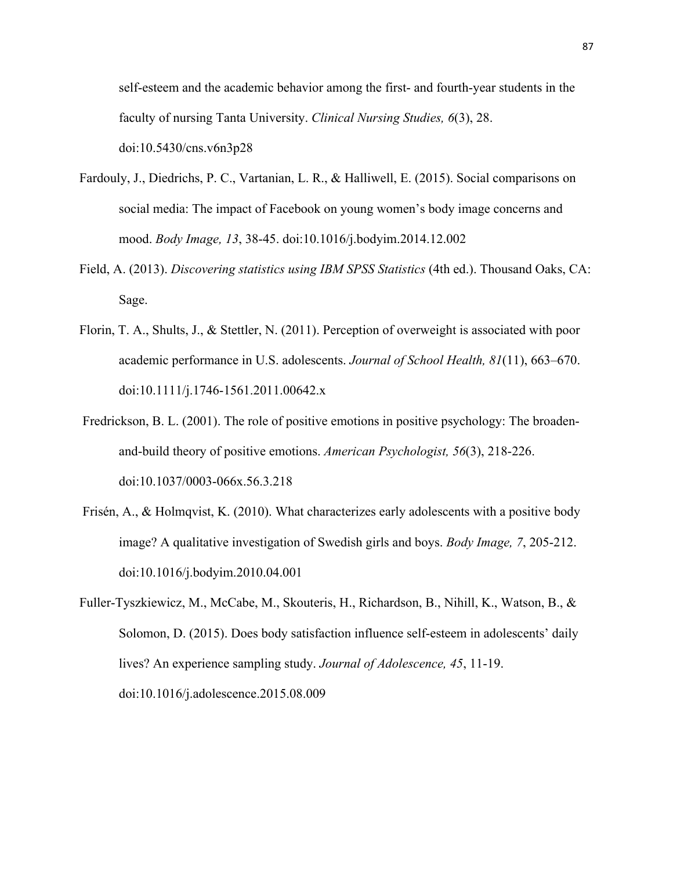self-esteem and the academic behavior among the first- and fourth-year students in the faculty of nursing Tanta University. *Clinical Nursing Studies, 6*(3), 28. doi:10.5430/cns.v6n3p28

- Fardouly, J., Diedrichs, P. C., Vartanian, L. R., & Halliwell, E. (2015). Social comparisons on social media: The impact of Facebook on young women's body image concerns and mood. *Body Image, 13*, 38-45. doi:10.1016/j.bodyim.2014.12.002
- Field, A. (2013). *Discovering statistics using IBM SPSS Statistics* (4th ed.). Thousand Oaks, CA: Sage.
- Florin, T. A., Shults, J., & Stettler, N. (2011). Perception of overweight is associated with poor academic performance in U.S. adolescents. *Journal of School Health, 81*(11), 663–670. doi:10.1111/j.1746-1561.2011.00642.x
- Fredrickson, B. L. (2001). The role of positive emotions in positive psychology: The broadenand-build theory of positive emotions. *American Psychologist, 56*(3), 218-226. doi:10.1037/0003-066x.56.3.218
- Frisén, A., & Holmqvist, K. (2010). What characterizes early adolescents with a positive body image? A qualitative investigation of Swedish girls and boys. *Body Image, 7*, 205-212. doi:10.1016/j.bodyim.2010.04.001
- Fuller-Tyszkiewicz, M., McCabe, M., Skouteris, H., Richardson, B., Nihill, K., Watson, B., & Solomon, D. (2015). Does body satisfaction influence self-esteem in adolescents' daily lives? An experience sampling study. *Journal of Adolescence, 45*, 11-19. doi:10.1016/j.adolescence.2015.08.009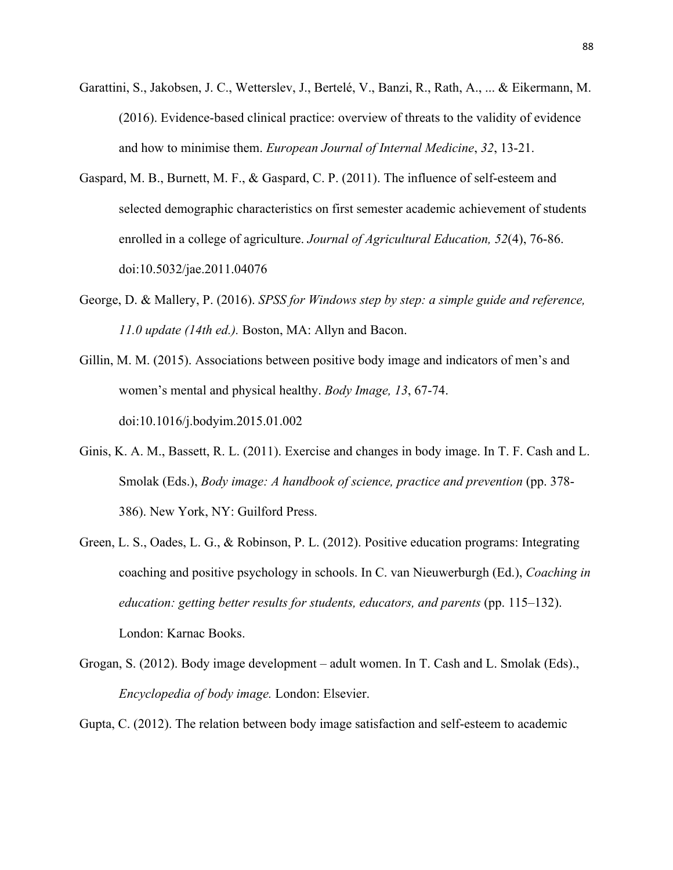- Garattini, S., Jakobsen, J. C., Wetterslev, J., Bertelé, V., Banzi, R., Rath, A., ... & Eikermann, M. (2016). Evidence-based clinical practice: overview of threats to the validity of evidence and how to minimise them. *European Journal of Internal Medicine*, *32*, 13-21.
- Gaspard, M. B., Burnett, M. F., & Gaspard, C. P. (2011). The influence of self-esteem and selected demographic characteristics on first semester academic achievement of students enrolled in a college of agriculture. *Journal of Agricultural Education, 52*(4), 76-86. doi:10.5032/jae.2011.04076
- George, D. & Mallery, P. (2016). *SPSS for Windows step by step: a simple guide and reference, 11.0 update (14th ed.).* Boston, MA: Allyn and Bacon.
- Gillin, M. M. (2015). Associations between positive body image and indicators of men's and women's mental and physical healthy. *Body Image, 13*, 67-74. doi:10.1016/j.bodyim.2015.01.002
- Ginis, K. A. M., Bassett, R. L. (2011). Exercise and changes in body image. In T. F. Cash and L. Smolak (Eds.), *Body image: A handbook of science, practice and prevention* (pp. 378- 386). New York, NY: Guilford Press.
- Green, L. S., Oades, L. G., & Robinson, P. L. (2012). Positive education programs: Integrating coaching and positive psychology in schools. In C. van Nieuwerburgh (Ed.), *Coaching in education: getting better results for students, educators, and parents* (pp. 115–132). London: Karnac Books.
- Grogan, S. (2012). Body image development adult women. In T. Cash and L. Smolak (Eds)., *Encyclopedia of body image.* London: Elsevier.

Gupta, C. (2012). The relation between body image satisfaction and self-esteem to academic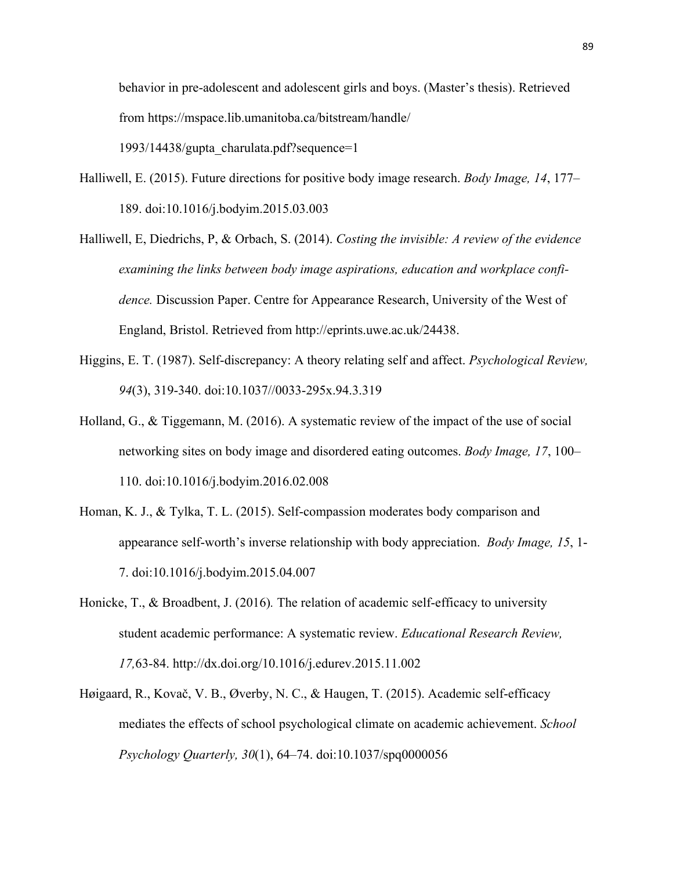behavior in pre-adolescent and adolescent girls and boys. (Master's thesis). Retrieved from https://mspace.lib.umanitoba.ca/bitstream/handle/ 1993/14438/gupta\_charulata.pdf?sequence=1

- Halliwell, E. (2015). Future directions for positive body image research. *Body Image, 14*, 177– 189. doi:10.1016/j.bodyim.2015.03.003
- Halliwell, E, Diedrichs, P, & Orbach, S. (2014). *Costing the invisible: A review of the evidence examining the links between body image aspirations, education and workplace confidence.* Discussion Paper. Centre for Appearance Research, University of the West of England, Bristol. Retrieved from http://eprints.uwe.ac.uk/24438.
- Higgins, E. T. (1987). Self-discrepancy: A theory relating self and affect. *Psychological Review, 94*(3), 319-340. doi:10.1037//0033-295x.94.3.319
- Holland, G., & Tiggemann, M. (2016). A systematic review of the impact of the use of social networking sites on body image and disordered eating outcomes. *Body Image, 17*, 100– 110. doi:10.1016/j.bodyim.2016.02.008
- Homan, K. J., & Tylka, T. L. (2015). Self-compassion moderates body comparison and appearance self-worth's inverse relationship with body appreciation. *Body Image, 15*, 1- 7. doi:10.1016/j.bodyim.2015.04.007
- Honicke, T., & Broadbent, J. (2016)*.* The relation of academic self-efficacy to university student academic performance: A systematic review. *Educational Research Review, 17,*63-84. http://dx.doi.org/10.1016/j.edurev.2015.11.002
- Høigaard, R., Kovač, V. B., Øverby, N. C., & Haugen, T. (2015). Academic self-efficacy mediates the effects of school psychological climate on academic achievement. *School Psychology Quarterly, 30*(1), 64–74. doi:10.1037/spq0000056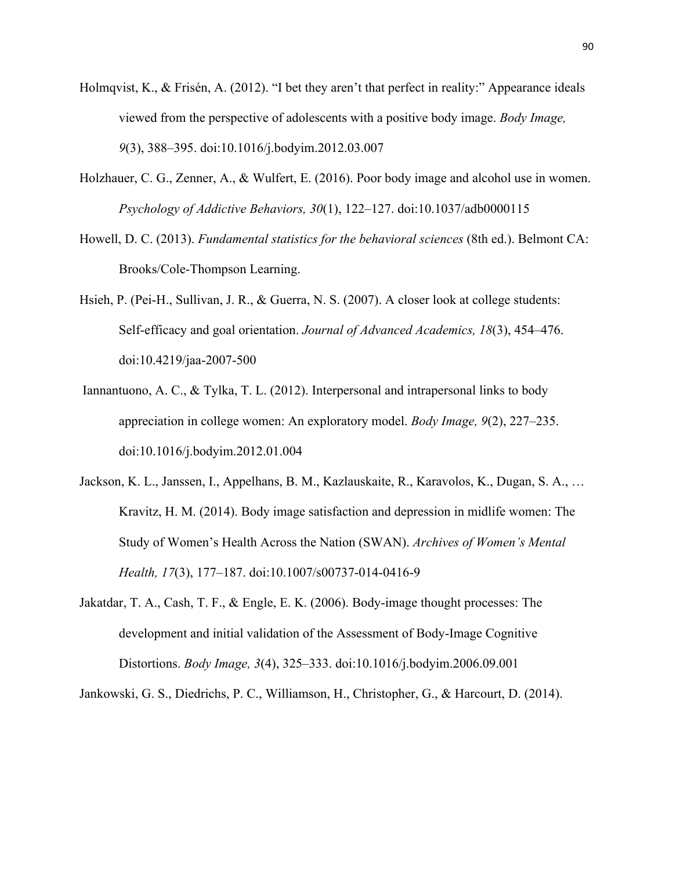- Holmqvist, K., & Frisén, A. (2012). "I bet they aren't that perfect in reality:" Appearance ideals viewed from the perspective of adolescents with a positive body image. *Body Image, 9*(3), 388–395. doi:10.1016/j.bodyim.2012.03.007
- Holzhauer, C. G., Zenner, A., & Wulfert, E. (2016). Poor body image and alcohol use in women. *Psychology of Addictive Behaviors, 30*(1), 122–127. doi:10.1037/adb0000115
- Howell, D. C. (2013). *Fundamental statistics for the behavioral sciences* (8th ed.). Belmont CA: Brooks/Cole-Thompson Learning.
- Hsieh, P. (Pei-H., Sullivan, J. R., & Guerra, N. S. (2007). A closer look at college students: Self-efficacy and goal orientation. *Journal of Advanced Academics, 18*(3), 454–476. doi:10.4219/jaa-2007-500
- Iannantuono, A. C., & Tylka, T. L. (2012). Interpersonal and intrapersonal links to body appreciation in college women: An exploratory model. *Body Image, 9*(2), 227–235. doi:10.1016/j.bodyim.2012.01.004
- Jackson, K. L., Janssen, I., Appelhans, B. M., Kazlauskaite, R., Karavolos, K., Dugan, S. A., … Kravitz, H. M. (2014). Body image satisfaction and depression in midlife women: The Study of Women's Health Across the Nation (SWAN). *Archives of Women's Mental Health, 17*(3), 177–187. doi:10.1007/s00737-014-0416-9
- Jakatdar, T. A., Cash, T. F., & Engle, E. K. (2006). Body-image thought processes: The development and initial validation of the Assessment of Body-Image Cognitive Distortions. *Body Image, 3*(4), 325–333. doi:10.1016/j.bodyim.2006.09.001

Jankowski, G. S., Diedrichs, P. C., Williamson, H., Christopher, G., & Harcourt, D. (2014).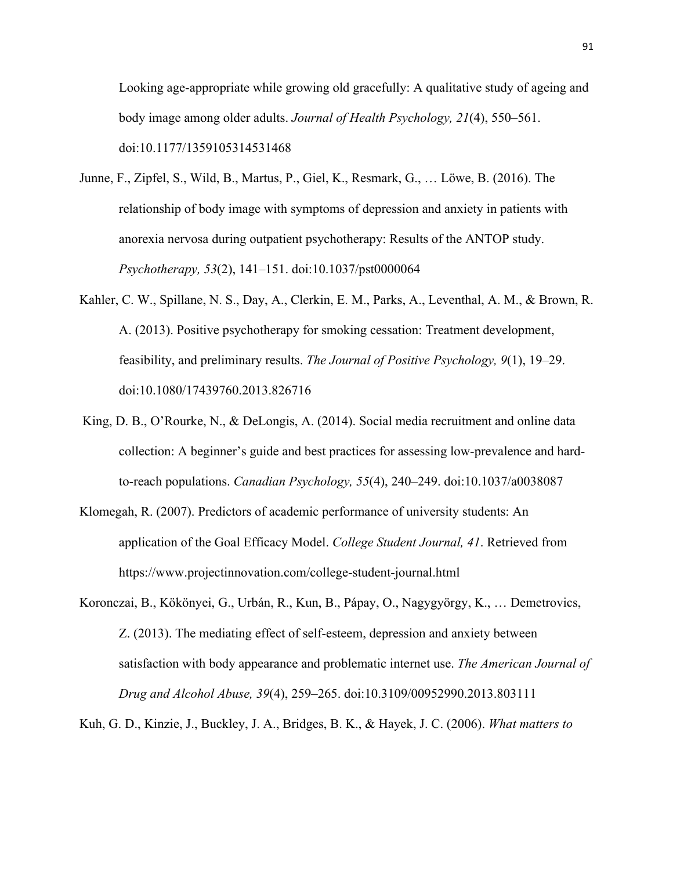Looking age-appropriate while growing old gracefully: A qualitative study of ageing and body image among older adults. *Journal of Health Psychology, 21*(4), 550–561. doi:10.1177/1359105314531468

- Junne, F., Zipfel, S., Wild, B., Martus, P., Giel, K., Resmark, G., … Löwe, B. (2016). The relationship of body image with symptoms of depression and anxiety in patients with anorexia nervosa during outpatient psychotherapy: Results of the ANTOP study. *Psychotherapy, 53*(2), 141–151. doi:10.1037/pst0000064
- Kahler, C. W., Spillane, N. S., Day, A., Clerkin, E. M., Parks, A., Leventhal, A. M., & Brown, R. A. (2013). Positive psychotherapy for smoking cessation: Treatment development, feasibility, and preliminary results. *The Journal of Positive Psychology, 9*(1), 19–29. doi:10.1080/17439760.2013.826716
- King, D. B., O'Rourke, N., & DeLongis, A. (2014). Social media recruitment and online data collection: A beginner's guide and best practices for assessing low-prevalence and hardto-reach populations. *Canadian Psychology, 55*(4), 240–249. doi:10.1037/a0038087
- Klomegah, R. (2007). Predictors of academic performance of university students: An application of the Goal Efficacy Model. *College Student Journal, 41*. Retrieved from https://www.projectinnovation.com/college-student-journal.html
- Koronczai, B., Kökönyei, G., Urbán, R., Kun, B., Pápay, O., Nagygyörgy, K., … Demetrovics, Z. (2013). The mediating effect of self-esteem, depression and anxiety between satisfaction with body appearance and problematic internet use. *The American Journal of Drug and Alcohol Abuse, 39*(4), 259–265. doi:10.3109/00952990.2013.803111

Kuh, G. D., Kinzie, J., Buckley, J. A., Bridges, B. K., & Hayek, J. C. (2006). *What matters to*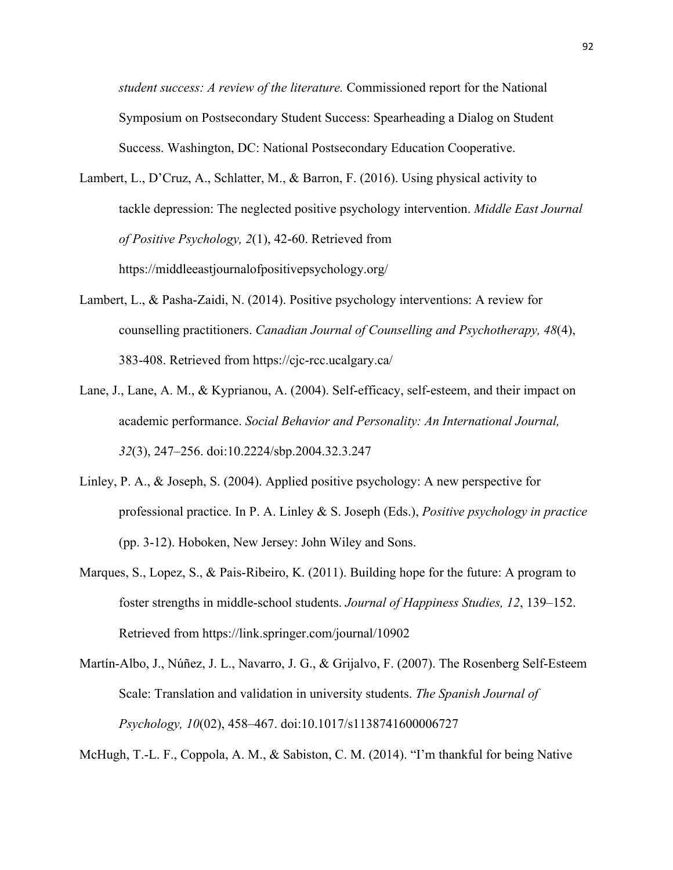*student success: A review of the literature.* Commissioned report for the National Symposium on Postsecondary Student Success: Spearheading a Dialog on Student Success. Washington, DC: National Postsecondary Education Cooperative.

- Lambert, L., D'Cruz, A., Schlatter, M., & Barron, F. (2016). Using physical activity to tackle depression: The neglected positive psychology intervention. *Middle East Journal of Positive Psychology, 2*(1), 42-60. Retrieved from https://middleeastjournalofpositivepsychology.org/
- Lambert, L., & Pasha-Zaidi, N. (2014). Positive psychology interventions: A review for counselling practitioners. *Canadian Journal of Counselling and Psychotherapy, 48*(4), 383-408. Retrieved from https://cjc-rcc.ucalgary.ca/
- Lane, J., Lane, A. M., & Kyprianou, A. (2004). Self-efficacy, self-esteem, and their impact on academic performance. *Social Behavior and Personality: An International Journal, 32*(3), 247–256. doi:10.2224/sbp.2004.32.3.247
- Linley, P. A., & Joseph, S. (2004). Applied positive psychology: A new perspective for professional practice. In P. A. Linley & S. Joseph (Eds.), *Positive psychology in practice*  (pp. 3-12). Hoboken, New Jersey: John Wiley and Sons.
- Marques, S., Lopez, S., & Pais-Ribeiro, K. (2011). Building hope for the future: A program to foster strengths in middle-school students. *Journal of Happiness Studies, 12*, 139–152. Retrieved from https://link.springer.com/journal/10902
- Martín-Albo, J., Núñez, J. L., Navarro, J. G., & Grijalvo, F. (2007). The Rosenberg Self-Esteem Scale: Translation and validation in university students. *The Spanish Journal of Psychology, 10*(02), 458–467. doi:10.1017/s1138741600006727

McHugh, T.-L. F., Coppola, A. M., & Sabiston, C. M. (2014). "I'm thankful for being Native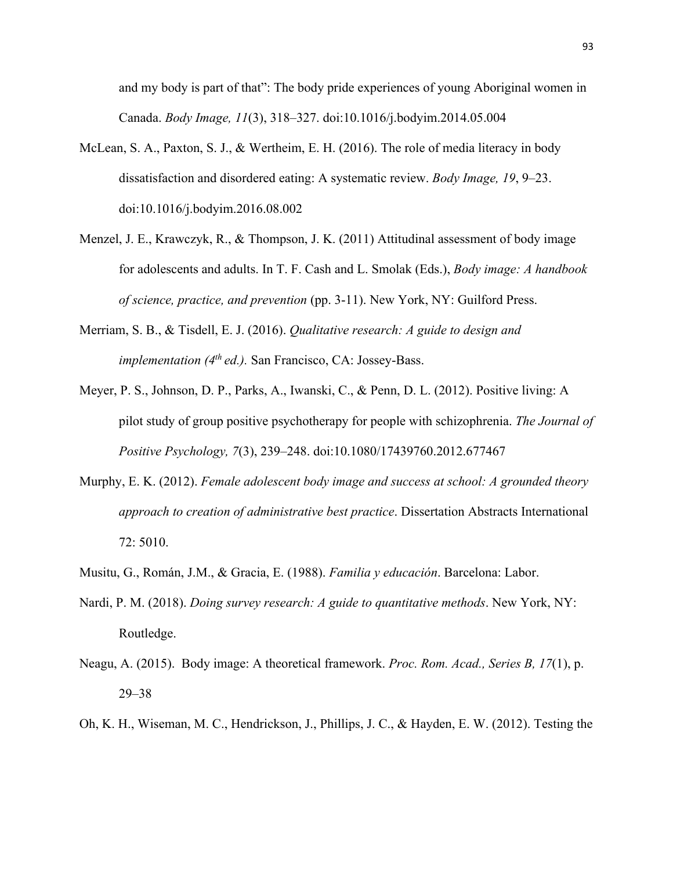and my body is part of that": The body pride experiences of young Aboriginal women in Canada. *Body Image, 11*(3), 318–327. doi:10.1016/j.bodyim.2014.05.004

- McLean, S. A., Paxton, S. J., & Wertheim, E. H. (2016). The role of media literacy in body dissatisfaction and disordered eating: A systematic review. *Body Image, 19*, 9–23. doi:10.1016/j.bodyim.2016.08.002
- Menzel, J. E., Krawczyk, R., & Thompson, J. K. (2011) Attitudinal assessment of body image for adolescents and adults. In T. F. Cash and L. Smolak (Eds.), *Body image: A handbook of science, practice, and prevention* (pp. 3-11). New York, NY: Guilford Press.
- Merriam, S. B., & Tisdell, E. J. (2016). *Qualitative research: A guide to design and implementation (4th ed.).* San Francisco, CA: Jossey-Bass.
- Meyer, P. S., Johnson, D. P., Parks, A., Iwanski, C., & Penn, D. L. (2012). Positive living: A pilot study of group positive psychotherapy for people with schizophrenia. *The Journal of Positive Psychology, 7*(3), 239–248. doi:10.1080/17439760.2012.677467
- Murphy, E. K. (2012). *Female adolescent body image and success at school: A grounded theory approach to creation of administrative best practice*. Dissertation Abstracts International 72: 5010.
- Musitu, G., Román, J.M., & Gracia, E. (1988). *Familia y educación*. Barcelona: Labor.
- Nardi, P. M. (2018). *Doing survey research: A guide to quantitative methods*. New York, NY: Routledge.
- Neagu, A. (2015). Body image: A theoretical framework. *Proc. Rom. Acad., Series B, 17*(1), p. 29–38
- Oh, K. H., Wiseman, M. C., Hendrickson, J., Phillips, J. C., & Hayden, E. W. (2012). Testing the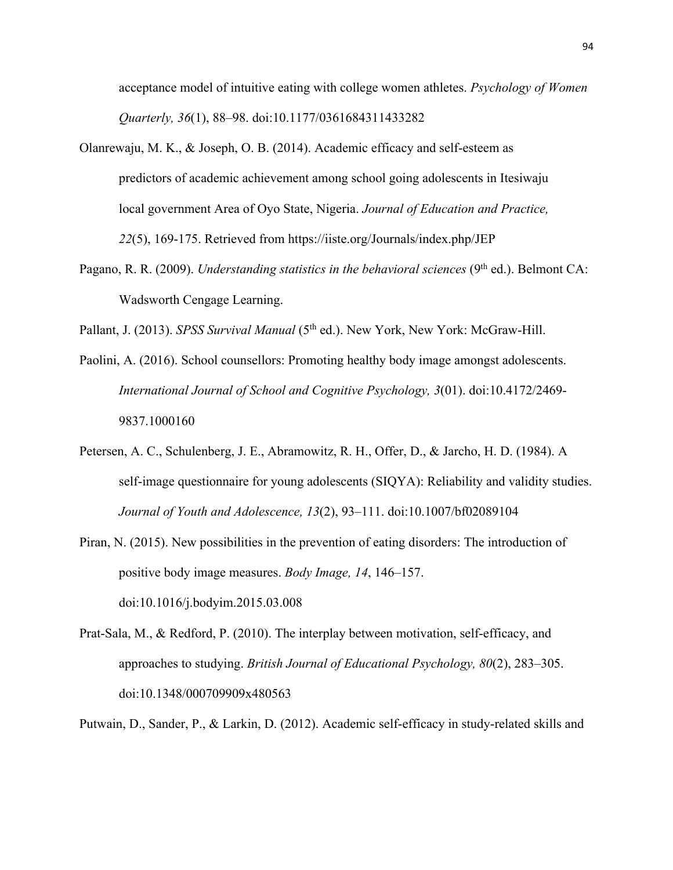acceptance model of intuitive eating with college women athletes. *Psychology of Women Quarterly, 36*(1), 88–98. doi:10.1177/0361684311433282

- Olanrewaju, M. K., & Joseph, O. B. (2014). Academic efficacy and self-esteem as predictors of academic achievement among school going adolescents in Itesiwaju local government Area of Oyo State, Nigeria. *Journal of Education and Practice, 22*(5), 169-175. Retrieved from https://iiste.org/Journals/index.php/JEP
- Pagano, R. R. (2009). *Understanding statistics in the behavioral sciences* (9<sup>th</sup> ed.). Belmont CA: Wadsworth Cengage Learning.

Pallant, J. (2013). *SPSS Survival Manual* (5<sup>th</sup> ed.). New York, New York: McGraw-Hill.

- Paolini, A. (2016). School counsellors: Promoting healthy body image amongst adolescents. *International Journal of School and Cognitive Psychology, 3*(01). doi:10.4172/2469- 9837.1000160
- Petersen, A. C., Schulenberg, J. E., Abramowitz, R. H., Offer, D., & Jarcho, H. D. (1984). A self-image questionnaire for young adolescents (SIQYA): Reliability and validity studies. *Journal of Youth and Adolescence, 13*(2), 93–111. doi:10.1007/bf02089104
- Piran, N. (2015). New possibilities in the prevention of eating disorders: The introduction of positive body image measures. *Body Image, 14*, 146–157. doi:10.1016/j.bodyim.2015.03.008
- Prat-Sala, M., & Redford, P. (2010). The interplay between motivation, self-efficacy, and approaches to studying. *British Journal of Educational Psychology, 80*(2), 283–305. doi:10.1348/000709909x480563

Putwain, D., Sander, P., & Larkin, D. (2012). Academic self-efficacy in study-related skills and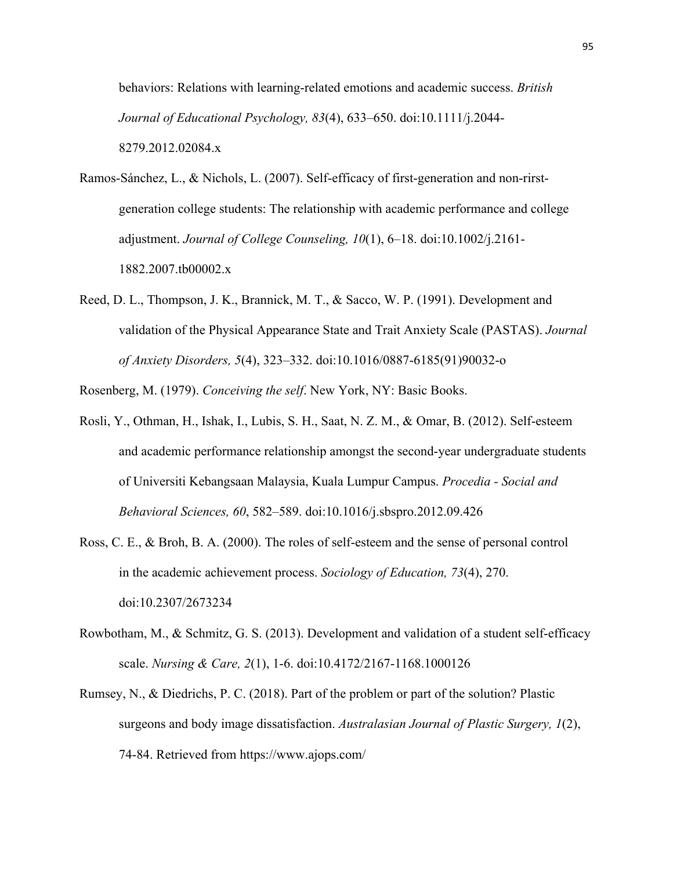behaviors: Relations with learning-related emotions and academic success. *British Journal of Educational Psychology, 83*(4), 633–650. doi:10.1111/j.2044- 8279.2012.02084.x

- Ramos-Sánchez, L., & Nichols, L. (2007). Self-efficacy of first-generation and non-rirstgeneration college students: The relationship with academic performance and college adjustment. *Journal of College Counseling, 10*(1), 6–18. doi:10.1002/j.2161- 1882.2007.tb00002.x
- Reed, D. L., Thompson, J. K., Brannick, M. T., & Sacco, W. P. (1991). Development and validation of the Physical Appearance State and Trait Anxiety Scale (PASTAS). *Journal of Anxiety Disorders, 5*(4), 323–332. doi:10.1016/0887-6185(91)90032-o

Rosenberg, M. (1979). *Conceiving the self*. New York, NY: Basic Books.

- Rosli, Y., Othman, H., Ishak, I., Lubis, S. H., Saat, N. Z. M., & Omar, B. (2012). Self-esteem and academic performance relationship amongst the second-year undergraduate students of Universiti Kebangsaan Malaysia, Kuala Lumpur Campus. *Procedia - Social and Behavioral Sciences, 60*, 582–589. doi:10.1016/j.sbspro.2012.09.426
- Ross, C. E., & Broh, B. A. (2000). The roles of self-esteem and the sense of personal control in the academic achievement process. *Sociology of Education, 73*(4), 270. doi:10.2307/2673234
- Rowbotham, M., & Schmitz, G. S. (2013). Development and validation of a student self-efficacy scale. *Nursing & Care, 2*(1), 1-6. doi:10.4172/2167-1168.1000126
- Rumsey, N., & Diedrichs, P. C. (2018). Part of the problem or part of the solution? Plastic surgeons and body image dissatisfaction. *Australasian Journal of Plastic Surgery, 1*(2), 74-84. Retrieved from https://www.ajops.com/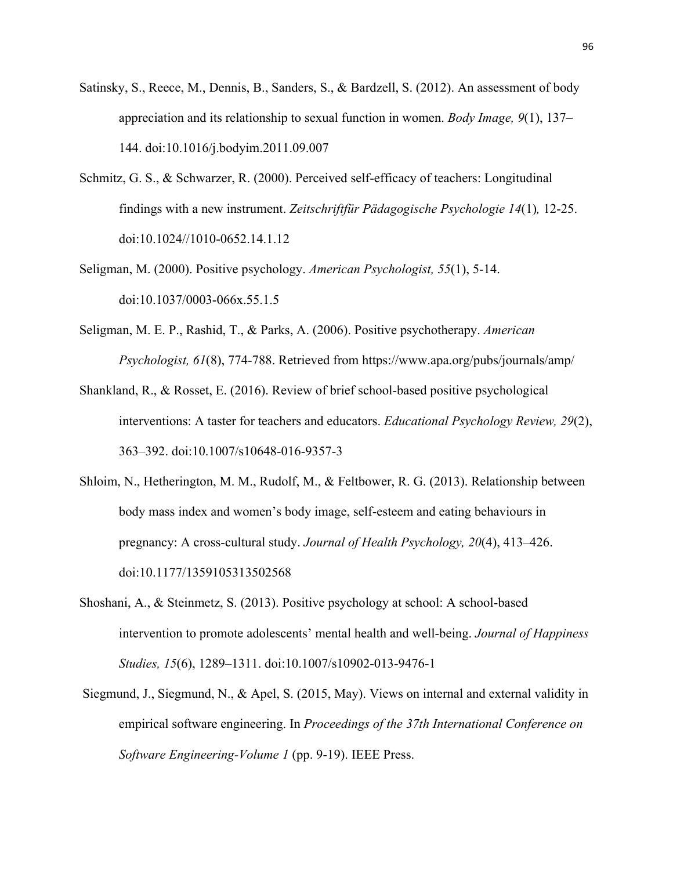- Satinsky, S., Reece, M., Dennis, B., Sanders, S., & Bardzell, S. (2012). An assessment of body appreciation and its relationship to sexual function in women. *Body Image, 9*(1), 137– 144. doi:10.1016/j.bodyim.2011.09.007
- Schmitz, G. S., & Schwarzer, R. (2000). Perceived self-efficacy of teachers: Longitudinal findings with a new instrument. *Zeitschriftfür Pädagogische Psychologie 14*(1)*,* 12-25. doi:10.1024//1010-0652.14.1.12
- Seligman, M. (2000). Positive psychology. *American Psychologist, 55*(1), 5-14. doi:10.1037/0003-066x.55.1.5
- Seligman, M. E. P., Rashid, T., & Parks, A. (2006). Positive psychotherapy. *American Psychologist, 61*(8), 774-788. Retrieved from https://www.apa.org/pubs/journals/amp/
- Shankland, R., & Rosset, E. (2016). Review of brief school-based positive psychological interventions: A taster for teachers and educators. *Educational Psychology Review, 29*(2), 363–392. doi:10.1007/s10648-016-9357-3
- Shloim, N., Hetherington, M. M., Rudolf, M., & Feltbower, R. G. (2013). Relationship between body mass index and women's body image, self-esteem and eating behaviours in pregnancy: A cross-cultural study. *Journal of Health Psychology, 20*(4), 413–426. doi:10.1177/1359105313502568
- Shoshani, A., & Steinmetz, S. (2013). Positive psychology at school: A school-based intervention to promote adolescents' mental health and well-being. *Journal of Happiness Studies, 15*(6), 1289–1311. doi:10.1007/s10902-013-9476-1
- Siegmund, J., Siegmund, N., & Apel, S. (2015, May). Views on internal and external validity in empirical software engineering. In *Proceedings of the 37th International Conference on Software Engineering-Volume 1* (pp. 9-19). IEEE Press.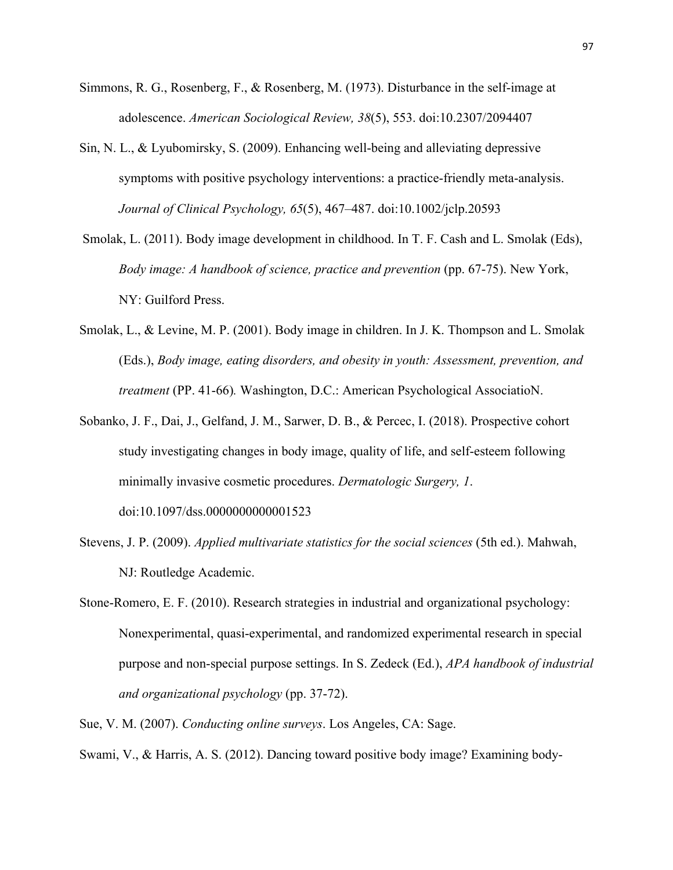- Simmons, R. G., Rosenberg, F., & Rosenberg, M. (1973). Disturbance in the self-image at adolescence. *American Sociological Review, 38*(5), 553. doi:10.2307/2094407
- Sin, N. L., & Lyubomirsky, S. (2009). Enhancing well-being and alleviating depressive symptoms with positive psychology interventions: a practice-friendly meta-analysis. *Journal of Clinical Psychology, 65*(5), 467–487. doi:10.1002/jclp.20593
- Smolak, L. (2011). Body image development in childhood. In T. F. Cash and L. Smolak (Eds), *Body image: A handbook of science, practice and prevention* (pp. 67-75). New York, NY: Guilford Press.
- Smolak, L., & Levine, M. P. (2001). Body image in children. In J. K. Thompson and L. Smolak (Eds.), *Body image, eating disorders, and obesity in youth: Assessment, prevention, and treatment* (PP. 41-66)*.* Washington, D.C.: American Psychological AssociatioN.
- Sobanko, J. F., Dai, J., Gelfand, J. M., Sarwer, D. B., & Percec, I. (2018). Prospective cohort study investigating changes in body image, quality of life, and self-esteem following minimally invasive cosmetic procedures. *Dermatologic Surgery, 1*. doi:10.1097/dss.0000000000001523
- Stevens, J. P. (2009). *Applied multivariate statistics for the social sciences* (5th ed.). Mahwah, NJ: Routledge Academic.
- Stone-Romero, E. F. (2010). Research strategies in industrial and organizational psychology: Nonexperimental, quasi-experimental, and randomized experimental research in special purpose and non-special purpose settings. In S. Zedeck (Ed.), *APA handbook of industrial and organizational psychology* (pp. 37-72).
- Sue, V. M. (2007). *Conducting online surveys*. Los Angeles, CA: Sage.
- Swami, V., & Harris, A. S. (2012). Dancing toward positive body image? Examining body-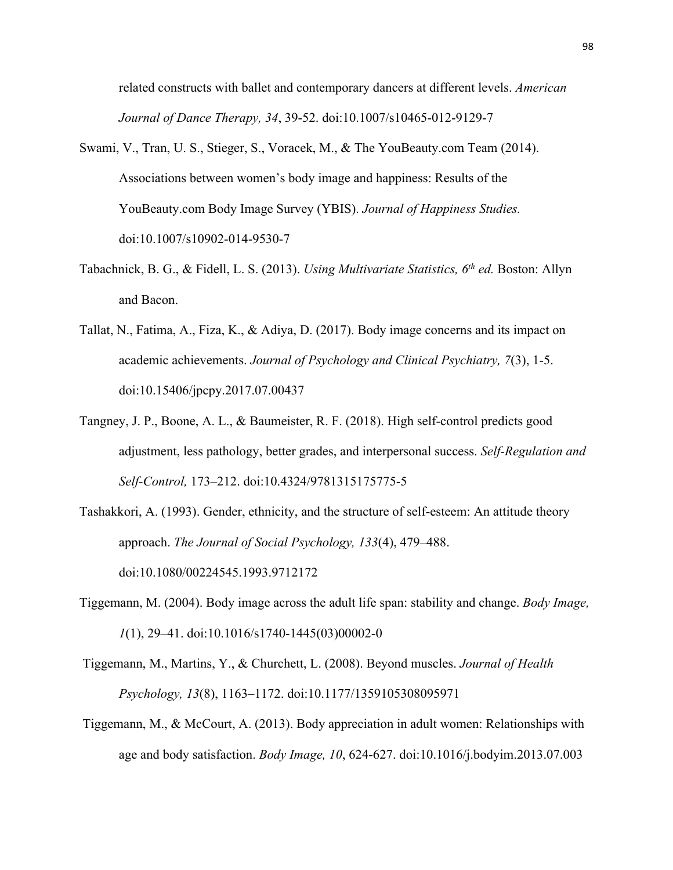related constructs with ballet and contemporary dancers at different levels. *American Journal of Dance Therapy, 34*, 39-52. doi:10.1007/s10465-012-9129-7

- Swami, V., Tran, U. S., Stieger, S., Voracek, M., & The YouBeauty.com Team (2014). Associations between women's body image and happiness: Results of the YouBeauty.com Body Image Survey (YBIS). *Journal of Happiness Studies.*  doi:10.1007/s10902-014-9530-7
- Tabachnick, B. G., & Fidell, L. S. (2013). *Using Multivariate Statistics, 6th ed.* Boston: Allyn and Bacon.
- Tallat, N., Fatima, A., Fiza, K., & Adiya, D. (2017). Body image concerns and its impact on academic achievements. *Journal of Psychology and Clinical Psychiatry, 7*(3), 1-5. doi:10.15406/jpcpy.2017.07.00437
- Tangney, J. P., Boone, A. L., & Baumeister, R. F. (2018). High self-control predicts good adjustment, less pathology, better grades, and interpersonal success. *Self-Regulation and Self-Control,* 173–212. doi:10.4324/9781315175775-5
- Tashakkori, A. (1993). Gender, ethnicity, and the structure of self-esteem: An attitude theory approach. *The Journal of Social Psychology, 133*(4), 479–488. doi:10.1080/00224545.1993.9712172
- Tiggemann, M. (2004). Body image across the adult life span: stability and change. *Body Image, 1*(1), 29–41. doi:10.1016/s1740-1445(03)00002-0
- Tiggemann, M., Martins, Y., & Churchett, L. (2008). Beyond muscles. *Journal of Health Psychology, 13*(8), 1163–1172. doi:10.1177/1359105308095971
- Tiggemann, M., & McCourt, A. (2013). Body appreciation in adult women: Relationships with age and body satisfaction. *Body Image, 10*, 624-627. doi:10.1016/j.bodyim.2013.07.003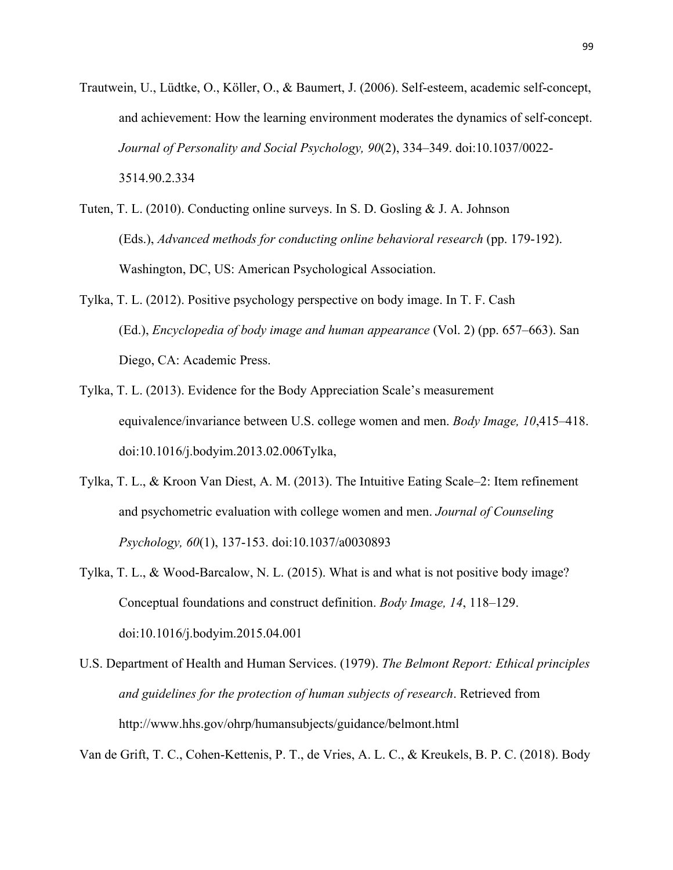- Trautwein, U., Lüdtke, O., Köller, O., & Baumert, J. (2006). Self-esteem, academic self-concept, and achievement: How the learning environment moderates the dynamics of self-concept. *Journal of Personality and Social Psychology, 90*(2), 334–349. doi:10.1037/0022- 3514.90.2.334
- Tuten, T. L. (2010). Conducting online surveys. In S. D. Gosling & J. A. Johnson (Eds.), *Advanced methods for conducting online behavioral research* (pp. 179-192). Washington, DC, US: American Psychological Association.
- Tylka, T. L. (2012). Positive psychology perspective on body image. In T. F. Cash (Ed.), *Encyclopedia of body image and human appearance* (Vol. 2) (pp. 657–663). San Diego, CA: Academic Press.
- Tylka, T. L. (2013). Evidence for the Body Appreciation Scale's measurement equivalence/invariance between U.S. college women and men. *Body Image, 10*,415–418. doi:10.1016/j.bodyim.2013.02.006Tylka,
- Tylka, T. L., & Kroon Van Diest, A. M. (2013). The Intuitive Eating Scale–2: Item refinement and psychometric evaluation with college women and men. *Journal of Counseling Psychology, 60*(1), 137-153. doi:10.1037/a0030893
- Tylka, T. L., & Wood-Barcalow, N. L. (2015). What is and what is not positive body image? Conceptual foundations and construct definition. *Body Image, 14*, 118–129. doi:10.1016/j.bodyim.2015.04.001
- U.S. Department of Health and Human Services. (1979). *The Belmont Report: Ethical principles and guidelines for the protection of human subjects of research*. Retrieved from http://www.hhs.gov/ohrp/humansubjects/guidance/belmont.html

Van de Grift, T. C., Cohen-Kettenis, P. T., de Vries, A. L. C., & Kreukels, B. P. C. (2018). Body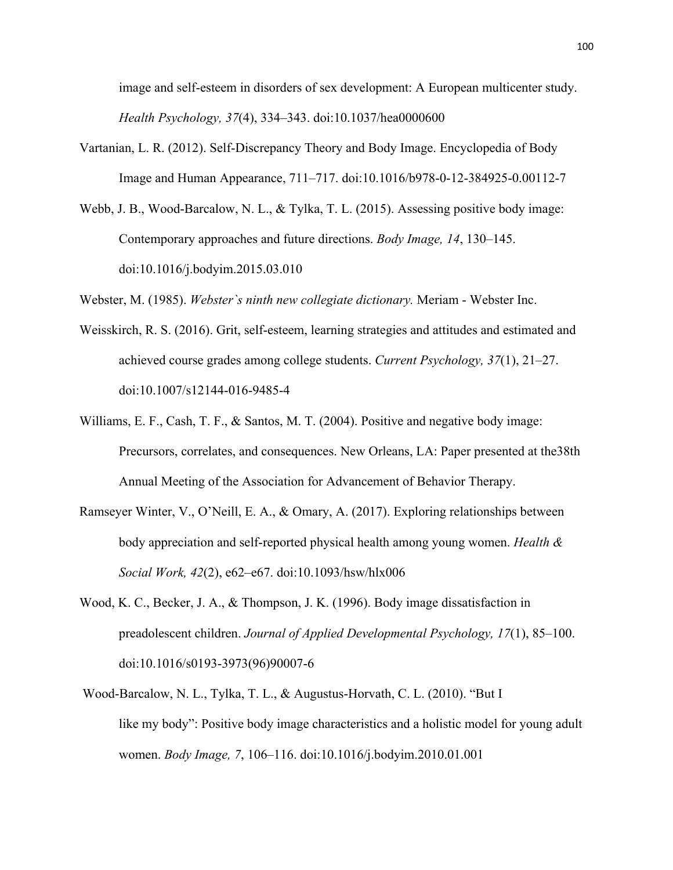image and self-esteem in disorders of sex development: A European multicenter study. *Health Psychology, 37*(4), 334–343. doi:10.1037/hea0000600

- Vartanian, L. R. (2012). Self-Discrepancy Theory and Body Image. Encyclopedia of Body Image and Human Appearance, 711–717. doi:10.1016/b978-0-12-384925-0.00112-7
- Webb, J. B., Wood-Barcalow, N. L., & Tylka, T. L. (2015). Assessing positive body image: Contemporary approaches and future directions. *Body Image, 14*, 130–145. doi:10.1016/j.bodyim.2015.03.010

Webster, M. (1985). *Webster`s ninth new collegiate dictionary.* Meriam - Webster Inc.

- Weisskirch, R. S. (2016). Grit, self-esteem, learning strategies and attitudes and estimated and achieved course grades among college students. *Current Psychology, 37*(1), 21–27. doi:10.1007/s12144-016-9485-4
- Williams, E. F., Cash, T. F., & Santos, M. T. (2004). Positive and negative body image: Precursors, correlates, and consequences. New Orleans, LA: Paper presented at the38th Annual Meeting of the Association for Advancement of Behavior Therapy.
- Ramseyer Winter, V., O'Neill, E. A., & Omary, A. (2017). Exploring relationships between body appreciation and self-reported physical health among young women. *Health & Social Work, 42*(2), e62–e67. doi:10.1093/hsw/hlx006
- Wood, K. C., Becker, J. A., & Thompson, J. K. (1996). Body image dissatisfaction in preadolescent children. *Journal of Applied Developmental Psychology, 17*(1), 85–100. doi:10.1016/s0193-3973(96)90007-6
- Wood-Barcalow, N. L., Tylka, T. L., & Augustus-Horvath, C. L. (2010). "But I like my body": Positive body image characteristics and a holistic model for young adult women. *Body Image, 7*, 106–116. doi:10.1016/j.bodyim.2010.01.001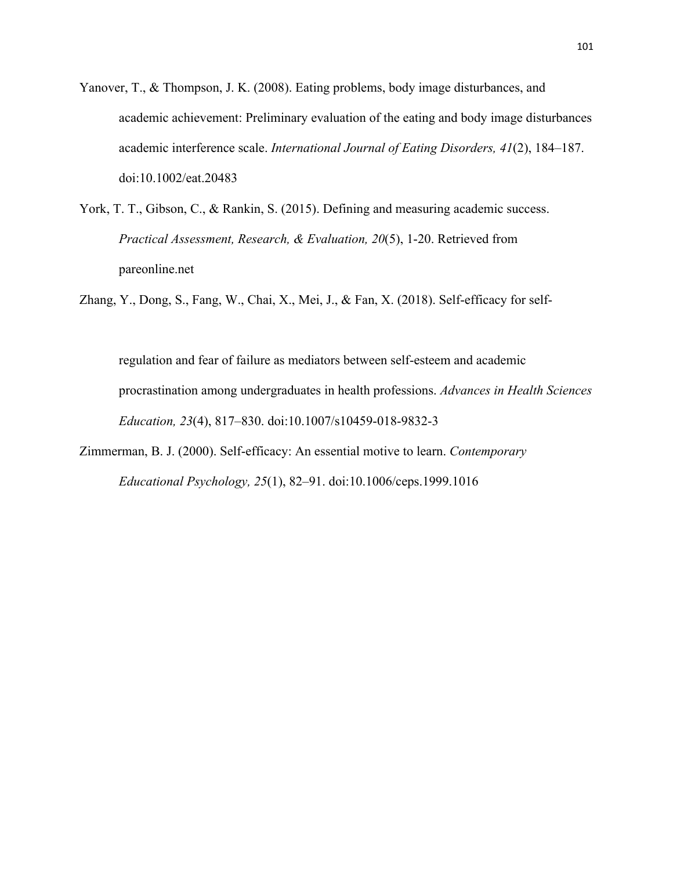- Yanover, T., & Thompson, J. K. (2008). Eating problems, body image disturbances, and academic achievement: Preliminary evaluation of the eating and body image disturbances academic interference scale. *International Journal of Eating Disorders, 41*(2), 184–187. doi:10.1002/eat.20483
- York, T. T., Gibson, C., & Rankin, S. (2015). Defining and measuring academic success. *Practical Assessment, Research, & Evaluation, 20*(5), 1-20. Retrieved from pareonline.net

Zhang, Y., Dong, S., Fang, W., Chai, X., Mei, J., & Fan, X. (2018). Self-efficacy for self-

regulation and fear of failure as mediators between self-esteem and academic procrastination among undergraduates in health professions. *Advances in Health Sciences Education, 23*(4), 817–830. doi:10.1007/s10459-018-9832-3

Zimmerman, B. J. (2000). Self-efficacy: An essential motive to learn. *Contemporary Educational Psychology, 25*(1), 82–91. doi:10.1006/ceps.1999.1016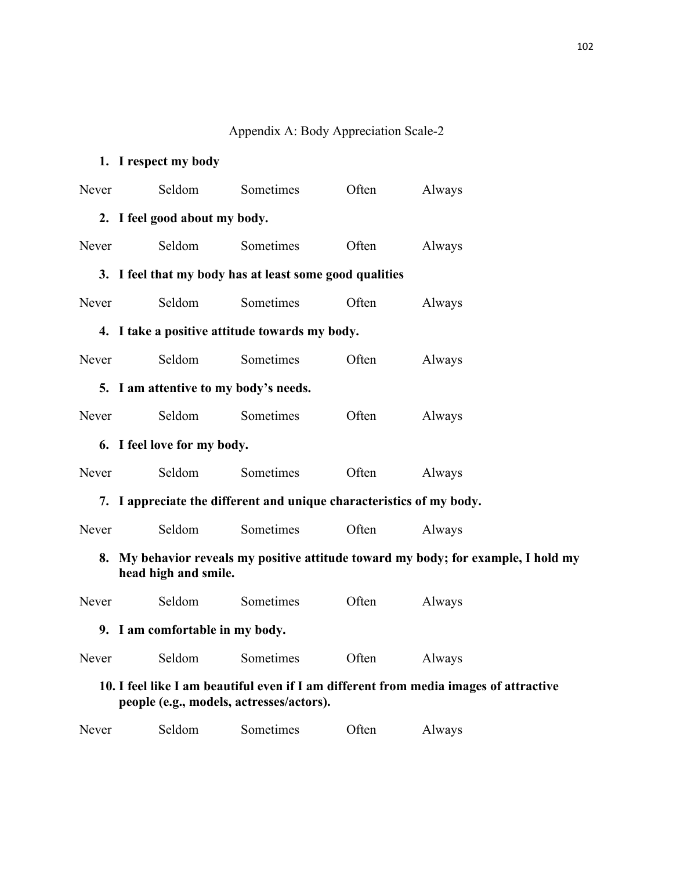#### Appendix A: Body Appreciation Scale-2

# **1. I respect my body** Never Seldom Sometimes Often Always **2. I feel good about my body.** Never Seldom Sometimes Often Always **3. I feel that my body has at least some good qualities** Never Seldom Sometimes Often Always **4. I take a positive attitude towards my body.** Never Seldom Sometimes Often Always **5. I am attentive to my body's needs.** Never Seldom Sometimes Often Always **6. I feel love for my body.** Never Seldom Sometimes Often Always **7. I appreciate the different and unique characteristics of my body.** Never Seldom Sometimes Often Always **8. My behavior reveals my positive attitude toward my body; for example, I hold my head high and smile.** Never Seldom Sometimes Often Always **9. I am comfortable in my body.** Never Seldom Sometimes Often Always **10. I feel like I am beautiful even if I am different from media images of attractive people (e.g., models, actresses/actors).** Never Seldom Sometimes Often Always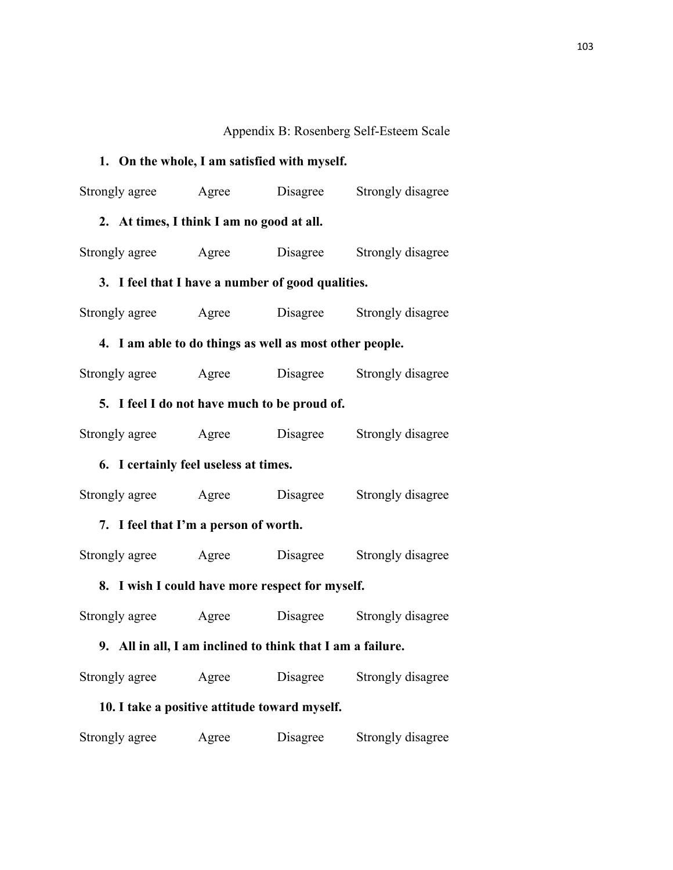## Appendix B: Rosenberg Self-Esteem Scale

## **1. On the whole, I am satisfied with myself.**

| Strongly agree Agree                                       |  | Disagree | Strongly disagree |  |  |  |  |
|------------------------------------------------------------|--|----------|-------------------|--|--|--|--|
| 2. At times, I think I am no good at all.                  |  |          |                   |  |  |  |  |
| Strongly agree Agree                                       |  | Disagree | Strongly disagree |  |  |  |  |
| 3. I feel that I have a number of good qualities.          |  |          |                   |  |  |  |  |
| Strongly agree Agree Disagree Strongly disagree            |  |          |                   |  |  |  |  |
| 4. I am able to do things as well as most other people.    |  |          |                   |  |  |  |  |
| Strongly agree Agree Disagree                              |  |          | Strongly disagree |  |  |  |  |
| 5. I feel I do not have much to be proud of.               |  |          |                   |  |  |  |  |
| Strongly agree Agree                                       |  | Disagree | Strongly disagree |  |  |  |  |
| 6. I certainly feel useless at times.                      |  |          |                   |  |  |  |  |
| Strongly agree Agree                                       |  | Disagree | Strongly disagree |  |  |  |  |
| 7. I feel that I'm a person of worth.                      |  |          |                   |  |  |  |  |
| Strongly agree Agree                                       |  | Disagree | Strongly disagree |  |  |  |  |
| 8. I wish I could have more respect for myself.            |  |          |                   |  |  |  |  |
| Strongly agree Agree Disagree                              |  |          | Strongly disagree |  |  |  |  |
| 9. All in all, I am inclined to think that I am a failure. |  |          |                   |  |  |  |  |
| Strongly agree Agree                                       |  | Disagree | Strongly disagree |  |  |  |  |
| 10. I take a positive attitude toward myself.              |  |          |                   |  |  |  |  |
|                                                            |  |          |                   |  |  |  |  |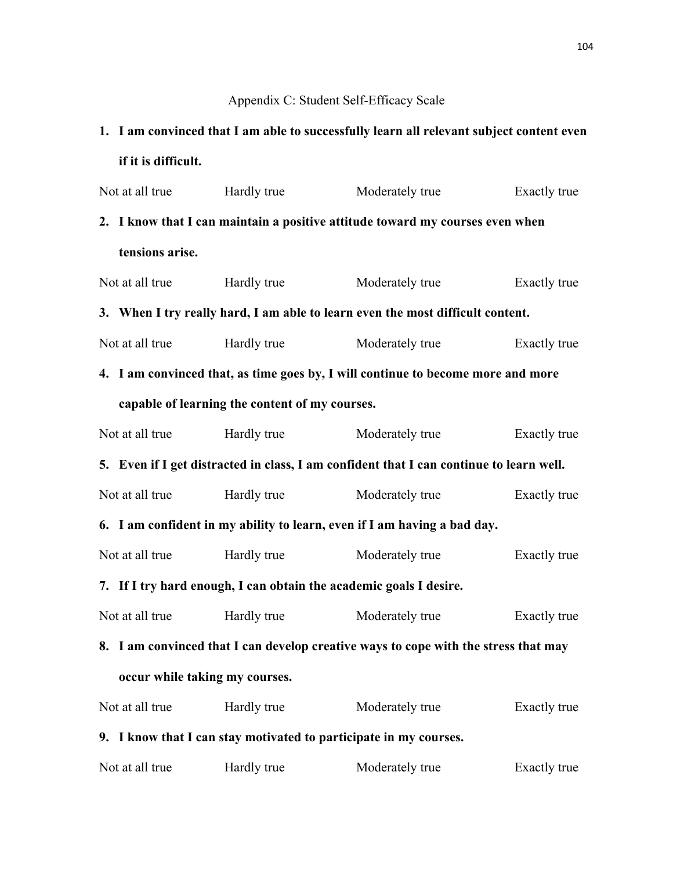## Appendix C: Student Self-Efficacy Scale

## **1. I am convinced that I am able to successfully learn all relevant subject content even if it is difficult.**

|                                                                          | Not at all true                                                                         | Hardly true | Moderately true                                                                  | Exactly true |  |  |  |
|--------------------------------------------------------------------------|-----------------------------------------------------------------------------------------|-------------|----------------------------------------------------------------------------------|--------------|--|--|--|
|                                                                          | 2. I know that I can maintain a positive attitude toward my courses even when           |             |                                                                                  |              |  |  |  |
|                                                                          | tensions arise.                                                                         |             |                                                                                  |              |  |  |  |
|                                                                          | Not at all true                                                                         | Hardly true | Moderately true                                                                  | Exactly true |  |  |  |
|                                                                          |                                                                                         |             | 3. When I try really hard, I am able to learn even the most difficult content.   |              |  |  |  |
|                                                                          | Not at all true                                                                         | Hardly true | Moderately true                                                                  | Exactly true |  |  |  |
|                                                                          |                                                                                         |             | 4. I am convinced that, as time goes by, I will continue to become more and more |              |  |  |  |
|                                                                          | capable of learning the content of my courses.                                          |             |                                                                                  |              |  |  |  |
|                                                                          | Not at all true                                                                         | Hardly true | Moderately true                                                                  | Exactly true |  |  |  |
|                                                                          | 5. Even if I get distracted in class, I am confident that I can continue to learn well. |             |                                                                                  |              |  |  |  |
|                                                                          | Not at all true                                                                         | Hardly true | Moderately true                                                                  | Exactly true |  |  |  |
| 6. I am confident in my ability to learn, even if I am having a bad day. |                                                                                         |             |                                                                                  |              |  |  |  |
|                                                                          | Not at all true                                                                         | Hardly true | Moderately true                                                                  | Exactly true |  |  |  |
| 7. If I try hard enough, I can obtain the academic goals I desire.       |                                                                                         |             |                                                                                  |              |  |  |  |
|                                                                          | Not at all true                                                                         | Hardly true | Moderately true                                                                  | Exactly true |  |  |  |
|                                                                          | 8. I am convinced that I can develop creative ways to cope with the stress that may     |             |                                                                                  |              |  |  |  |
| occur while taking my courses.                                           |                                                                                         |             |                                                                                  |              |  |  |  |
|                                                                          | Not at all true                                                                         | Hardly true | Moderately true                                                                  | Exactly true |  |  |  |
|                                                                          | 9. I know that I can stay motivated to participate in my courses.                       |             |                                                                                  |              |  |  |  |
|                                                                          | Not at all true                                                                         | Hardly true | Moderately true                                                                  | Exactly true |  |  |  |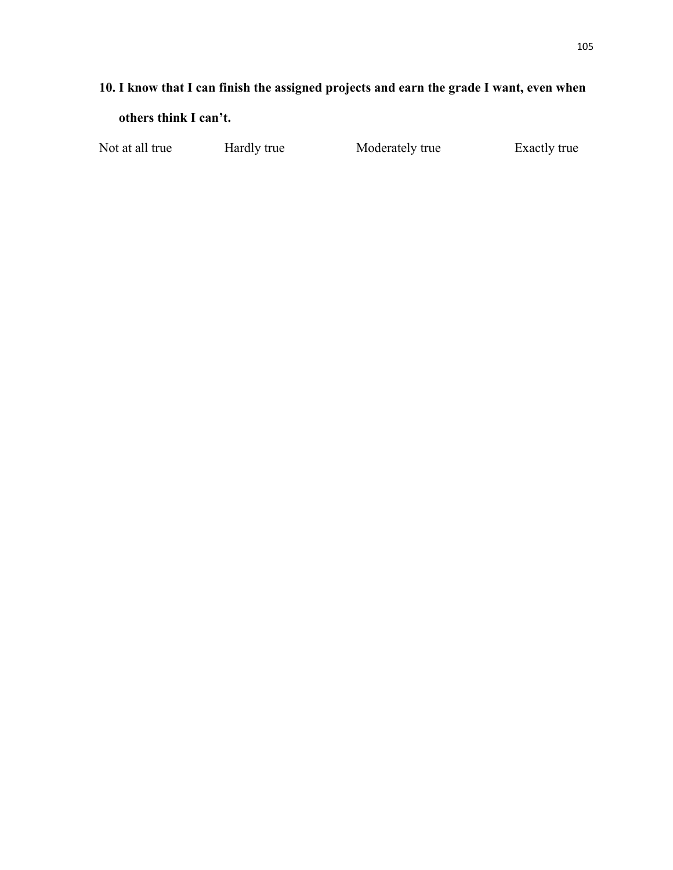## **10. I know that I can finish the assigned projects and earn the grade I want, even when**

**others think I can't.**

Not at all true Hardly true Moderately true Exactly true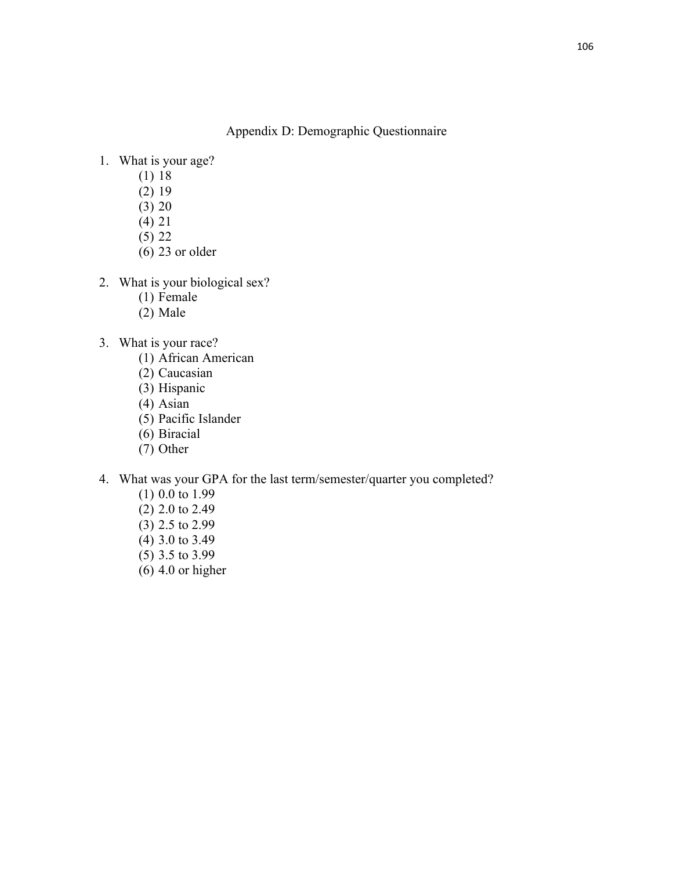Appendix D: Demographic Questionnaire

- 1. What is your age?
	- (1) 18
	- (2) 19
	- (3) 20
	- (4) 21
	- (5) 22
	- (6) 23 or older
- 2. What is your biological sex?
	- (1) Female
	- (2) Male
- 3. What is your race?
	- (1) African American
	- (2) Caucasian
	- (3) Hispanic
	- (4) Asian
	- (5) Pacific Islander
	- (6) Biracial
	- (7) Other
- 4. What was your GPA for the last term/semester/quarter you completed?
	- (1) 0.0 to 1.99
	- (2) 2.0 to 2.49
	- (3) 2.5 to 2.99
	- (4) 3.0 to 3.49
	- (5) 3.5 to 3.99
	- $(6)$  4.0 or higher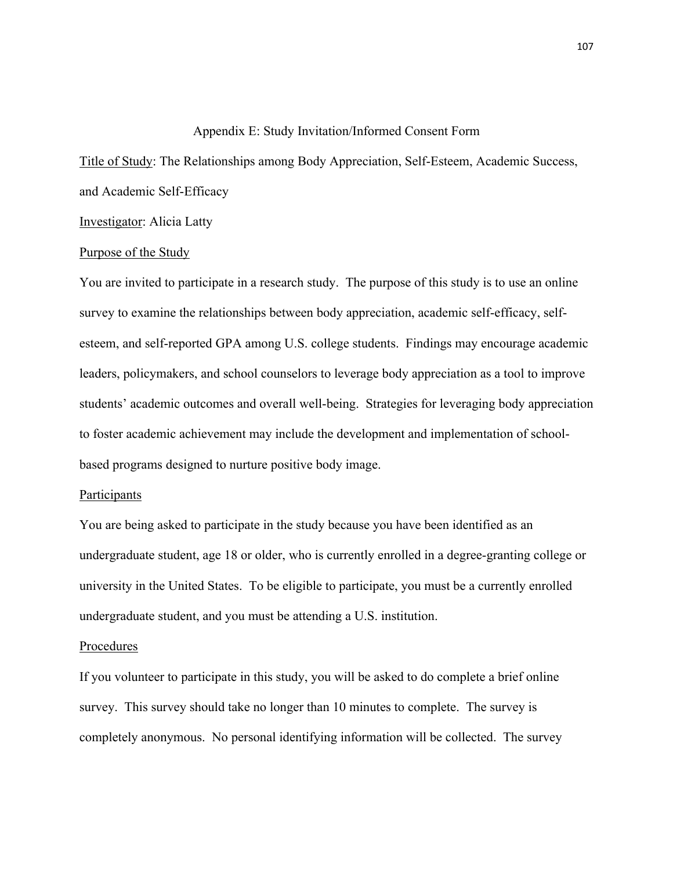#### Appendix E: Study Invitation/Informed Consent Form

Title of Study: The Relationships among Body Appreciation, Self-Esteem, Academic Success, and Academic Self-Efficacy

Investigator: Alicia Latty

#### Purpose of the Study

You are invited to participate in a research study. The purpose of this study is to use an online survey to examine the relationships between body appreciation, academic self-efficacy, selfesteem, and self-reported GPA among U.S. college students. Findings may encourage academic leaders, policymakers, and school counselors to leverage body appreciation as a tool to improve students' academic outcomes and overall well-being. Strategies for leveraging body appreciation to foster academic achievement may include the development and implementation of schoolbased programs designed to nurture positive body image.

#### **Participants**

You are being asked to participate in the study because you have been identified as an undergraduate student, age 18 or older, who is currently enrolled in a degree-granting college or university in the United States. To be eligible to participate, you must be a currently enrolled undergraduate student, and you must be attending a U.S. institution.

#### Procedures

If you volunteer to participate in this study, you will be asked to do complete a brief online survey. This survey should take no longer than 10 minutes to complete. The survey is completely anonymous. No personal identifying information will be collected. The survey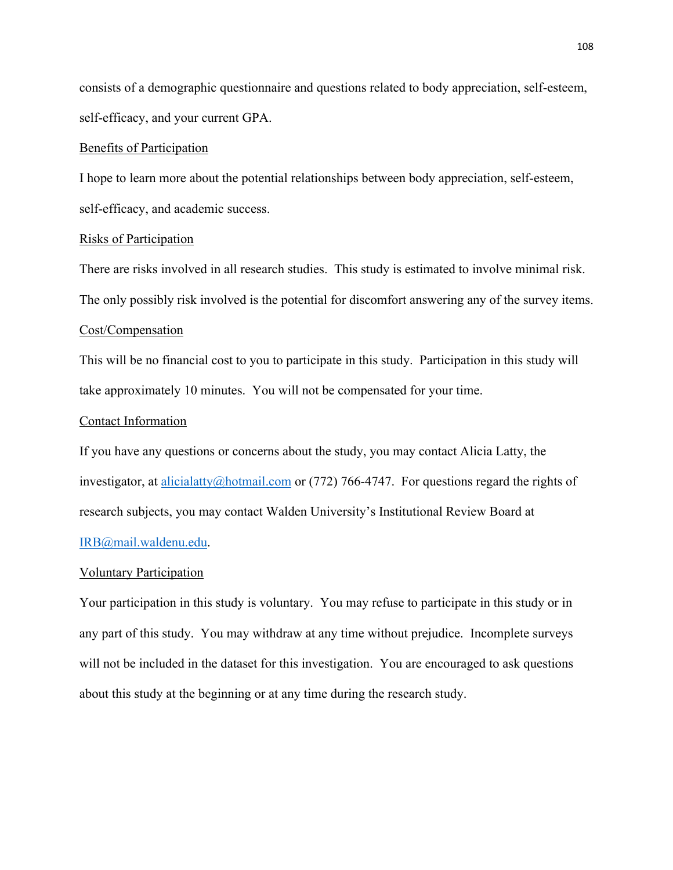consists of a demographic questionnaire and questions related to body appreciation, self-esteem, self-efficacy, and your current GPA.

#### Benefits of Participation

I hope to learn more about the potential relationships between body appreciation, self-esteem, self-efficacy, and academic success.

#### Risks of Participation

There are risks involved in all research studies. This study is estimated to involve minimal risk. The only possibly risk involved is the potential for discomfort answering any of the survey items.

#### Cost/Compensation

This will be no financial cost to you to participate in this study. Participation in this study will take approximately 10 minutes. You will not be compensated for your time.

#### Contact Information

If you have any questions or concerns about the study, you may contact Alicia Latty, the investigator, at alicialatty@hotmail.com or (772) 766-4747. For questions regard the rights of research subjects, you may contact Walden University's Institutional Review Board at IRB@mail.waldenu.edu.

#### Voluntary Participation

Your participation in this study is voluntary. You may refuse to participate in this study or in any part of this study. You may withdraw at any time without prejudice. Incomplete surveys will not be included in the dataset for this investigation. You are encouraged to ask questions about this study at the beginning or at any time during the research study.